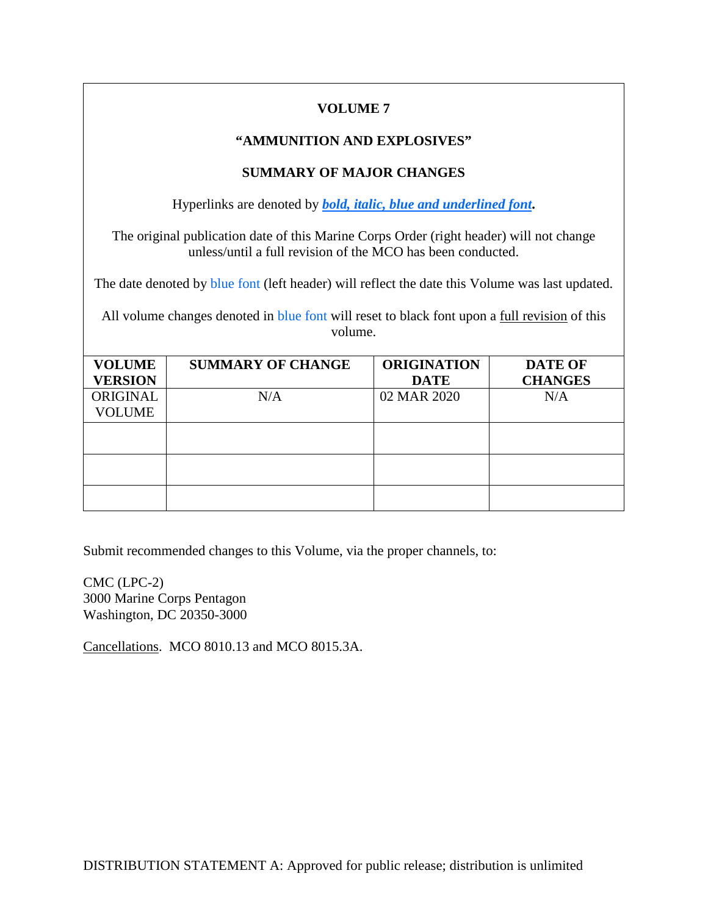# **VOLUME 7**

#### **"AMMUNITION AND EXPLOSIVES"**

# **SUMMARY OF MAJOR CHANGES**

Hyperlinks are denoted by *bold, italic, blue and underlined font***.**

The original publication date of this Marine Corps Order (right header) will not change unless/until a full revision of the MCO has been conducted.

The date denoted by **blue font** (left header) will reflect the date this Volume was last updated.

All volume changes denoted in blue font will reset to black font upon a <u>full revision</u> of this volume.

| <b>VOLUME</b>  | <b>SUMMARY OF CHANGE</b> | <b>ORIGINATION</b> | <b>DATE OF</b> |
|----------------|--------------------------|--------------------|----------------|
| <b>VERSION</b> |                          | <b>DATE</b>        | <b>CHANGES</b> |
| ORIGINAL       | N/A                      | 02 MAR 2020        | N/A            |
| <b>VOLUME</b>  |                          |                    |                |
|                |                          |                    |                |
|                |                          |                    |                |
|                |                          |                    |                |
|                |                          |                    |                |
|                |                          |                    |                |
|                |                          |                    |                |

Submit recommended changes to this Volume, via the proper channels, to:

CMC (LPC-2) 3000 Marine Corps Pentagon Washington, DC 20350-3000

Cancellations. MCO 8010.13 and MCO 8015.3A.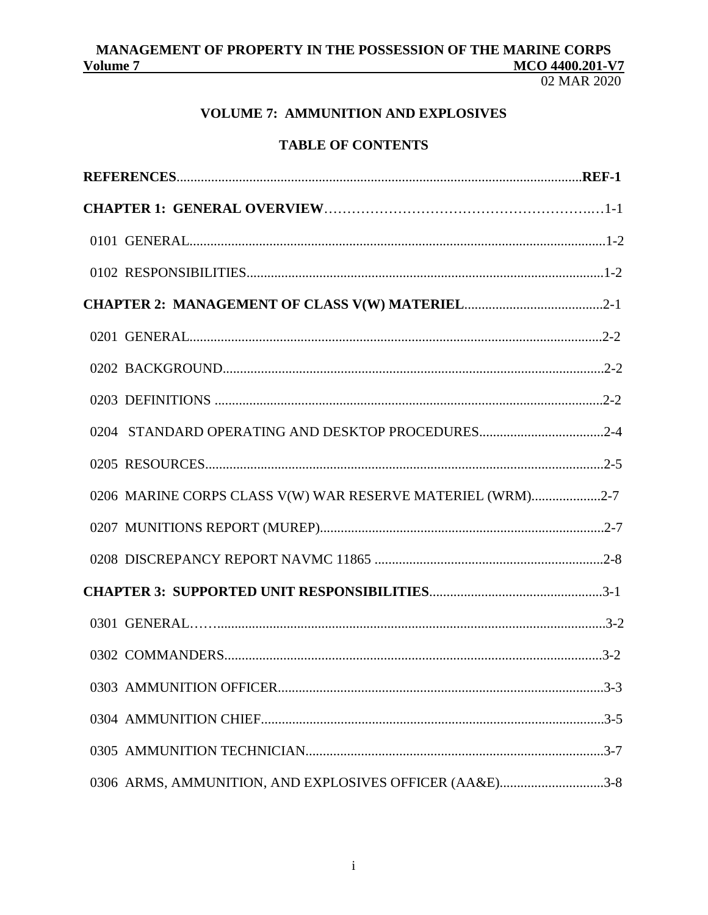02 MAR 2020

# **VOLUME 7: AMMUNITION AND EXPLOSIVES**

# **TABLE OF CONTENTS**

| 0204 STANDARD OPERATING AND DESKTOP PROCEDURES2-4          |  |
|------------------------------------------------------------|--|
|                                                            |  |
| 0206 MARINE CORPS CLASS V(W) WAR RESERVE MATERIEL (WRM)2-7 |  |
|                                                            |  |
|                                                            |  |
|                                                            |  |
|                                                            |  |
|                                                            |  |
|                                                            |  |
|                                                            |  |
|                                                            |  |
| 0306 ARMS, AMMUNITION, AND EXPLOSIVES OFFICER (AA&E)3-8    |  |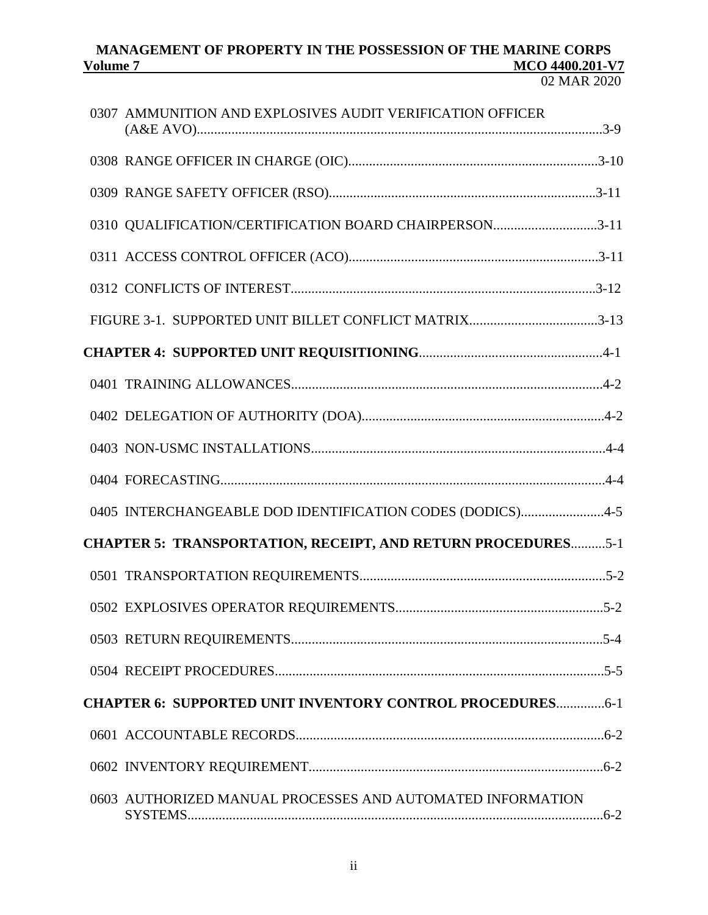| 0307 AMMUNITION AND EXPLOSIVES AUDIT VERIFICATION OFFICER           |
|---------------------------------------------------------------------|
|                                                                     |
|                                                                     |
| 0310 QUALIFICATION/CERTIFICATION BOARD CHAIRPERSON3-11              |
|                                                                     |
|                                                                     |
|                                                                     |
|                                                                     |
|                                                                     |
|                                                                     |
|                                                                     |
|                                                                     |
| 0405 INTERCHANGEABLE DOD IDENTIFICATION CODES (DODICS)4-5           |
| <b>CHAPTER 5: TRANSPORTATION, RECEIPT, AND RETURN PROCEDURES5-1</b> |
|                                                                     |
|                                                                     |
|                                                                     |
|                                                                     |
| <b>CHAPTER 6: SUPPORTED UNIT INVENTORY CONTROL PROCEDURES6-1</b>    |
|                                                                     |
|                                                                     |
| 0603 AUTHORIZED MANUAL PROCESSES AND AUTOMATED INFORMATION          |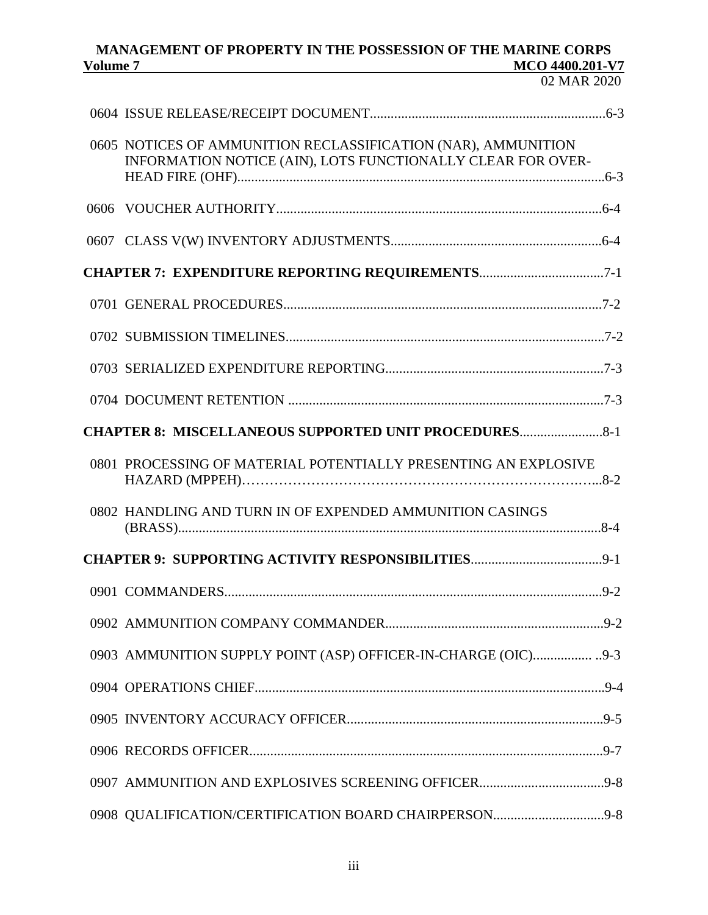02 MAR 2020

| 0605 NOTICES OF AMMUNITION RECLASSIFICATION (NAR), AMMUNITION<br>INFORMATION NOTICE (AIN), LOTS FUNCTIONALLY CLEAR FOR OVER- |  |
|------------------------------------------------------------------------------------------------------------------------------|--|
|                                                                                                                              |  |
|                                                                                                                              |  |
| <b>CHAPTER 7: EXPENDITURE REPORTING REQUIREMENTS7-1</b>                                                                      |  |
|                                                                                                                              |  |
|                                                                                                                              |  |
|                                                                                                                              |  |
|                                                                                                                              |  |
| <b>CHAPTER 8: MISCELLANEOUS SUPPORTED UNIT PROCEDURES</b>                                                                    |  |
| 0801 PROCESSING OF MATERIAL POTENTIALLY PRESENTING AN EXPLOSIVE                                                              |  |
| 0802 HANDLING AND TURN IN OF EXPENDED AMMUNITION CASINGS                                                                     |  |
|                                                                                                                              |  |
|                                                                                                                              |  |
|                                                                                                                              |  |
|                                                                                                                              |  |
|                                                                                                                              |  |
|                                                                                                                              |  |
|                                                                                                                              |  |
|                                                                                                                              |  |
|                                                                                                                              |  |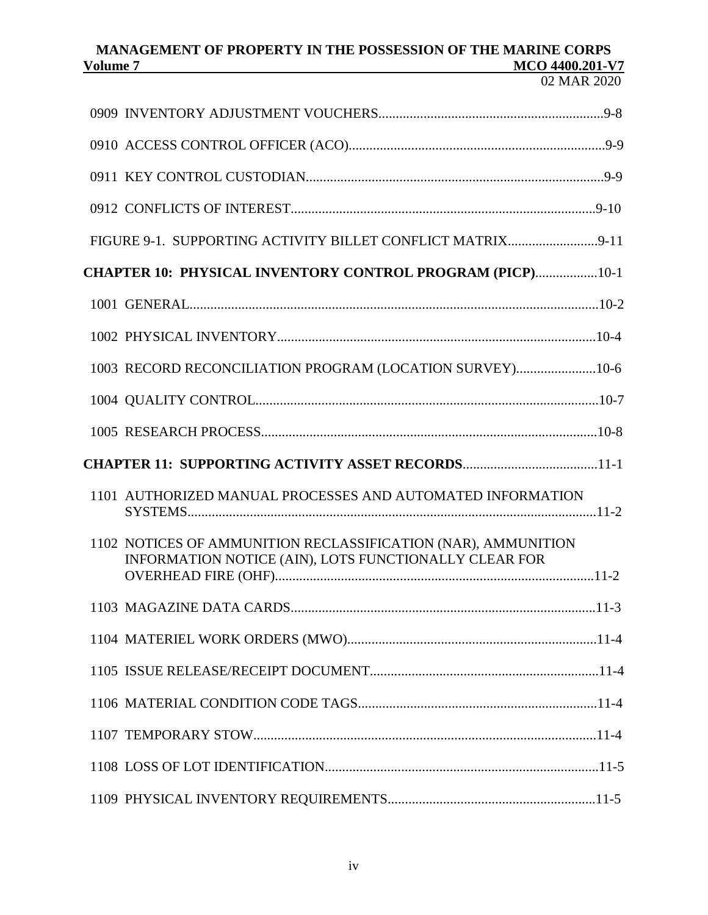| FIGURE 9-1. SUPPORTING ACTIVITY BILLET CONFLICT MATRIX9-11                                                             |  |
|------------------------------------------------------------------------------------------------------------------------|--|
| <b>CHAPTER 10: PHYSICAL INVENTORY CONTROL PROGRAM (PICP)10-1</b>                                                       |  |
|                                                                                                                        |  |
|                                                                                                                        |  |
| 1003 RECORD RECONCILIATION PROGRAM (LOCATION SURVEY)10-6                                                               |  |
|                                                                                                                        |  |
|                                                                                                                        |  |
|                                                                                                                        |  |
| <b>CHAPTER 11: SUPPORTING ACTIVITY ASSET RECORDS11-1</b>                                                               |  |
| 1101 AUTHORIZED MANUAL PROCESSES AND AUTOMATED INFORMATION                                                             |  |
| 1102 NOTICES OF AMMUNITION RECLASSIFICATION (NAR), AMMUNITION<br>INFORMATION NOTICE (AIN), LOTS FUNCTIONALLY CLEAR FOR |  |
|                                                                                                                        |  |
|                                                                                                                        |  |
|                                                                                                                        |  |
|                                                                                                                        |  |
|                                                                                                                        |  |
|                                                                                                                        |  |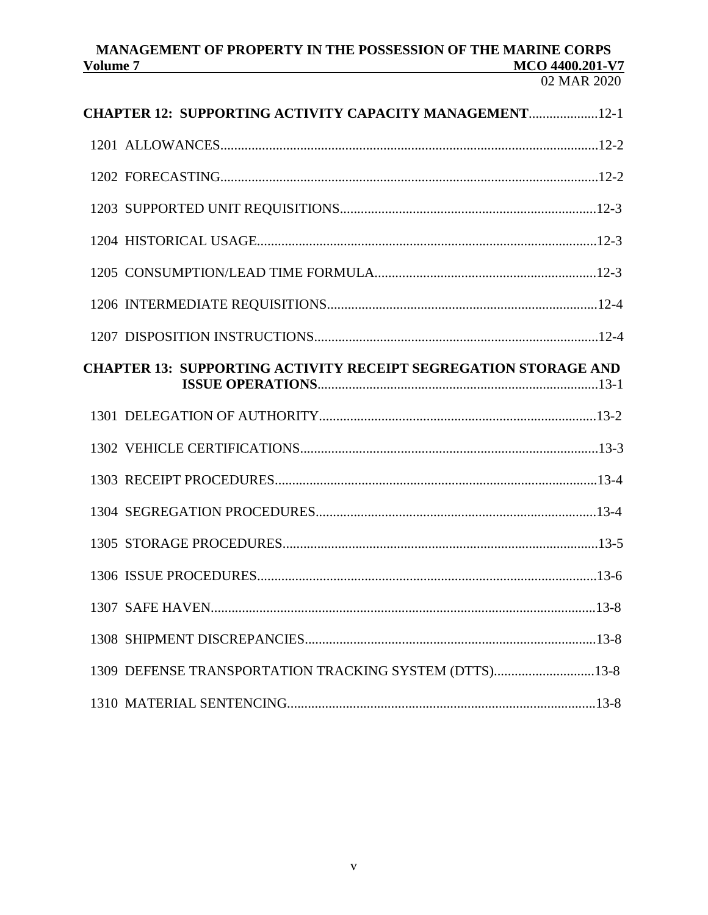#### MANAGEMENT OF PROPERTY IN THE POSSESSION OF THE MARINE CORPS MCO 4400.201-V7 Volume 7

| <b>CHAPTER 12: SUPPORTING ACTIVITY CAPACITY MANAGEMENT12-1</b>         |
|------------------------------------------------------------------------|
|                                                                        |
|                                                                        |
|                                                                        |
|                                                                        |
|                                                                        |
|                                                                        |
|                                                                        |
| <b>CHAPTER 13: SUPPORTING ACTIVITY RECEIPT SEGREGATION STORAGE AND</b> |
|                                                                        |
|                                                                        |
|                                                                        |
|                                                                        |
|                                                                        |
|                                                                        |
|                                                                        |
|                                                                        |
| 1309 DEFENSE TRANSPORTATION TRACKING SYSTEM (DTTS)13-8                 |
|                                                                        |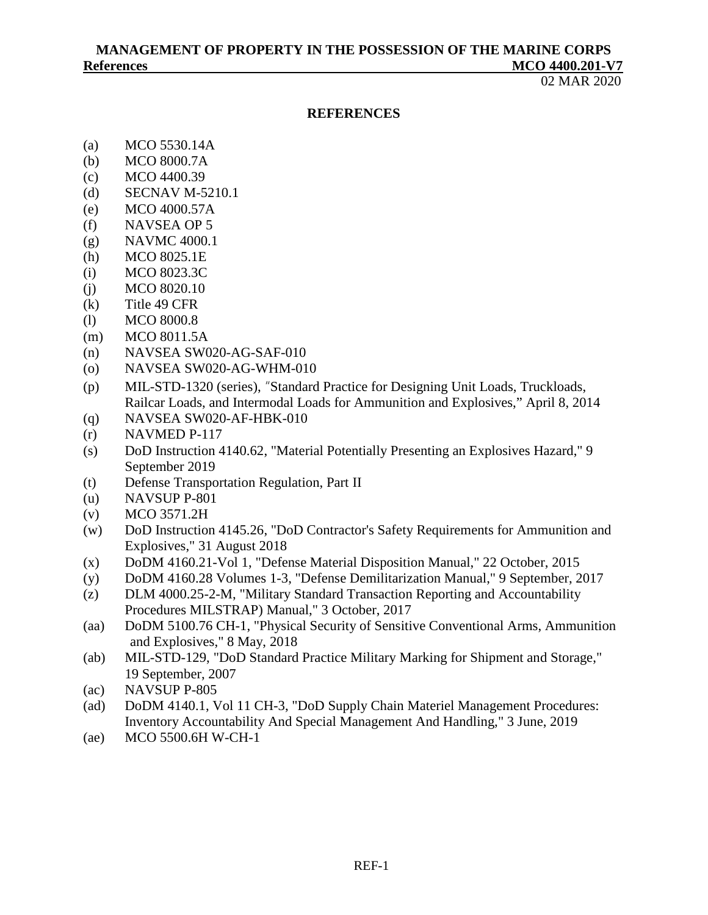02 MAR 2020

#### **REFERENCES**

- (a) MCO 5530.14A
- (b) MCO 8000.7A
- (c) MCO 4400.39
- (d) SECNAV M-5210.1
- (e) MCO 4000.57A
- (f) NAVSEA OP 5
- (g) NAVMC 4000.1
- (h) MCO 8025.1E
- (i) MCO 8023.3C
- (j) MCO 8020.10
- (k) Title 49 CFR
- (l) MCO 8000.8
- (m) MCO 8011.5A
- (n) NAVSEA SW020-AG-SAF-010
- (o) NAVSEA SW020-AG-WHM-010
- (p) MIL-STD-1320 (series), "Standard Practice for Designing Unit Loads, Truckloads, Railcar Loads, and Intermodal Loads for Ammunition and Explosives," April 8, 2014
- (q) NAVSEA SW020-AF-HBK-010
- $(r)$  NAVMED P-117
- (s) DoD Instruction 4140.62, "Material Potentially Presenting an Explosives Hazard," 9 September 2019
- (t) Defense Transportation Regulation, Part II
- (u) NAVSUP P-801
- (v) MCO 3571.2H
- (w) DoD Instruction 4145.26, "DoD Contractor's Safety Requirements for Ammunition and Explosives," 31 August 2018
- (x) DoDM 4160.21-Vol 1, "Defense Material Disposition Manual," 22 October, 2015
- (y) DoDM 4160.28 Volumes 1-3, "Defense Demilitarization Manual," 9 September, 2017
- (z) DLM 4000.25-2-M, "Military Standard Transaction Reporting and Accountability Procedures MILSTRAP) Manual," 3 October, 2017
- (aa) DoDM 5100.76 CH-1, "Physical Security of Sensitive Conventional Arms, Ammunition and Explosives," 8 May, 2018
- (ab) MIL-STD-129, "DoD Standard Practice Military Marking for Shipment and Storage," 19 September, 2007
- (ac) NAVSUP P-805
- (ad) DoDM 4140.1, Vol 11 CH-3, "DoD Supply Chain Materiel Management Procedures: Inventory Accountability And Special Management And Handling," 3 June, 2019
- (ae) MCO 5500.6H W-CH-1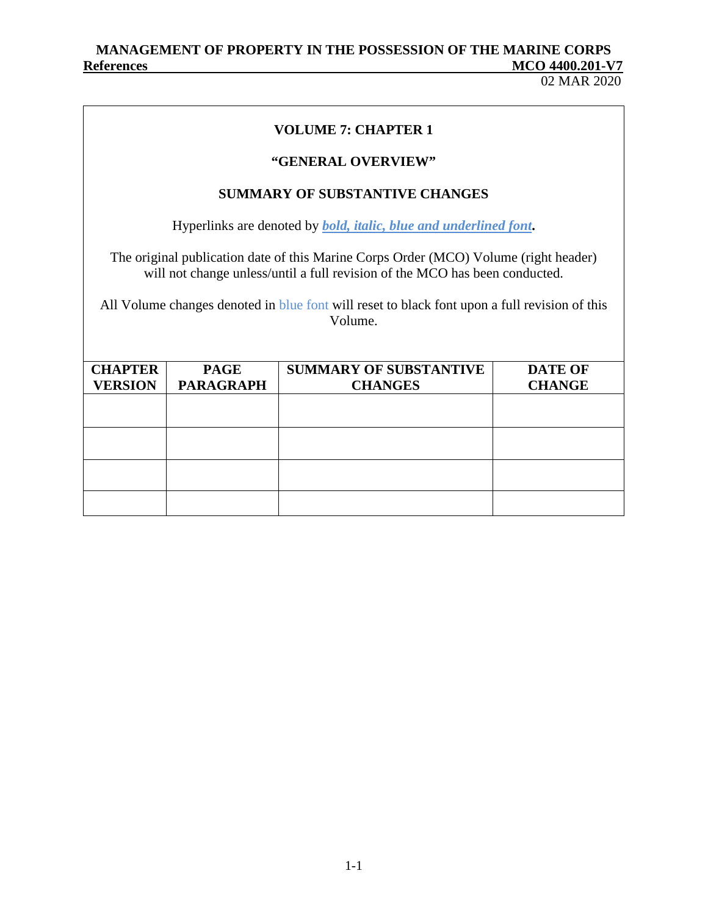02 MAR 2020

## **VOLUME 7: CHAPTER 1**

## **"GENERAL OVERVIEW"**

## **SUMMARY OF SUBSTANTIVE CHANGES**

Hyperlinks are denoted by *bold, italic, blue and underlined font***.**

The original publication date of this Marine Corps Order (MCO) Volume (right header) will not change unless/until a full revision of the MCO has been conducted.

All Volume changes denoted in blue font will reset to black font upon a full revision of this Volume.

| <b>CHAPTER</b> | <b>PAGE</b>      | <b>SUMMARY OF SUBSTANTIVE</b> | <b>DATE OF</b> |
|----------------|------------------|-------------------------------|----------------|
| <b>VERSION</b> | <b>PARAGRAPH</b> | <b>CHANGES</b>                | <b>CHANGE</b>  |
|                |                  |                               |                |
|                |                  |                               |                |
|                |                  |                               |                |
|                |                  |                               |                |
|                |                  |                               |                |
|                |                  |                               |                |
|                |                  |                               |                |
|                |                  |                               |                |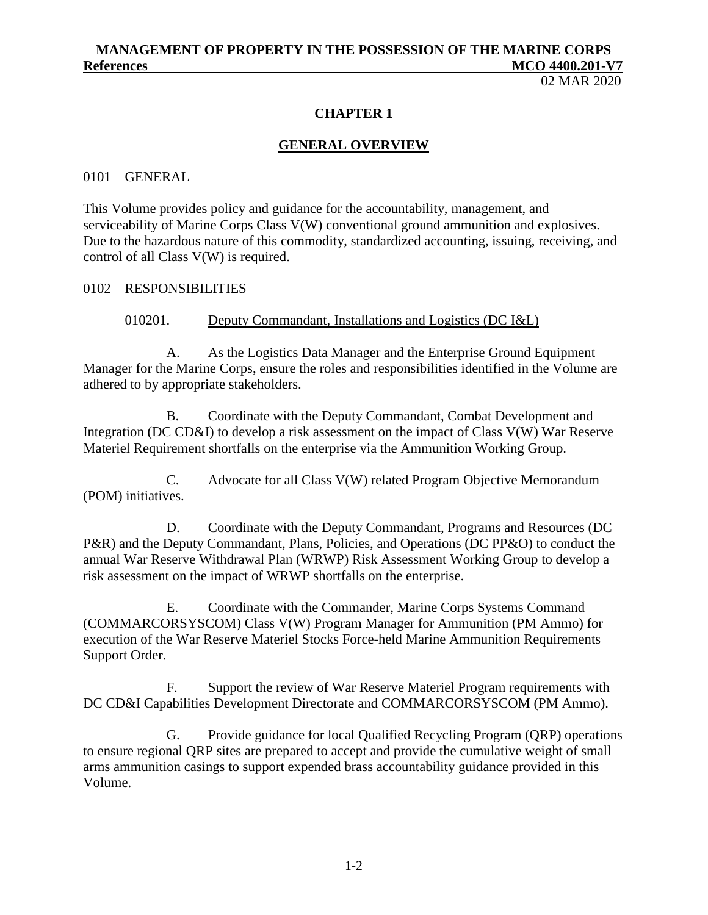02 MAR 2020

#### **CHAPTER 1**

#### **GENERAL OVERVIEW**

#### 0101 GENERAL

This Volume provides policy and guidance for the accountability, management, and serviceability of Marine Corps Class V(W) conventional ground ammunition and explosives. Due to the hazardous nature of this commodity, standardized accounting, issuing, receiving, and control of all Class V(W) is required.

#### 0102 RESPONSIBILITIES

#### 010201. Deputy Commandant, Installations and Logistics (DC I&L)

A. As the Logistics Data Manager and the Enterprise Ground Equipment Manager for the Marine Corps, ensure the roles and responsibilities identified in the Volume are adhered to by appropriate stakeholders.

B. Coordinate with the Deputy Commandant, Combat Development and Integration (DC CD&I) to develop a risk assessment on the impact of Class V(W) War Reserve Materiel Requirement shortfalls on the enterprise via the Ammunition Working Group.

C. Advocate for all Class V(W) related Program Objective Memorandum (POM) initiatives.

D. Coordinate with the Deputy Commandant, Programs and Resources (DC P&R) and the Deputy Commandant, Plans, Policies, and Operations (DC PP&O) to conduct the annual War Reserve Withdrawal Plan (WRWP) Risk Assessment Working Group to develop a risk assessment on the impact of WRWP shortfalls on the enterprise.

E. Coordinate with the Commander, Marine Corps Systems Command (COMMARCORSYSCOM) Class V(W) Program Manager for Ammunition (PM Ammo) for execution of the War Reserve Materiel Stocks Force-held Marine Ammunition Requirements Support Order.

F. Support the review of War Reserve Materiel Program requirements with DC CD&I Capabilities Development Directorate and COMMARCORSYSCOM (PM Ammo).

G. Provide guidance for local Qualified Recycling Program (QRP) operations to ensure regional QRP sites are prepared to accept and provide the cumulative weight of small arms ammunition casings to support expended brass accountability guidance provided in this Volume.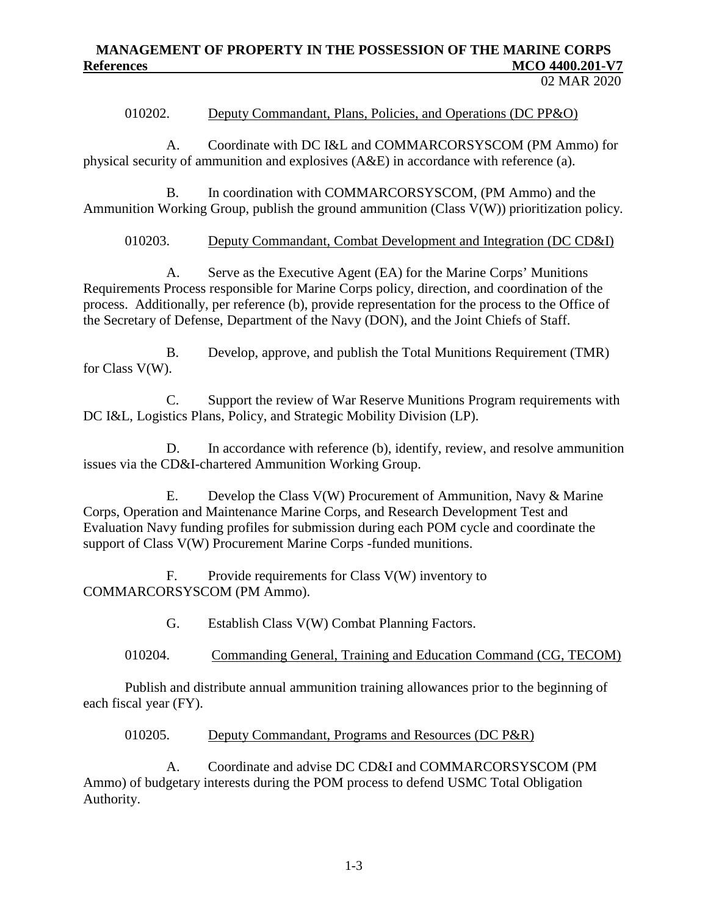02 MAR 2020

#### 010202. Deputy Commandant, Plans, Policies, and Operations (DC PP&O)

A. Coordinate with DC I&L and COMMARCORSYSCOM (PM Ammo) for physical security of ammunition and explosives (A&E) in accordance with reference (a).

B. In coordination with COMMARCORSYSCOM, (PM Ammo) and the Ammunition Working Group, publish the ground ammunition (Class V(W)) prioritization policy.

010203. Deputy Commandant, Combat Development and Integration (DC CD&I)

A. Serve as the Executive Agent (EA) for the Marine Corps' Munitions Requirements Process responsible for Marine Corps policy, direction, and coordination of the process. Additionally, per reference (b), provide representation for the process to the Office of the Secretary of Defense, Department of the Navy (DON), and the Joint Chiefs of Staff.

B. Develop, approve, and publish the Total Munitions Requirement (TMR) for Class V(W).

C. Support the review of War Reserve Munitions Program requirements with DC I&L, Logistics Plans, Policy, and Strategic Mobility Division (LP).

D. In accordance with reference (b), identify, review, and resolve ammunition issues via the CD&I-chartered Ammunition Working Group.

E. Develop the Class V(W) Procurement of Ammunition, Navy & Marine Corps, Operation and Maintenance Marine Corps, and Research Development Test and Evaluation Navy funding profiles for submission during each POM cycle and coordinate the support of Class V(W) Procurement Marine Corps -funded munitions.

F. Provide requirements for Class V(W) inventory to COMMARCORSYSCOM (PM Ammo).

G. Establish Class V(W) Combat Planning Factors.

010204. Commanding General, Training and Education Command (CG, TECOM)

Publish and distribute annual ammunition training allowances prior to the beginning of each fiscal year (FY).

#### 010205. Deputy Commandant, Programs and Resources (DC P&R)

A. Coordinate and advise DC CD&I and COMMARCORSYSCOM (PM Ammo) of budgetary interests during the POM process to defend USMC Total Obligation Authority.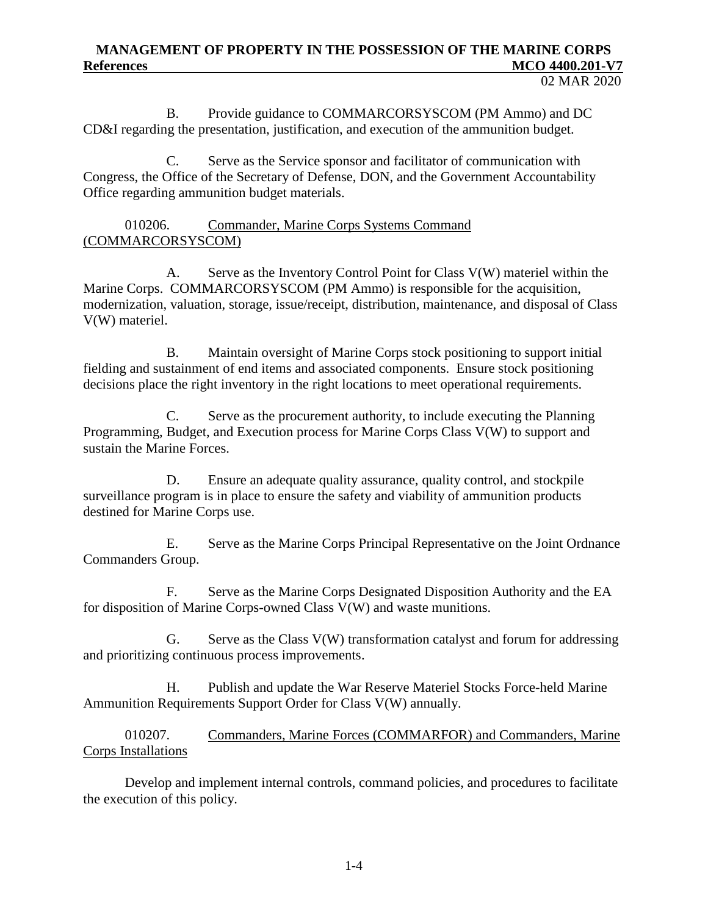B. Provide guidance to COMMARCORSYSCOM (PM Ammo) and DC CD&I regarding the presentation, justification, and execution of the ammunition budget.

C. Serve as the Service sponsor and facilitator of communication with Congress, the Office of the Secretary of Defense, DON, and the Government Accountability Office regarding ammunition budget materials.

## 010206. Commander, Marine Corps Systems Command (COMMARCORSYSCOM)

A. Serve as the Inventory Control Point for Class V(W) materiel within the Marine Corps. COMMARCORSYSCOM (PM Ammo) is responsible for the acquisition, modernization, valuation, storage, issue/receipt, distribution, maintenance, and disposal of Class V(W) materiel.

B. Maintain oversight of Marine Corps stock positioning to support initial fielding and sustainment of end items and associated components. Ensure stock positioning decisions place the right inventory in the right locations to meet operational requirements.

C. Serve as the procurement authority, to include executing the Planning Programming, Budget, and Execution process for Marine Corps Class V(W) to support and sustain the Marine Forces.

D. Ensure an adequate quality assurance, quality control, and stockpile surveillance program is in place to ensure the safety and viability of ammunition products destined for Marine Corps use.

E. Serve as the Marine Corps Principal Representative on the Joint Ordnance Commanders Group.

F. Serve as the Marine Corps Designated Disposition Authority and the EA for disposition of Marine Corps-owned Class V(W) and waste munitions.

G. Serve as the Class V(W) transformation catalyst and forum for addressing and prioritizing continuous process improvements.

H. Publish and update the War Reserve Materiel Stocks Force-held Marine Ammunition Requirements Support Order for Class V(W) annually.

010207. Commanders, Marine Forces (COMMARFOR) and Commanders, Marine Corps Installations

Develop and implement internal controls, command policies, and procedures to facilitate the execution of this policy.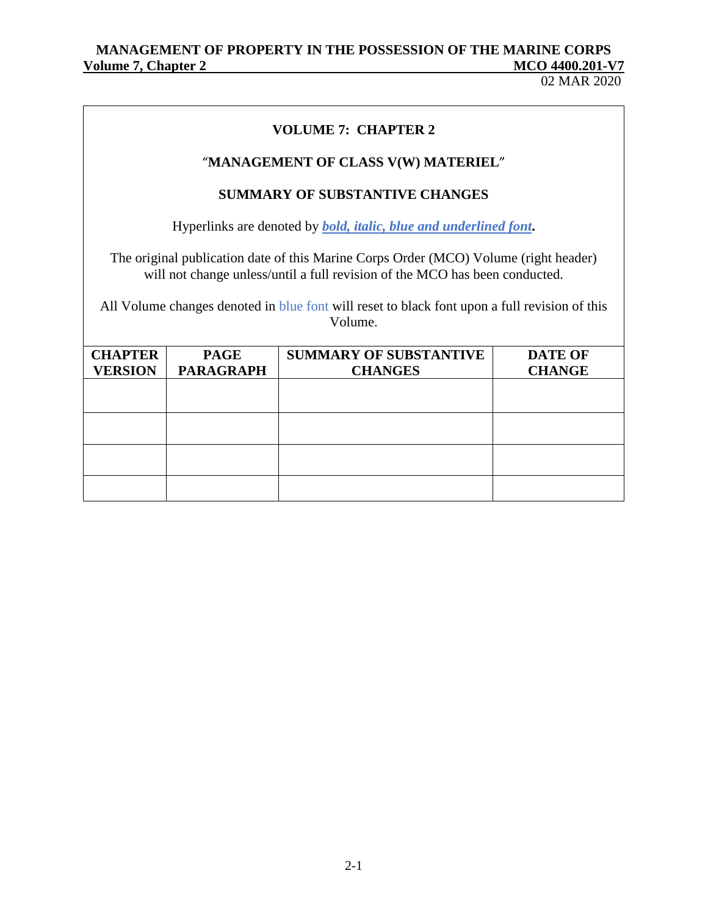02 MAR 2020

# **VOLUME 7: CHAPTER 2**

## "**MANAGEMENT OF CLASS V(W) MATERIEL**"

## **SUMMARY OF SUBSTANTIVE CHANGES**

Hyperlinks are denoted by *bold, italic, blue and underlined font***.**

The original publication date of this Marine Corps Order (MCO) Volume (right header) will not change unless/until a full revision of the MCO has been conducted.

All Volume changes denoted in blue font will reset to black font upon a full revision of this Volume.

| <b>CHAPTER</b><br><b>VERSION</b> | <b>PAGE</b><br><b>PARAGRAPH</b> | <b>SUMMARY OF SUBSTANTIVE</b><br><b>CHANGES</b> | <b>DATE OF</b><br><b>CHANGE</b> |
|----------------------------------|---------------------------------|-------------------------------------------------|---------------------------------|
|                                  |                                 |                                                 |                                 |
|                                  |                                 |                                                 |                                 |
|                                  |                                 |                                                 |                                 |
|                                  |                                 |                                                 |                                 |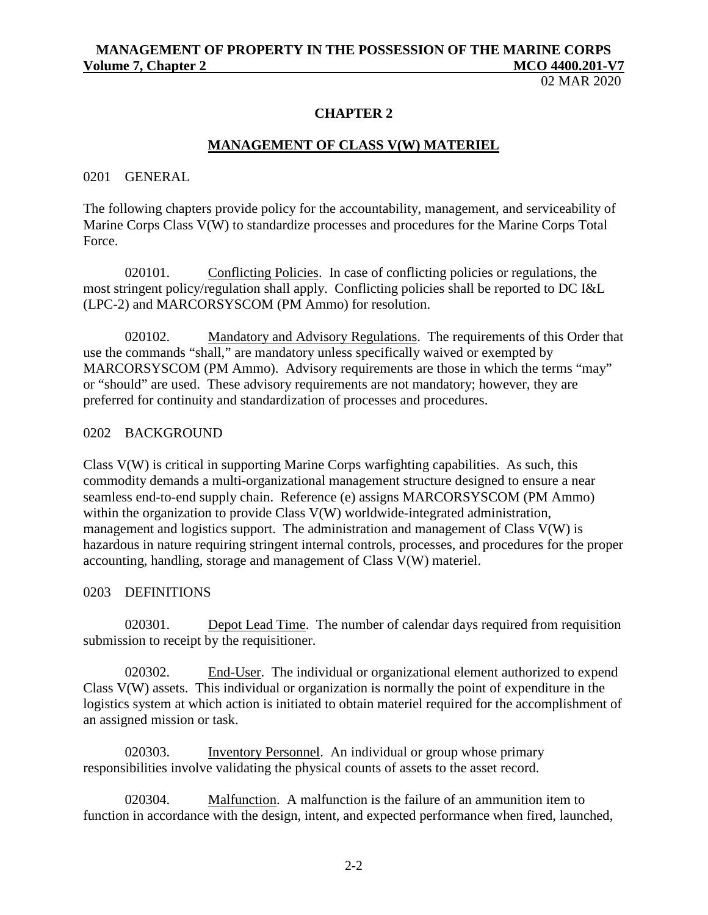02 MAR 2020

#### **CHAPTER 2**

#### **MANAGEMENT OF CLASS V(W) MATERIEL**

#### 0201 GENERAL

The following chapters provide policy for the accountability, management, and serviceability of Marine Corps Class V(W) to standardize processes and procedures for the Marine Corps Total Force.

020101. Conflicting Policies. In case of conflicting policies or regulations, the most stringent policy/regulation shall apply. Conflicting policies shall be reported to DC I&L (LPC-2) and MARCORSYSCOM (PM Ammo) for resolution.

020102. Mandatory and Advisory Regulations. The requirements of this Order that use the commands "shall," are mandatory unless specifically waived or exempted by MARCORSYSCOM (PM Ammo). Advisory requirements are those in which the terms "may" or "should" are used. These advisory requirements are not mandatory; however, they are preferred for continuity and standardization of processes and procedures.

#### 0202 BACKGROUND

Class V(W) is critical in supporting Marine Corps warfighting capabilities. As such, this commodity demands a multi-organizational management structure designed to ensure a near seamless end-to-end supply chain. Reference (e) assigns MARCORSYSCOM (PM Ammo) within the organization to provide Class V(W) worldwide-integrated administration, management and logistics support. The administration and management of Class V(W) is hazardous in nature requiring stringent internal controls, processes, and procedures for the proper accounting, handling, storage and management of Class V(W) materiel.

#### 0203 DEFINITIONS

020301. Depot Lead Time. The number of calendar days required from requisition submission to receipt by the requisitioner.

020302. End-User. The individual or organizational element authorized to expend Class V(W) assets. This individual or organization is normally the point of expenditure in the logistics system at which action is initiated to obtain materiel required for the accomplishment of an assigned mission or task.

020303. Inventory Personnel. An individual or group whose primary responsibilities involve validating the physical counts of assets to the asset record.

020304. Malfunction. A malfunction is the failure of an ammunition item to function in accordance with the design, intent, and expected performance when fired, launched,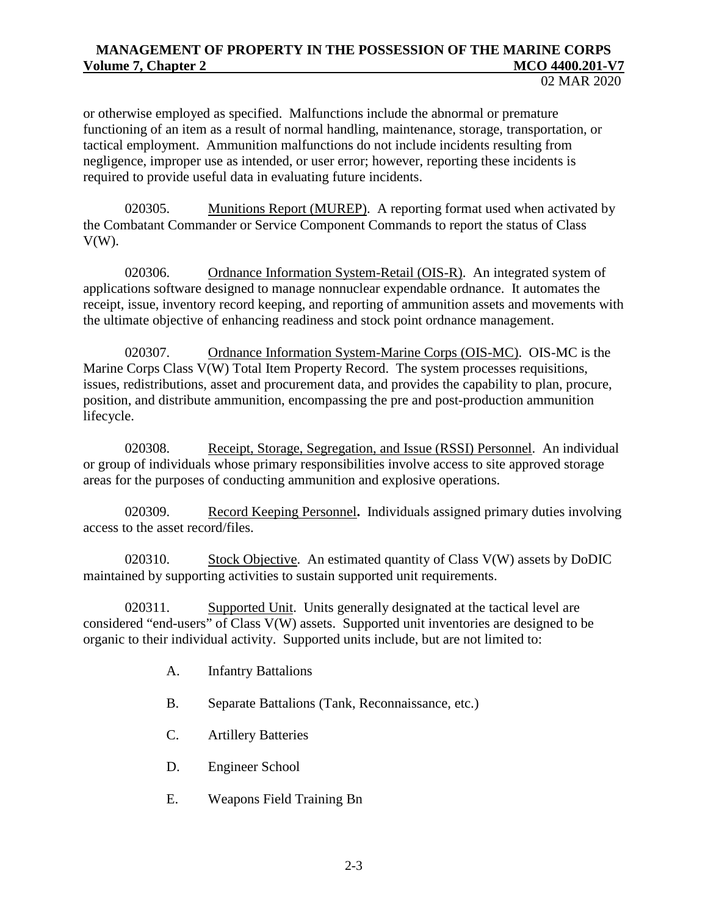or otherwise employed as specified. Malfunctions include the abnormal or premature functioning of an item as a result of normal handling, maintenance, storage, transportation, or tactical employment. Ammunition malfunctions do not include incidents resulting from negligence, improper use as intended, or user error; however, reporting these incidents is required to provide useful data in evaluating future incidents.

020305. Munitions Report (MUREP). A reporting format used when activated by the Combatant Commander or Service Component Commands to report the status of Class  $V(W)$ .

020306. Ordnance Information System-Retail (OIS-R). An integrated system of applications software designed to manage nonnuclear expendable ordnance. It automates the receipt, issue, inventory record keeping, and reporting of ammunition assets and movements with the ultimate objective of enhancing readiness and stock point ordnance management.

020307. Ordnance Information System-Marine Corps (OIS-MC). OIS-MC is the Marine Corps Class V(W) Total Item Property Record. The system processes requisitions, issues, redistributions, asset and procurement data, and provides the capability to plan, procure, position, and distribute ammunition, encompassing the pre and post-production ammunition lifecycle.

020308. Receipt, Storage, Segregation, and Issue (RSSI) Personnel. An individual or group of individuals whose primary responsibilities involve access to site approved storage areas for the purposes of conducting ammunition and explosive operations.

020309. Record Keeping Personnel**.** Individuals assigned primary duties involving access to the asset record/files.

020310. Stock Objective. An estimated quantity of Class V(W) assets by DoDIC maintained by supporting activities to sustain supported unit requirements.

020311. Supported Unit. Units generally designated at the tactical level are considered "end-users" of Class V(W) assets. Supported unit inventories are designed to be organic to their individual activity. Supported units include, but are not limited to:

- A. Infantry Battalions
- B. Separate Battalions (Tank, Reconnaissance, etc.)
- C. Artillery Batteries
- D. Engineer School
- E. Weapons Field Training Bn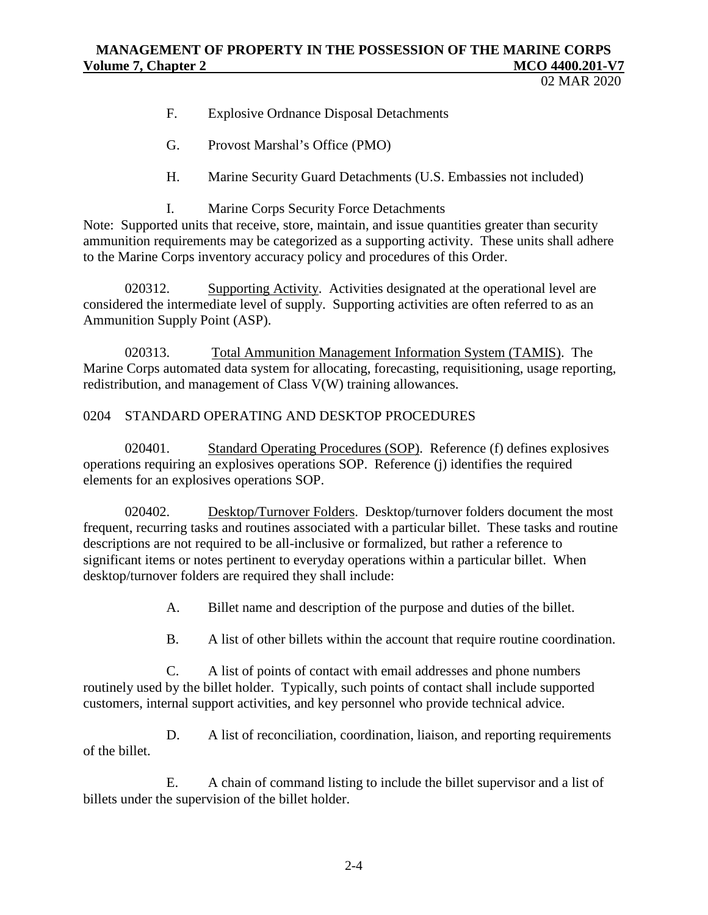02 MAR 2020

- F. Explosive Ordnance Disposal Detachments
- G. Provost Marshal's Office (PMO)
- H. Marine Security Guard Detachments (U.S. Embassies not included)
- I. Marine Corps Security Force Detachments

Note: Supported units that receive, store, maintain, and issue quantities greater than security ammunition requirements may be categorized as a supporting activity. These units shall adhere to the Marine Corps inventory accuracy policy and procedures of this Order.

020312. Supporting Activity. Activities designated at the operational level are considered the intermediate level of supply. Supporting activities are often referred to as an Ammunition Supply Point (ASP).

020313. Total Ammunition Management Information System (TAMIS). The Marine Corps automated data system for allocating, forecasting, requisitioning, usage reporting, redistribution, and management of Class V(W) training allowances.

## 0204 STANDARD OPERATING AND DESKTOP PROCEDURES

020401. Standard Operating Procedures (SOP). Reference (f) defines explosives operations requiring an explosives operations SOP. Reference (j) identifies the required elements for an explosives operations SOP.

020402. Desktop/Turnover Folders. Desktop/turnover folders document the most frequent, recurring tasks and routines associated with a particular billet. These tasks and routine descriptions are not required to be all-inclusive or formalized, but rather a reference to significant items or notes pertinent to everyday operations within a particular billet. When desktop/turnover folders are required they shall include:

- A. Billet name and description of the purpose and duties of the billet.
- B. A list of other billets within the account that require routine coordination.

C. A list of points of contact with email addresses and phone numbers routinely used by the billet holder. Typically, such points of contact shall include supported customers, internal support activities, and key personnel who provide technical advice.

D. A list of reconciliation, coordination, liaison, and reporting requirements of the billet.

E. A chain of command listing to include the billet supervisor and a list of billets under the supervision of the billet holder.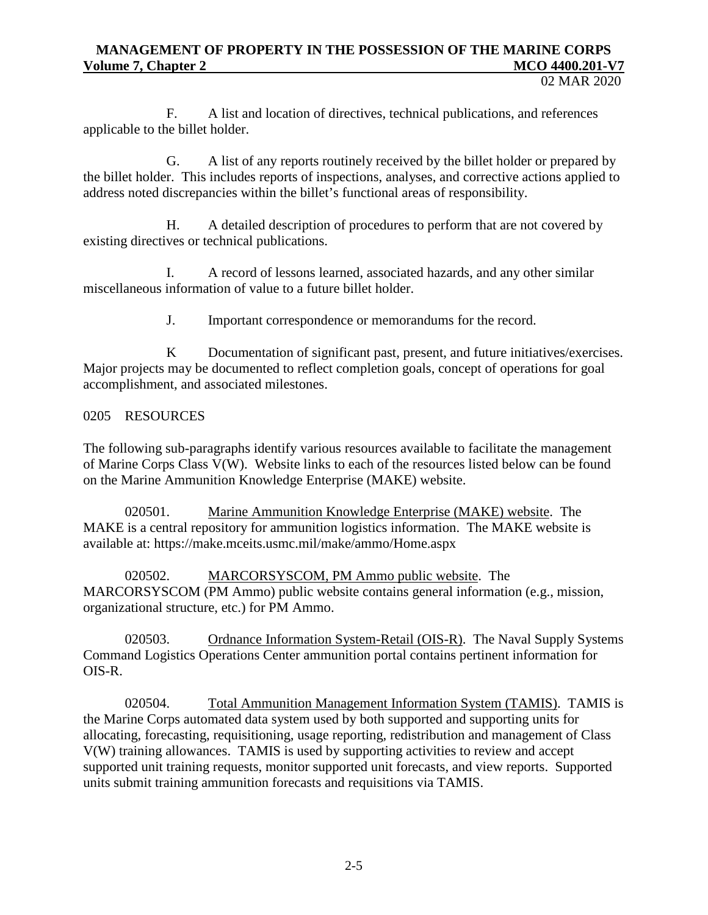F. A list and location of directives, technical publications, and references applicable to the billet holder.

G. A list of any reports routinely received by the billet holder or prepared by the billet holder. This includes reports of inspections, analyses, and corrective actions applied to address noted discrepancies within the billet's functional areas of responsibility.

H. A detailed description of procedures to perform that are not covered by existing directives or technical publications.

I. A record of lessons learned, associated hazards, and any other similar miscellaneous information of value to a future billet holder.

J. Important correspondence or memorandums for the record.

K Documentation of significant past, present, and future initiatives/exercises. Major projects may be documented to reflect completion goals, concept of operations for goal accomplishment, and associated milestones.

#### 0205 RESOURCES

The following sub-paragraphs identify various resources available to facilitate the management of Marine Corps Class V(W). Website links to each of the resources listed below can be found on the Marine Ammunition Knowledge Enterprise (MAKE) website.

020501. Marine Ammunition Knowledge Enterprise (MAKE) website. The MAKE is a central repository for ammunition logistics information. The MAKE website is available at:<https://make.mceits.usmc.mil/make/ammo/Home.aspx>

020502. MARCORSYSCOM, PM Ammo public website. The MARCORSYSCOM (PM Ammo) public website contains general information (e.g., mission, organizational structure, etc.) for PM Ammo.

020503. Ordnance Information System-Retail (OIS-R). The Naval Supply Systems Command Logistics Operations Center ammunition portal contains pertinent information for OIS-R.

020504. Total Ammunition Management Information System (TAMIS). TAMIS is the Marine Corps automated data system used by both supported and supporting units for allocating, forecasting, requisitioning, usage reporting, redistribution and management of Class V(W) training allowances. TAMIS is used by supporting activities to review and accept supported unit training requests, monitor supported unit forecasts, and view reports. Supported units submit training ammunition forecasts and requisitions via TAMIS.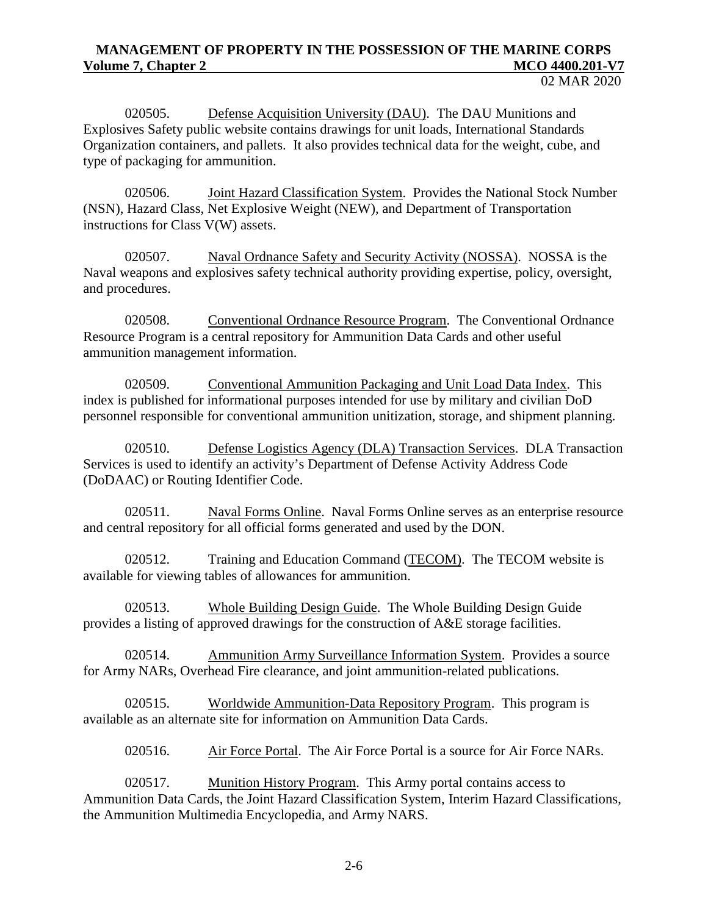020505. Defense Acquisition University (DAU). The DAU Munitions and Explosives Safety public website contains drawings for unit loads, International Standards Organization containers, and pallets. It also provides technical data for the weight, cube, and type of packaging for ammunition.

020506. Joint Hazard Classification System. Provides the National Stock Number (NSN), Hazard Class, Net Explosive Weight (NEW), and Department of Transportation instructions for Class V(W) assets.

020507. Naval Ordnance Safety and Security Activity (NOSSA). NOSSA is the Naval weapons and explosives safety technical authority providing expertise, policy, oversight, and procedures.

020508. Conventional Ordnance Resource Program. The Conventional Ordnance Resource Program is a central repository for Ammunition Data Cards and other useful ammunition management information.

020509. Conventional Ammunition Packaging and Unit Load Data Index. This index is published for informational purposes intended for use by military and civilian DoD personnel responsible for conventional ammunition unitization, storage, and shipment planning.

020510. Defense Logistics Agency (DLA) Transaction Services. DLA Transaction Services is used to identify an activity's Department of Defense Activity Address Code (DoDAAC) or Routing Identifier Code.

020511. Naval Forms Online. Naval Forms Online serves as an enterprise resource and central repository for all official forms generated and used by the DON.

020512. Training and Education Command (TECOM). The TECOM website is available for viewing tables of allowances for ammunition.

020513. Whole Building Design Guide. The Whole Building Design Guide provides a listing of approved drawings for the construction of A&E storage facilities.

020514. Ammunition Army Surveillance Information System. Provides a source for Army NARs, Overhead Fire clearance, and joint ammunition-related publications.

020515. Worldwide Ammunition-Data Repository Program. This program is available as an alternate site for information on Ammunition Data Cards.

020516. Air Force Portal. The Air Force Portal is a source for Air Force NARs.

020517. Munition History Program. This Army portal contains access to Ammunition Data Cards, the Joint Hazard Classification System, Interim Hazard Classifications, the Ammunition Multimedia Encyclopedia, and Army NARS.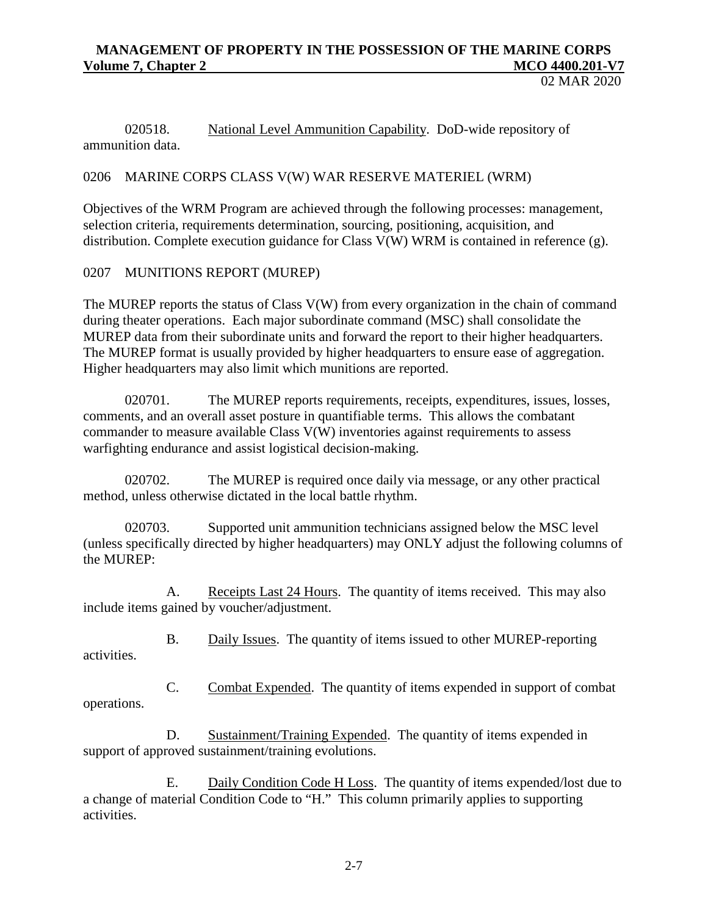02 MAR 2020

020518. National Level Ammunition Capability. DoD-wide repository of ammunition data.

## 0206 MARINE CORPS CLASS V(W) WAR RESERVE MATERIEL (WRM)

Objectives of the WRM Program are achieved through the following processes: management, selection criteria, requirements determination, sourcing, positioning, acquisition, and distribution. Complete execution guidance for Class V(W) WRM is contained in reference (g).

0207 MUNITIONS REPORT (MUREP)

The MUREP reports the status of Class V(W) from every organization in the chain of command during theater operations. Each major subordinate command (MSC) shall consolidate the MUREP data from their subordinate units and forward the report to their higher headquarters. The MUREP format is usually provided by higher headquarters to ensure ease of aggregation. Higher headquarters may also limit which munitions are reported.

020701. The MUREP reports requirements, receipts, expenditures, issues, losses, comments, and an overall asset posture in quantifiable terms. This allows the combatant commander to measure available Class V(W) inventories against requirements to assess warfighting endurance and assist logistical decision-making.

020702. The MUREP is required once daily via message, or any other practical method, unless otherwise dictated in the local battle rhythm.

020703. Supported unit ammunition technicians assigned below the MSC level (unless specifically directed by higher headquarters) may ONLY adjust the following columns of the MUREP:

A. Receipts Last 24 Hours. The quantity of items received. This may also include items gained by voucher/adjustment.

B. Daily Issues. The quantity of items issued to other MUREP-reporting activities.

C. Combat Expended. The quantity of items expended in support of combat operations.

D. Sustainment/Training Expended. The quantity of items expended in support of approved sustainment/training evolutions.

E. Daily Condition Code H Loss. The quantity of items expended/lost due to a change of material Condition Code to "H." This column primarily applies to supporting activities.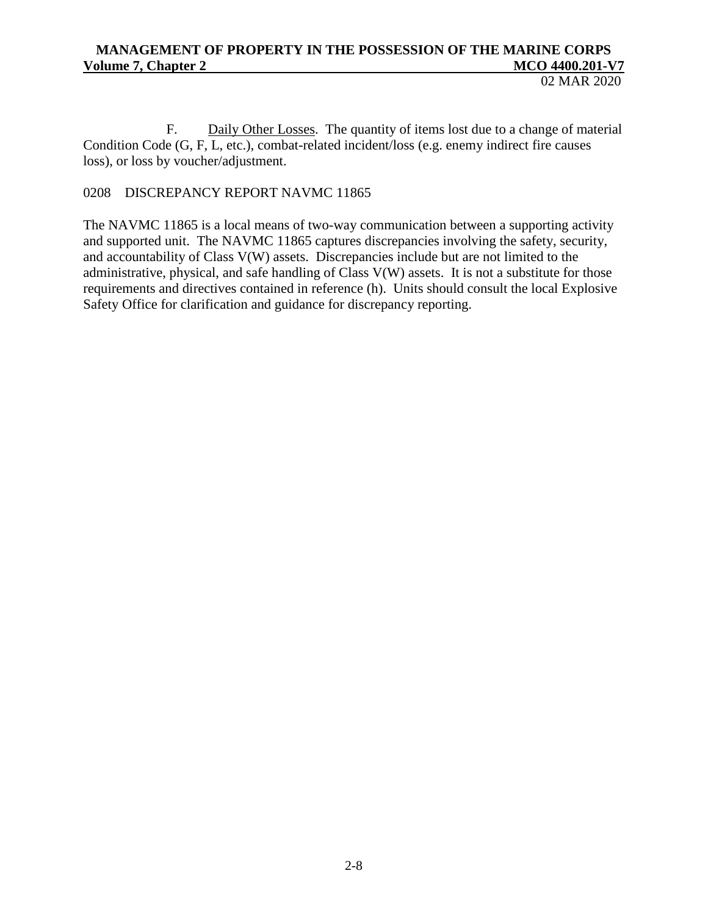02 MAR 2020

F. Daily Other Losses. The quantity of items lost due to a change of material Condition Code (G, F, L, etc.), combat-related incident/loss (e.g. enemy indirect fire causes loss), or loss by voucher/adjustment.

# 0208 DISCREPANCY REPORT NAVMC 11865

The NAVMC 11865 is a local means of two-way communication between a supporting activity and supported unit. The NAVMC 11865 captures discrepancies involving the safety, security, and accountability of Class V(W) assets. Discrepancies include but are not limited to the administrative, physical, and safe handling of Class V(W) assets. It is not a substitute for those requirements and directives contained in reference (h). Units should consult the local Explosive Safety Office for clarification and guidance for discrepancy reporting.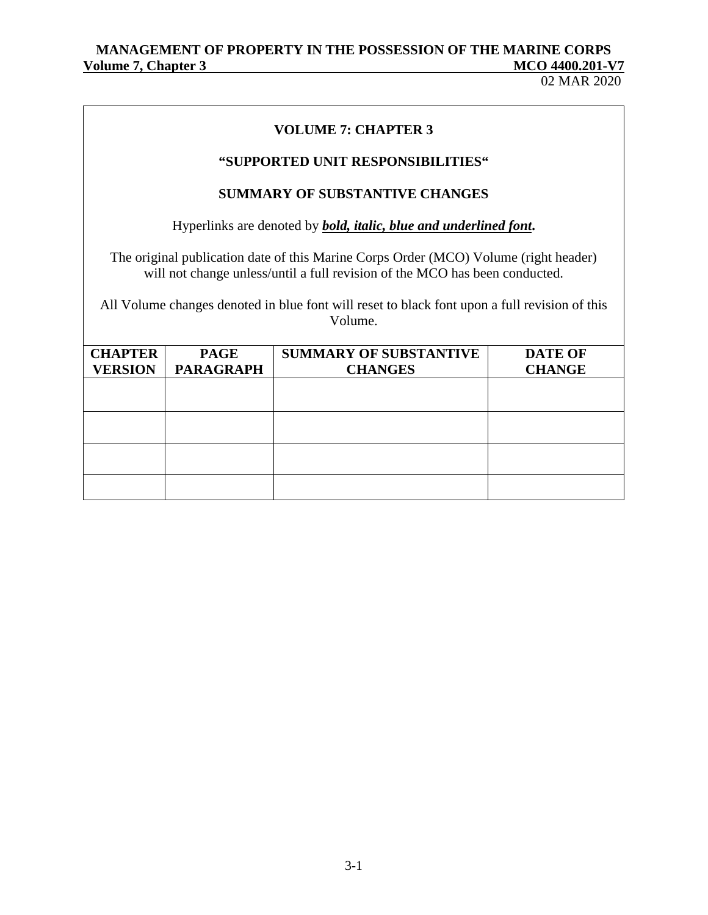02 MAR 2020

## **VOLUME 7: CHAPTER 3**

## **"SUPPORTED UNIT RESPONSIBILITIES"**

#### **SUMMARY OF SUBSTANTIVE CHANGES**

Hyperlinks are denoted by *bold, italic, blue and underlined font***.**

The original publication date of this Marine Corps Order (MCO) Volume (right header) will not change unless/until a full revision of the MCO has been conducted.

All Volume changes denoted in blue font will reset to black font upon a full revision of this Volume.

| <b>CHAPTER</b> | <b>PAGE</b>      | <b>SUMMARY OF SUBSTANTIVE</b> | <b>DATE OF</b> |
|----------------|------------------|-------------------------------|----------------|
| <b>VERSION</b> | <b>PARAGRAPH</b> | <b>CHANGES</b>                | <b>CHANGE</b>  |
|                |                  |                               |                |
|                |                  |                               |                |
|                |                  |                               |                |
|                |                  |                               |                |
|                |                  |                               |                |
|                |                  |                               |                |
|                |                  |                               |                |
|                |                  |                               |                |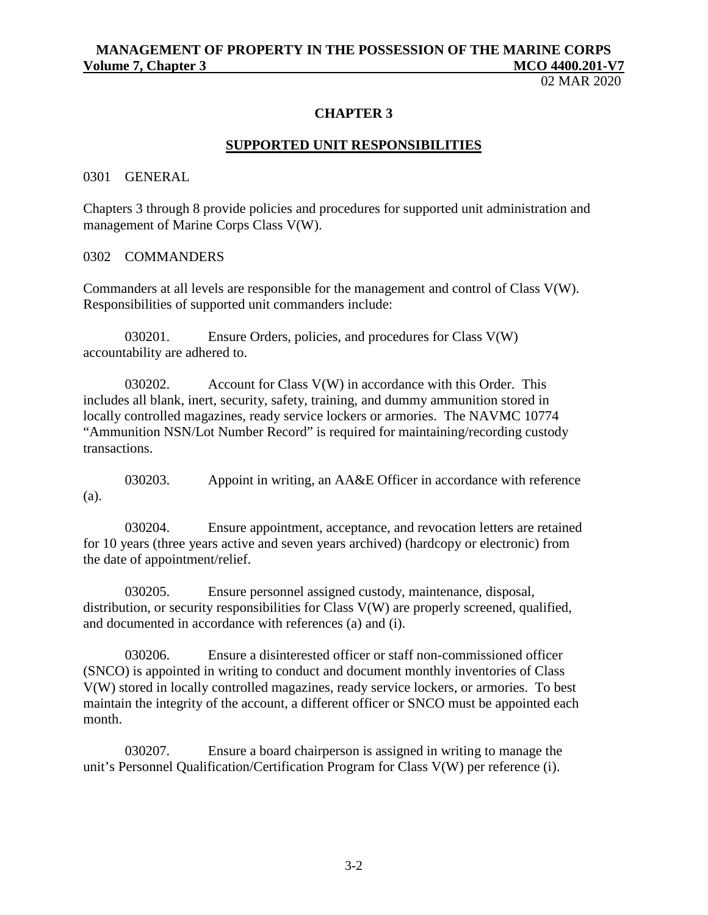02 MAR 2020

#### **CHAPTER 3**

#### **SUPPORTED UNIT RESPONSIBILITIES**

0301 GENERAL

Chapters 3 through 8 provide policies and procedures for supported unit administration and management of Marine Corps Class V(W).

0302 COMMANDERS

Commanders at all levels are responsible for the management and control of Class V(W). Responsibilities of supported unit commanders include:

030201. Ensure Orders, policies, and procedures for Class V(W) accountability are adhered to.

030202. Account for Class V(W) in accordance with this Order. This includes all blank, inert, security, safety, training, and dummy ammunition stored in locally controlled magazines, ready service lockers or armories. The NAVMC 10774 "Ammunition NSN/Lot Number Record" is required for maintaining/recording custody transactions.

030203. Appoint in writing, an AA&E Officer in accordance with reference (a).

030204. Ensure appointment, acceptance, and revocation letters are retained for 10 years (three years active and seven years archived) (hardcopy or electronic) from the date of appointment/relief.

030205. Ensure personnel assigned custody, maintenance, disposal, distribution, or security responsibilities for Class V(W) are properly screened, qualified, and documented in accordance with references (a) and (i).

030206. Ensure a disinterested officer or staff non-commissioned officer (SNCO) is appointed in writing to conduct and document monthly inventories of Class V(W) stored in locally controlled magazines, ready service lockers, or armories. To best maintain the integrity of the account, a different officer or SNCO must be appointed each month.

030207. Ensure a board chairperson is assigned in writing to manage the unit's Personnel Qualification/Certification Program for Class V(W) per reference (i).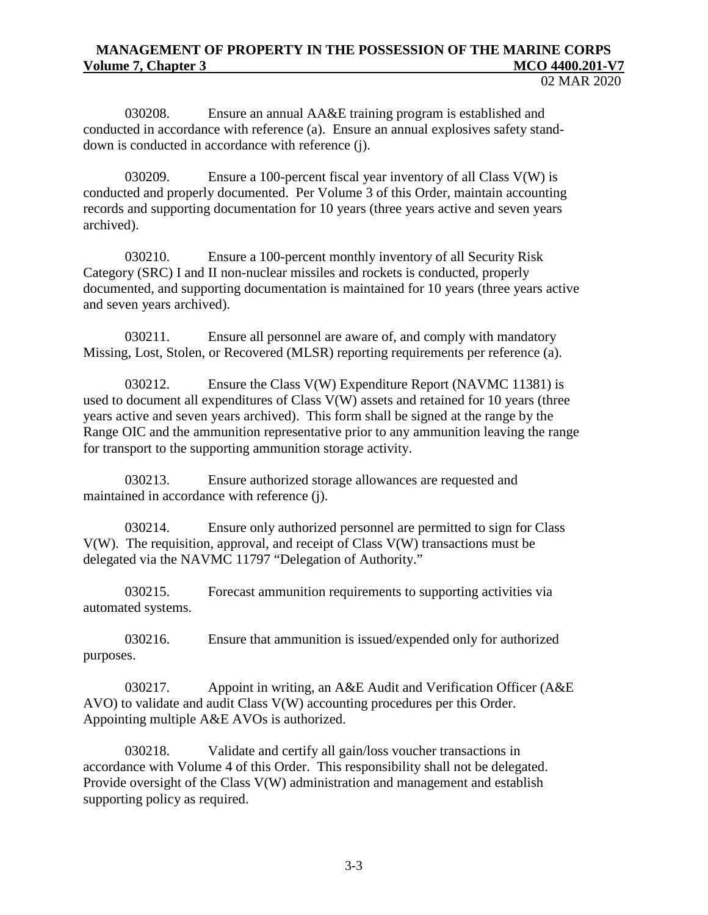02 MAR 2020

030208. Ensure an annual AA&E training program is established and conducted in accordance with reference (a). Ensure an annual explosives safety standdown is conducted in accordance with reference (j).

030209. Ensure a 100-percent fiscal year inventory of all Class V(W) is conducted and properly documented. Per Volume 3 of this Order, maintain accounting records and supporting documentation for 10 years (three years active and seven years archived).

030210. Ensure a 100-percent monthly inventory of all Security Risk Category (SRC) I and II non-nuclear missiles and rockets is conducted, properly documented, and supporting documentation is maintained for 10 years (three years active and seven years archived).

030211. Ensure all personnel are aware of, and comply with mandatory Missing, Lost, Stolen, or Recovered (MLSR) reporting requirements per reference (a).

030212. Ensure the Class V(W) Expenditure Report (NAVMC 11381) is used to document all expenditures of Class V(W) assets and retained for 10 years (three years active and seven years archived). This form shall be signed at the range by the Range OIC and the ammunition representative prior to any ammunition leaving the range for transport to the supporting ammunition storage activity.

030213. Ensure authorized storage allowances are requested and maintained in accordance with reference (j).

030214. Ensure only authorized personnel are permitted to sign for Class V(W). The requisition, approval, and receipt of Class V(W) transactions must be delegated via the NAVMC 11797 "Delegation of Authority."

030215. Forecast ammunition requirements to supporting activities via automated systems.

030216. Ensure that ammunition is issued/expended only for authorized purposes.

030217. Appoint in writing, an A&E Audit and Verification Officer (A&E AVO) to validate and audit Class V(W) accounting procedures per this Order. Appointing multiple A&E AVOs is authorized.

030218. Validate and certify all gain/loss voucher transactions in accordance with Volume 4 of this Order. This responsibility shall not be delegated. Provide oversight of the Class V(W) administration and management and establish supporting policy as required.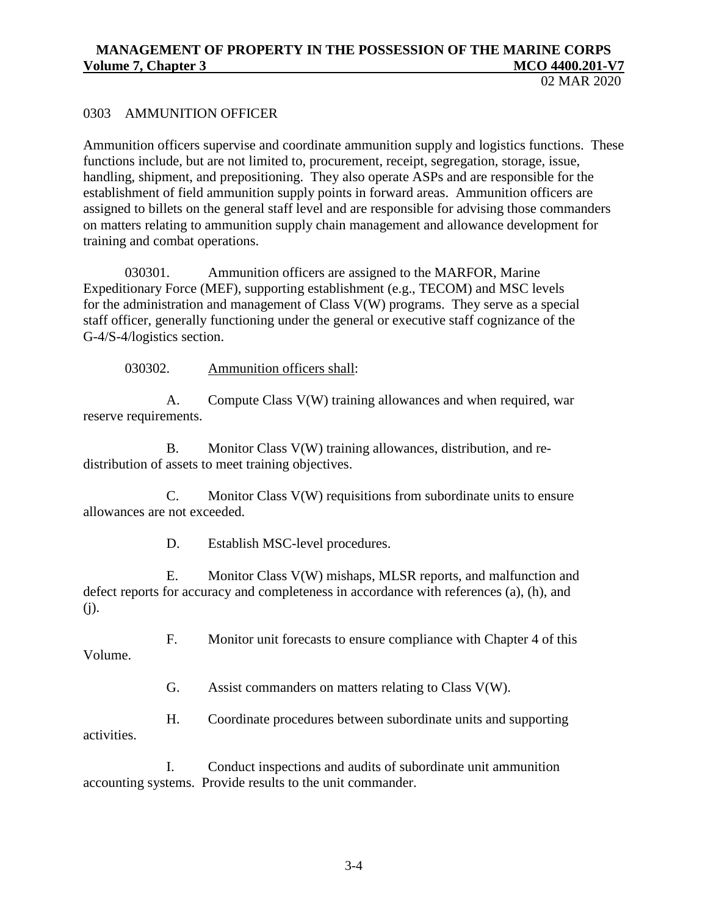02 MAR 2020

### 0303 AMMUNITION OFFICER

Ammunition officers supervise and coordinate ammunition supply and logistics functions. These functions include, but are not limited to, procurement, receipt, segregation, storage, issue, handling, shipment, and prepositioning. They also operate ASPs and are responsible for the establishment of field ammunition supply points in forward areas. Ammunition officers are assigned to billets on the general staff level and are responsible for advising those commanders on matters relating to ammunition supply chain management and allowance development for training and combat operations.

030301. Ammunition officers are assigned to the MARFOR, Marine Expeditionary Force (MEF), supporting establishment (e.g., TECOM) and MSC levels for the administration and management of Class V(W) programs. They serve as a special staff officer, generally functioning under the general or executive staff cognizance of the G-4/S-4/logistics section.

030302. Ammunition officers shall:

A. Compute Class V(W) training allowances and when required, war reserve requirements.

B. Monitor Class V(W) training allowances, distribution, and redistribution of assets to meet training objectives.

C. Monitor Class V(W) requisitions from subordinate units to ensure allowances are not exceeded.

D. Establish MSC-level procedures.

E. Monitor Class V(W) mishaps, MLSR reports, and malfunction and defect reports for accuracy and completeness in accordance with references (a), (h), and (j).

F. Monitor unit forecasts to ensure compliance with Chapter 4 of this

Volume.

G. Assist commanders on matters relating to Class V(W).

H. Coordinate procedures between subordinate units and supporting activities.

I. Conduct inspections and audits of subordinate unit ammunition accounting systems. Provide results to the unit commander.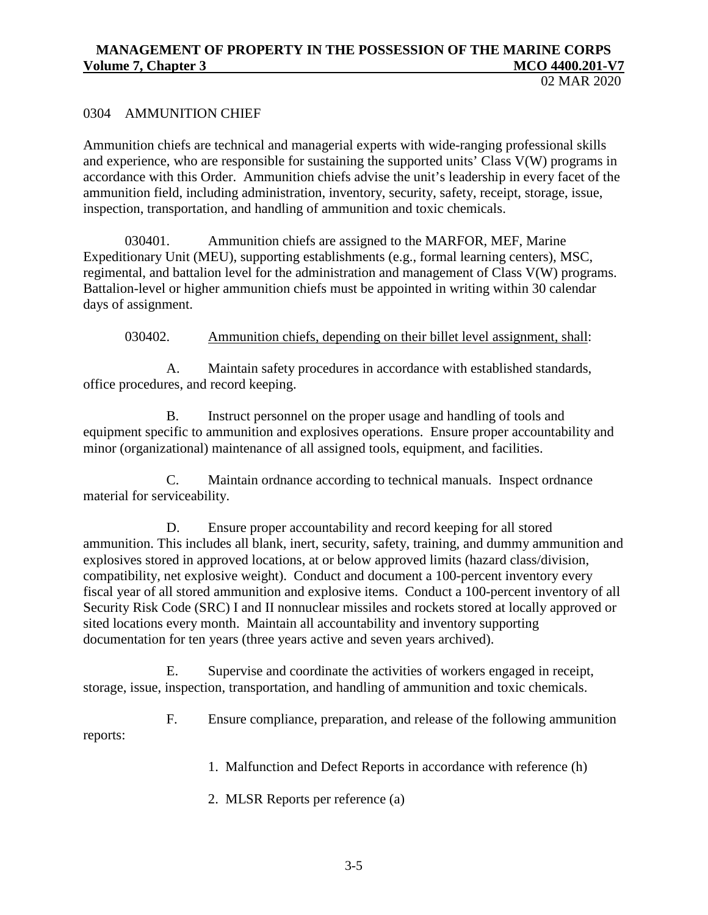### 0304 AMMUNITION CHIEF

Ammunition chiefs are technical and managerial experts with wide-ranging professional skills and experience, who are responsible for sustaining the supported units' Class V(W) programs in accordance with this Order. Ammunition chiefs advise the unit's leadership in every facet of the ammunition field, including administration, inventory, security, safety, receipt, storage, issue, inspection, transportation, and handling of ammunition and toxic chemicals.

030401. Ammunition chiefs are assigned to the MARFOR, MEF, Marine Expeditionary Unit (MEU), supporting establishments (e.g., formal learning centers), MSC, regimental, and battalion level for the administration and management of Class V(W) programs. Battalion-level or higher ammunition chiefs must be appointed in writing within 30 calendar days of assignment.

030402. Ammunition chiefs, depending on their billet level assignment, shall:

A. Maintain safety procedures in accordance with established standards, office procedures, and record keeping.

B. Instruct personnel on the proper usage and handling of tools and equipment specific to ammunition and explosives operations. Ensure proper accountability and minor (organizational) maintenance of all assigned tools, equipment, and facilities.

C. Maintain ordnance according to technical manuals. Inspect ordnance material for serviceability.

D. Ensure proper accountability and record keeping for all stored ammunition. This includes all blank, inert, security, safety, training, and dummy ammunition and explosives stored in approved locations, at or below approved limits (hazard class/division, compatibility, net explosive weight). Conduct and document a 100-percent inventory every fiscal year of all stored ammunition and explosive items. Conduct a 100-percent inventory of all Security Risk Code (SRC) I and II nonnuclear missiles and rockets stored at locally approved or sited locations every month. Maintain all accountability and inventory supporting documentation for ten years (three years active and seven years archived).

E. Supervise and coordinate the activities of workers engaged in receipt, storage, issue, inspection, transportation, and handling of ammunition and toxic chemicals.

F. Ensure compliance, preparation, and release of the following ammunition reports:

1. Malfunction and Defect Reports in accordance with reference (h)

2. MLSR Reports per reference (a)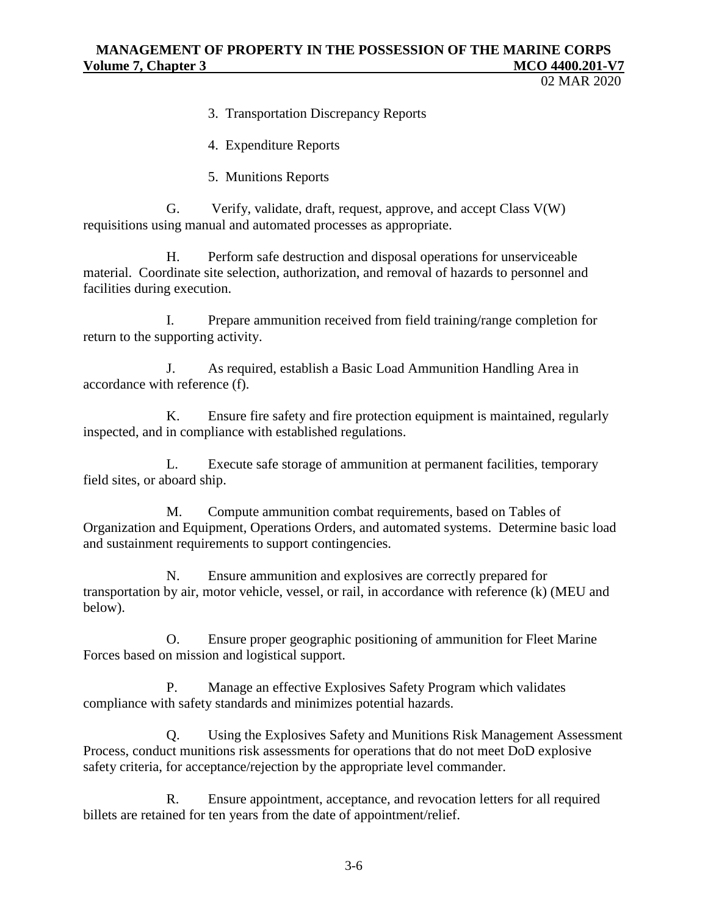02 MAR 2020

3. Transportation Discrepancy Reports

4. Expenditure Reports

5. Munitions Reports

G. Verify, validate, draft, request, approve, and accept Class V(W) requisitions using manual and automated processes as appropriate.

H. Perform safe destruction and disposal operations for unserviceable material. Coordinate site selection, authorization, and removal of hazards to personnel and facilities during execution.

I. Prepare ammunition received from field training/range completion for return to the supporting activity.

J. As required, establish a Basic Load Ammunition Handling Area in accordance with reference (f).

K. Ensure fire safety and fire protection equipment is maintained, regularly inspected, and in compliance with established regulations.

L. Execute safe storage of ammunition at permanent facilities, temporary field sites, or aboard ship.

M. Compute ammunition combat requirements, based on Tables of Organization and Equipment, Operations Orders, and automated systems. Determine basic load and sustainment requirements to support contingencies.

N. Ensure ammunition and explosives are correctly prepared for transportation by air, motor vehicle, vessel, or rail, in accordance with reference (k) (MEU and below).

O. Ensure proper geographic positioning of ammunition for Fleet Marine Forces based on mission and logistical support.

P. Manage an effective Explosives Safety Program which validates compliance with safety standards and minimizes potential hazards.

Q. Using the Explosives Safety and Munitions Risk Management Assessment Process, conduct munitions risk assessments for operations that do not meet DoD explosive safety criteria, for acceptance/rejection by the appropriate level commander.

R. Ensure appointment, acceptance, and revocation letters for all required billets are retained for ten years from the date of appointment/relief.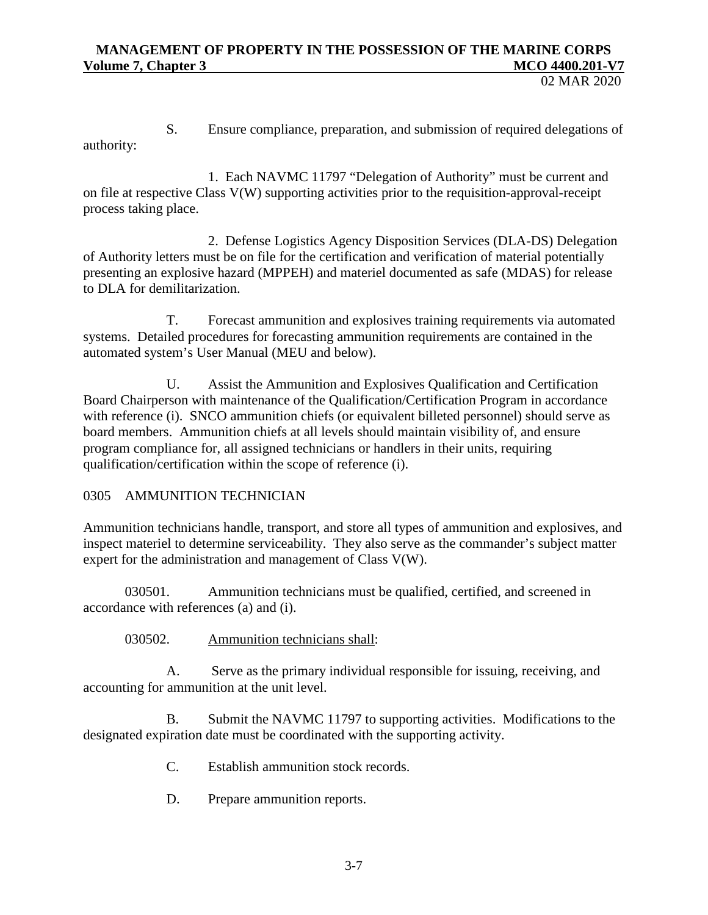02 MAR 2020

S. Ensure compliance, preparation, and submission of required delegations of authority:

1. Each NAVMC 11797 "Delegation of Authority" must be current and on file at respective Class V(W) supporting activities prior to the requisition-approval-receipt process taking place.

2. Defense Logistics Agency Disposition Services (DLA-DS) Delegation of Authority letters must be on file for the certification and verification of material potentially presenting an explosive hazard (MPPEH) and materiel documented as safe (MDAS) for release to DLA for demilitarization.

T. Forecast ammunition and explosives training requirements via automated systems. Detailed procedures for forecasting ammunition requirements are contained in the automated system's User Manual (MEU and below).

U. Assist the Ammunition and Explosives Qualification and Certification Board Chairperson with maintenance of the Qualification/Certification Program in accordance with reference (i). SNCO ammunition chiefs (or equivalent billeted personnel) should serve as board members. Ammunition chiefs at all levels should maintain visibility of, and ensure program compliance for, all assigned technicians or handlers in their units, requiring qualification/certification within the scope of reference (i).

# 0305 AMMUNITION TECHNICIAN

Ammunition technicians handle, transport, and store all types of ammunition and explosives, and inspect materiel to determine serviceability. They also serve as the commander's subject matter expert for the administration and management of Class V(W).

030501. Ammunition technicians must be qualified, certified, and screened in accordance with references (a) and (i).

030502. Ammunition technicians shall:

A. Serve as the primary individual responsible for issuing, receiving, and accounting for ammunition at the unit level.

B. Submit the NAVMC 11797 to supporting activities. Modifications to the designated expiration date must be coordinated with the supporting activity.

- C. Establish ammunition stock records.
- D. Prepare ammunition reports.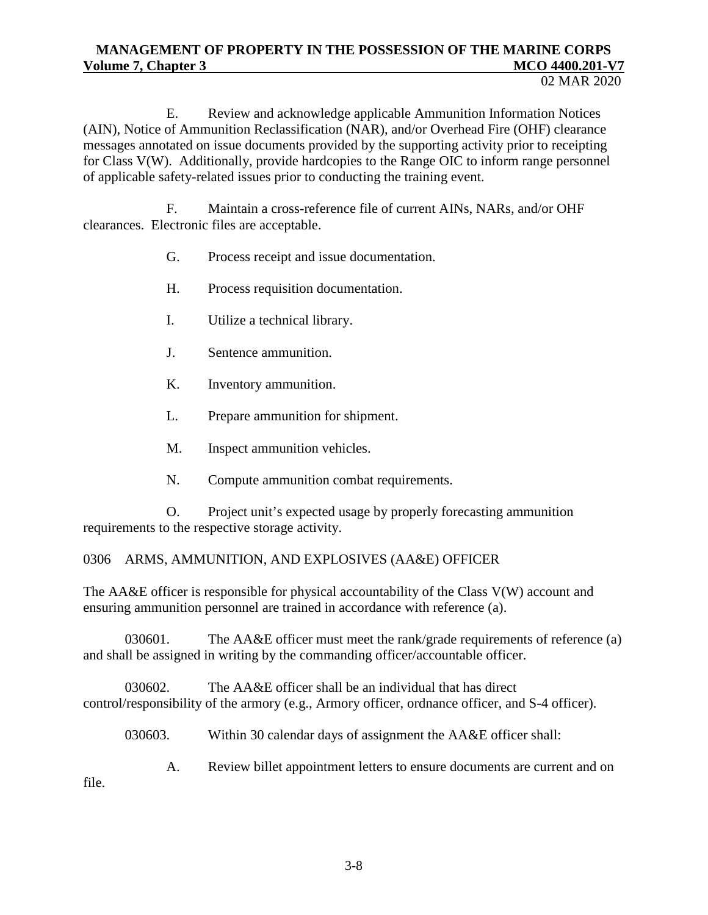E. Review and acknowledge applicable Ammunition Information Notices (AIN), Notice of Ammunition Reclassification (NAR), and/or Overhead Fire (OHF) clearance messages annotated on issue documents provided by the supporting activity prior to receipting for Class V(W). Additionally, provide hardcopies to the Range OIC to inform range personnel of applicable safety-related issues prior to conducting the training event.

F. Maintain a cross-reference file of current AINs, NARs, and/or OHF clearances. Electronic files are acceptable.

- G. Process receipt and issue documentation.
- H. Process requisition documentation.
- I. Utilize a technical library.
- J. Sentence ammunition.
- K. Inventory ammunition.
- L. Prepare ammunition for shipment.
- M. Inspect ammunition vehicles.
- N. Compute ammunition combat requirements.

O. Project unit's expected usage by properly forecasting ammunition requirements to the respective storage activity.

# 0306 ARMS, AMMUNITION, AND EXPLOSIVES (AA&E) OFFICER

The AA&E officer is responsible for physical accountability of the Class V(W) account and ensuring ammunition personnel are trained in accordance with reference (a).

030601. The AA&E officer must meet the rank/grade requirements of reference (a) and shall be assigned in writing by the commanding officer/accountable officer.

030602. The AA&E officer shall be an individual that has direct control/responsibility of the armory (e.g., Armory officer, ordnance officer, and S-4 officer).

030603. Within 30 calendar days of assignment the AA&E officer shall:

A. Review billet appointment letters to ensure documents are current and on file.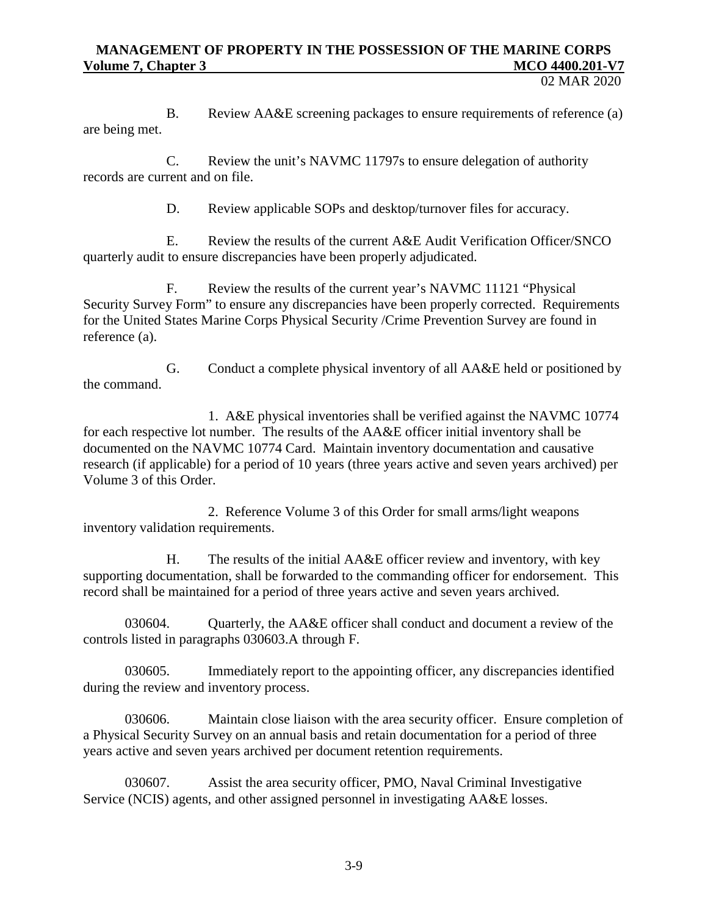02 MAR 2020

B. Review AA&E screening packages to ensure requirements of reference (a) are being met.

C. Review the unit's NAVMC 11797s to ensure delegation of authority records are current and on file.

D. Review applicable SOPs and desktop/turnover files for accuracy.

E. Review the results of the current A&E Audit Verification Officer/SNCO quarterly audit to ensure discrepancies have been properly adjudicated.

F. Review the results of the current year's NAVMC 11121 "Physical Security Survey Form" to ensure any discrepancies have been properly corrected. Requirements for the United States Marine Corps Physical Security /Crime Prevention Survey are found in reference (a).

G. Conduct a complete physical inventory of all AA&E held or positioned by the command.

1. A&E physical inventories shall be verified against the NAVMC 10774 for each respective lot number. The results of the AA&E officer initial inventory shall be documented on the NAVMC 10774 Card. Maintain inventory documentation and causative research (if applicable) for a period of 10 years (three years active and seven years archived) per Volume 3 of this Order.

2. Reference Volume 3 of this Order for small arms/light weapons inventory validation requirements.

H. The results of the initial AA&E officer review and inventory, with key supporting documentation, shall be forwarded to the commanding officer for endorsement. This record shall be maintained for a period of three years active and seven years archived.

030604. Quarterly, the AA&E officer shall conduct and document a review of the controls listed in paragraphs 030603.A through F.

030605. Immediately report to the appointing officer, any discrepancies identified during the review and inventory process.

030606. Maintain close liaison with the area security officer. Ensure completion of a Physical Security Survey on an annual basis and retain documentation for a period of three years active and seven years archived per document retention requirements.

030607. Assist the area security officer, PMO, Naval Criminal Investigative Service (NCIS) agents, and other assigned personnel in investigating AA&E losses.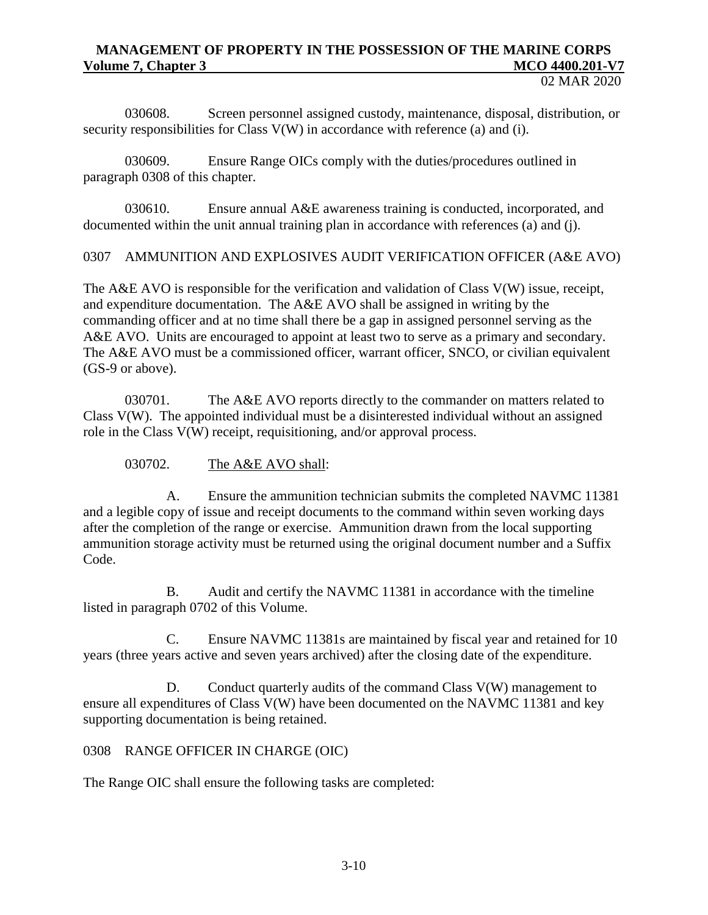030608. Screen personnel assigned custody, maintenance, disposal, distribution, or security responsibilities for Class V(W) in accordance with reference (a) and (i).

030609. Ensure Range OICs comply with the duties/procedures outlined in paragraph 0308 of this chapter.

030610. Ensure annual A&E awareness training is conducted, incorporated, and documented within the unit annual training plan in accordance with references (a) and (j).

0307 AMMUNITION AND EXPLOSIVES AUDIT VERIFICATION OFFICER (A&E AVO)

The A&E AVO is responsible for the verification and validation of Class V(W) issue, receipt, and expenditure documentation. The A&E AVO shall be assigned in writing by the commanding officer and at no time shall there be a gap in assigned personnel serving as the A&E AVO. Units are encouraged to appoint at least two to serve as a primary and secondary. The A&E AVO must be a commissioned officer, warrant officer, SNCO, or civilian equivalent (GS-9 or above).

030701. The A&E AVO reports directly to the commander on matters related to Class V(W). The appointed individual must be a disinterested individual without an assigned role in the Class V(W) receipt, requisitioning, and/or approval process.

030702. The A&E AVO shall:

A. Ensure the ammunition technician submits the completed NAVMC 11381 and a legible copy of issue and receipt documents to the command within seven working days after the completion of the range or exercise. Ammunition drawn from the local supporting ammunition storage activity must be returned using the original document number and a Suffix Code.

B. Audit and certify the NAVMC 11381 in accordance with the timeline listed in paragraph 0702 of this Volume.

C. Ensure NAVMC 11381s are maintained by fiscal year and retained for 10 years (three years active and seven years archived) after the closing date of the expenditure.

D. Conduct quarterly audits of the command Class  $V(W)$  management to ensure all expenditures of Class V(W) have been documented on the NAVMC 11381 and key supporting documentation is being retained.

# 0308 RANGE OFFICER IN CHARGE (OIC)

The Range OIC shall ensure the following tasks are completed: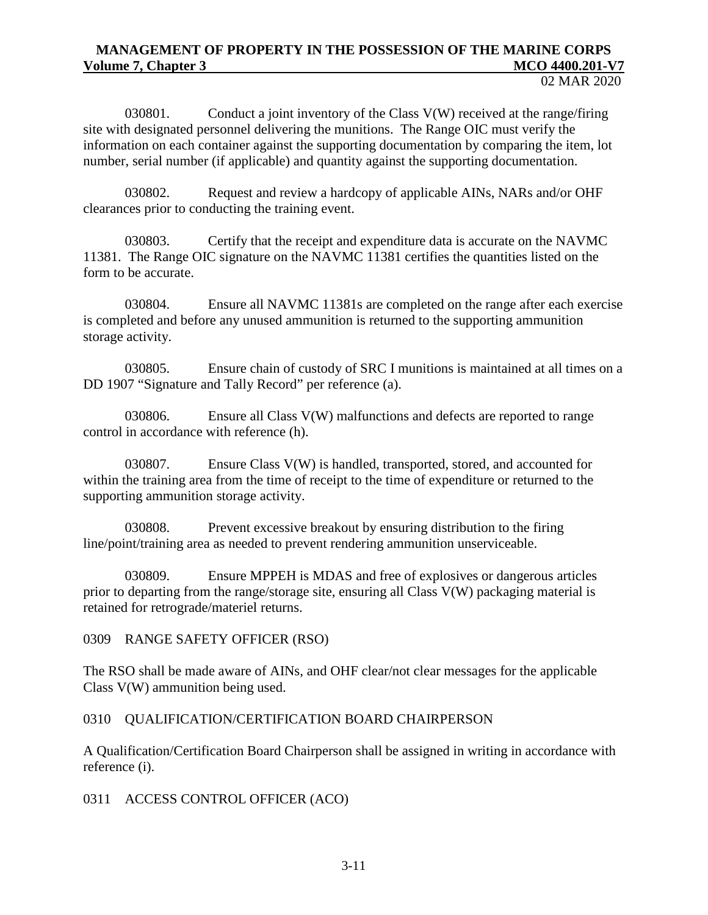030801. Conduct a joint inventory of the Class  $V(W)$  received at the range/firing site with designated personnel delivering the munitions. The Range OIC must verify the information on each container against the supporting documentation by comparing the item, lot number, serial number (if applicable) and quantity against the supporting documentation.

030802. Request and review a hardcopy of applicable AINs, NARs and/or OHF clearances prior to conducting the training event.

030803. Certify that the receipt and expenditure data is accurate on the NAVMC 11381. The Range OIC signature on the NAVMC 11381 certifies the quantities listed on the form to be accurate.

030804. Ensure all NAVMC 11381s are completed on the range after each exercise is completed and before any unused ammunition is returned to the supporting ammunition storage activity.

030805. Ensure chain of custody of SRC I munitions is maintained at all times on a DD 1907 "Signature and Tally Record" per reference (a).

030806. Ensure all Class  $V(W)$  malfunctions and defects are reported to range control in accordance with reference (h).

030807. Ensure Class V(W) is handled, transported, stored, and accounted for within the training area from the time of receipt to the time of expenditure or returned to the supporting ammunition storage activity.

030808. Prevent excessive breakout by ensuring distribution to the firing line/point/training area as needed to prevent rendering ammunition unserviceable.

030809. Ensure MPPEH is MDAS and free of explosives or dangerous articles prior to departing from the range/storage site, ensuring all Class V(W) packaging material is retained for retrograde/materiel returns.

0309 RANGE SAFETY OFFICER (RSO)

The RSO shall be made aware of AINs, and OHF clear/not clear messages for the applicable Class V(W) ammunition being used.

0310 QUALIFICATION/CERTIFICATION BOARD CHAIRPERSON

A Qualification/Certification Board Chairperson shall be assigned in writing in accordance with reference (i).

0311 ACCESS CONTROL OFFICER (ACO)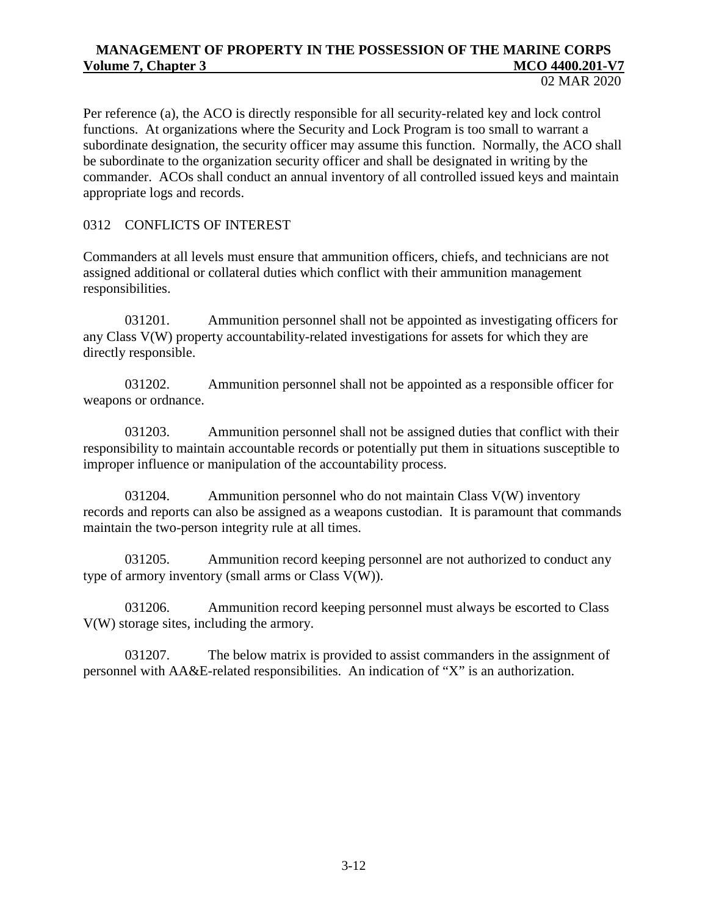Per reference (a), the ACO is directly responsible for all security-related key and lock control functions. At organizations where the Security and Lock Program is too small to warrant a subordinate designation, the security officer may assume this function. Normally, the ACO shall be subordinate to the organization security officer and shall be designated in writing by the commander. ACOs shall conduct an annual inventory of all controlled issued keys and maintain appropriate logs and records.

0312 CONFLICTS OF INTEREST

Commanders at all levels must ensure that ammunition officers, chiefs, and technicians are not assigned additional or collateral duties which conflict with their ammunition management responsibilities.

031201. Ammunition personnel shall not be appointed as investigating officers for any Class V(W) property accountability-related investigations for assets for which they are directly responsible.

031202. Ammunition personnel shall not be appointed as a responsible officer for weapons or ordnance.

031203. Ammunition personnel shall not be assigned duties that conflict with their responsibility to maintain accountable records or potentially put them in situations susceptible to improper influence or manipulation of the accountability process.

031204. Ammunition personnel who do not maintain Class  $V(W)$  inventory records and reports can also be assigned as a weapons custodian. It is paramount that commands maintain the two-person integrity rule at all times.

031205. Ammunition record keeping personnel are not authorized to conduct any type of armory inventory (small arms or Class  $V(W)$ ).

031206. Ammunition record keeping personnel must always be escorted to Class V(W) storage sites, including the armory.

031207. The below matrix is provided to assist commanders in the assignment of personnel with AA&E-related responsibilities. An indication of "X" is an authorization.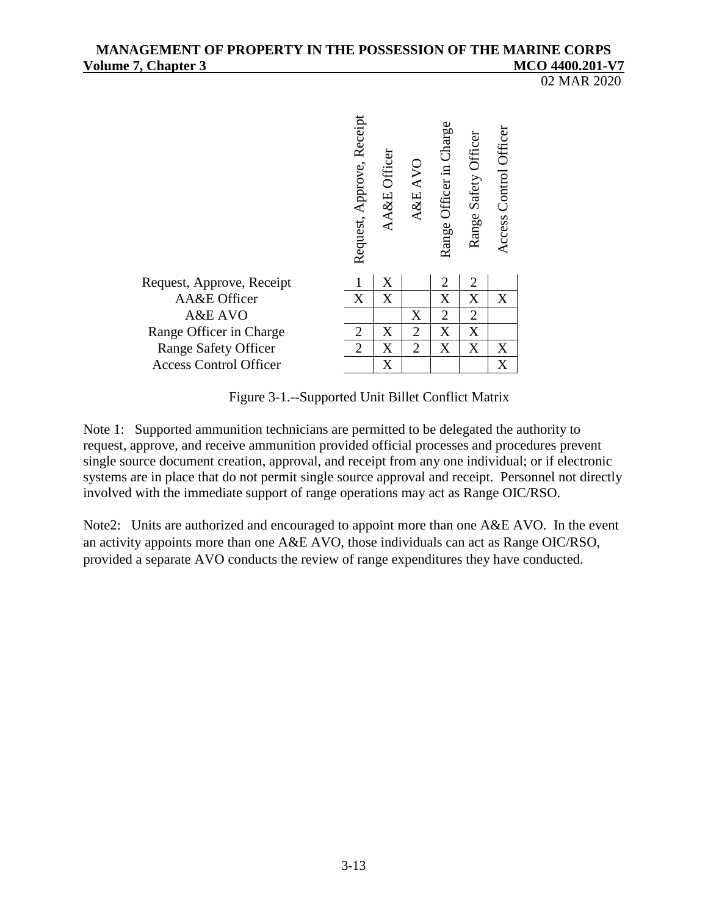02 MAR 2020



Figure 3-1.--Supported Unit Billet Conflict Matrix

Note 1: Supported ammunition technicians are permitted to be delegated the authority to request, approve, and receive ammunition provided official processes and procedures prevent single source document creation, approval, and receipt from any one individual; or if electronic systems are in place that do not permit single source approval and receipt. Personnel not directly involved with the immediate support of range operations may act as Range OIC/RSO.

Note2: Units are authorized and encouraged to appoint more than one A&E AVO. In the event an activity appoints more than one A&E AVO, those individuals can act as Range OIC/RSO, provided a separate AVO conducts the review of range expenditures they have conducted.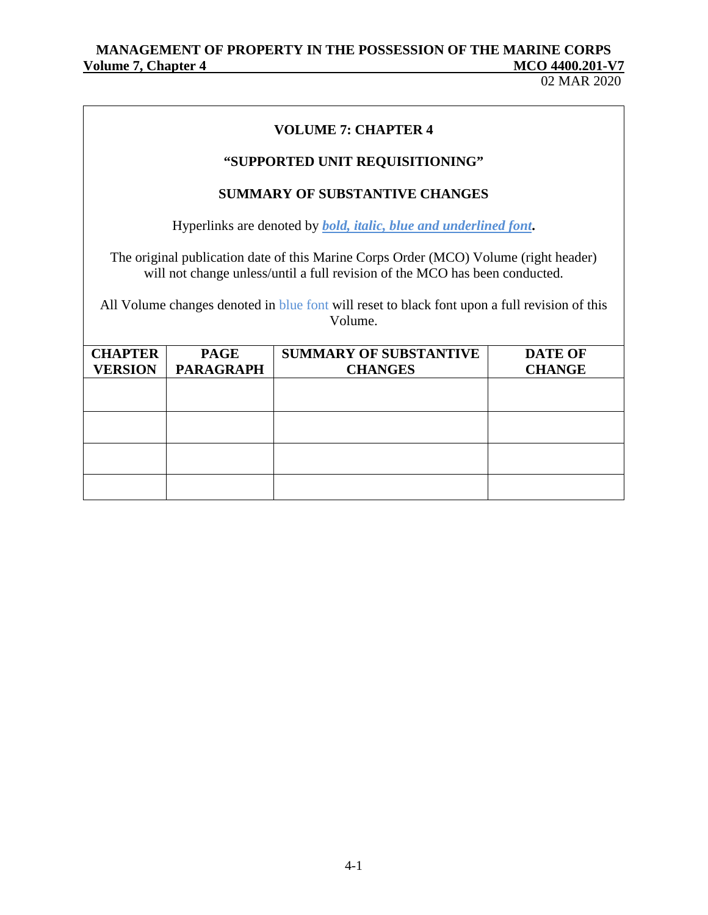02 MAR 2020

## **VOLUME 7: CHAPTER 4**

# **"SUPPORTED UNIT REQUISITIONING"**

# **SUMMARY OF SUBSTANTIVE CHANGES**

Hyperlinks are denoted by *bold, italic, blue and underlined font***.**

The original publication date of this Marine Corps Order (MCO) Volume (right header) will not change unless/until a full revision of the MCO has been conducted.

All Volume changes denoted in blue font will reset to black font upon a full revision of this Volume.

| <b>CHAPTER</b> | <b>PAGE</b>      | <b>SUMMARY OF SUBSTANTIVE</b> | <b>DATE OF</b> |
|----------------|------------------|-------------------------------|----------------|
| <b>VERSION</b> | <b>PARAGRAPH</b> | <b>CHANGES</b>                | <b>CHANGE</b>  |
|                |                  |                               |                |
|                |                  |                               |                |
|                |                  |                               |                |
|                |                  |                               |                |
|                |                  |                               |                |
|                |                  |                               |                |
|                |                  |                               |                |
|                |                  |                               |                |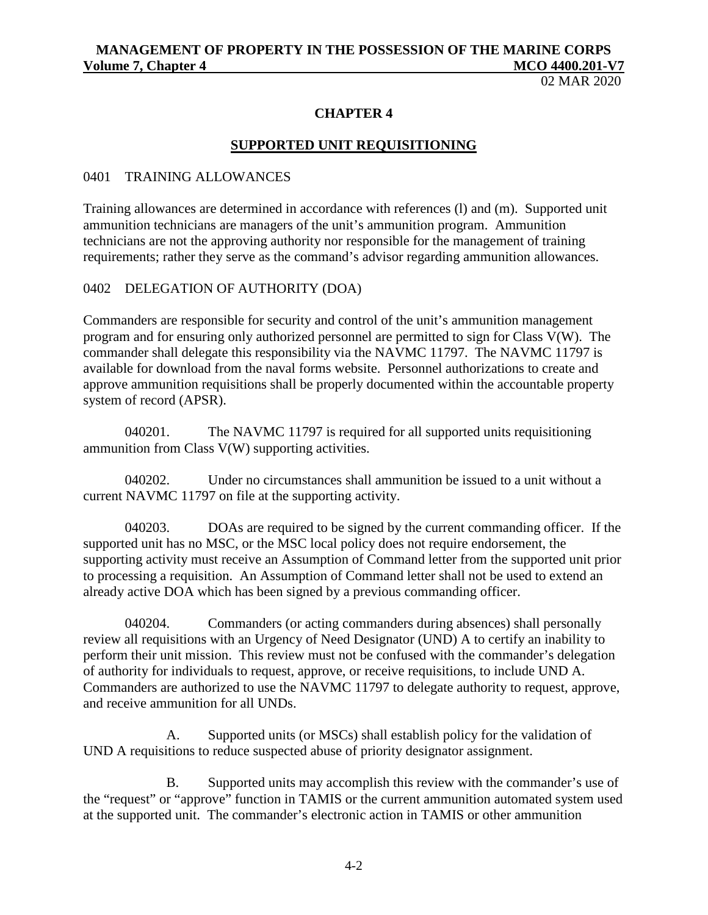02 MAR 2020

## **CHAPTER 4**

#### **SUPPORTED UNIT REQUISITIONING**

#### 0401 TRAINING ALLOWANCES

Training allowances are determined in accordance with references (l) and (m). Supported unit ammunition technicians are managers of the unit's ammunition program. Ammunition technicians are not the approving authority nor responsible for the management of training requirements; rather they serve as the command's advisor regarding ammunition allowances.

#### 0402 DELEGATION OF AUTHORITY (DOA)

Commanders are responsible for security and control of the unit's ammunition management program and for ensuring only authorized personnel are permitted to sign for Class V(W). The commander shall delegate this responsibility via the NAVMC 11797. The NAVMC 11797 is available for download from the naval forms website. Personnel authorizations to create and approve ammunition requisitions shall be properly documented within the accountable property system of record (APSR).

040201. The NAVMC 11797 is required for all supported units requisitioning ammunition from Class V(W) supporting activities.

040202. Under no circumstances shall ammunition be issued to a unit without a current NAVMC 11797 on file at the supporting activity.

040203. DOAs are required to be signed by the current commanding officer. If the supported unit has no MSC, or the MSC local policy does not require endorsement, the supporting activity must receive an Assumption of Command letter from the supported unit prior to processing a requisition. An Assumption of Command letter shall not be used to extend an already active DOA which has been signed by a previous commanding officer.

040204. Commanders (or acting commanders during absences) shall personally review all requisitions with an Urgency of Need Designator (UND) A to certify an inability to perform their unit mission. This review must not be confused with the commander's delegation of authority for individuals to request, approve, or receive requisitions, to include UND A. Commanders are authorized to use the NAVMC 11797 to delegate authority to request, approve, and receive ammunition for all UNDs.

A. Supported units (or MSCs) shall establish policy for the validation of UND A requisitions to reduce suspected abuse of priority designator assignment.

B. Supported units may accomplish this review with the commander's use of the "request" or "approve" function in TAMIS or the current ammunition automated system used at the supported unit. The commander's electronic action in TAMIS or other ammunition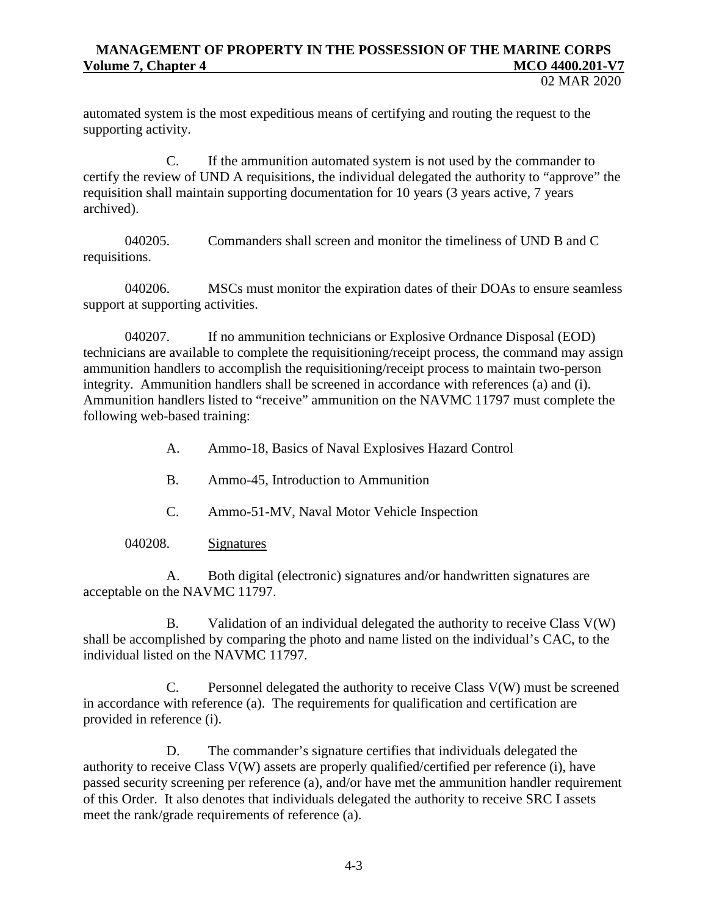02 MAR 2020

automated system is the most expeditious means of certifying and routing the request to the supporting activity.

C. If the ammunition automated system is not used by the commander to certify the review of UND A requisitions, the individual delegated the authority to "approve" the requisition shall maintain supporting documentation for 10 years (3 years active, 7 years archived).

040205. Commanders shall screen and monitor the timeliness of UND B and C requisitions.

040206. MSCs must monitor the expiration dates of their DOAs to ensure seamless support at supporting activities.

040207. If no ammunition technicians or Explosive Ordnance Disposal (EOD) technicians are available to complete the requisitioning/receipt process, the command may assign ammunition handlers to accomplish the requisitioning/receipt process to maintain two-person integrity. Ammunition handlers shall be screened in accordance with references (a) and (i). Ammunition handlers listed to "receive" ammunition on the NAVMC 11797 must complete the following web-based training:

- A. Ammo-18, Basics of Naval Explosives Hazard Control
- B. Ammo-45, Introduction to Ammunition
- C. Ammo-51-MV, Naval Motor Vehicle Inspection

040208. Signatures

A. Both digital (electronic) signatures and/or handwritten signatures are acceptable on the NAVMC 11797.

B. Validation of an individual delegated the authority to receive Class V(W) shall be accomplished by comparing the photo and name listed on the individual's CAC, to the individual listed on the NAVMC 11797.

C. Personnel delegated the authority to receive Class V(W) must be screened in accordance with reference (a). The requirements for qualification and certification are provided in reference (i).

D. The commander's signature certifies that individuals delegated the authority to receive Class V(W) assets are properly qualified/certified per reference (i), have passed security screening per reference (a), and/or have met the ammunition handler requirement of this Order. It also denotes that individuals delegated the authority to receive SRC I assets meet the rank/grade requirements of reference (a).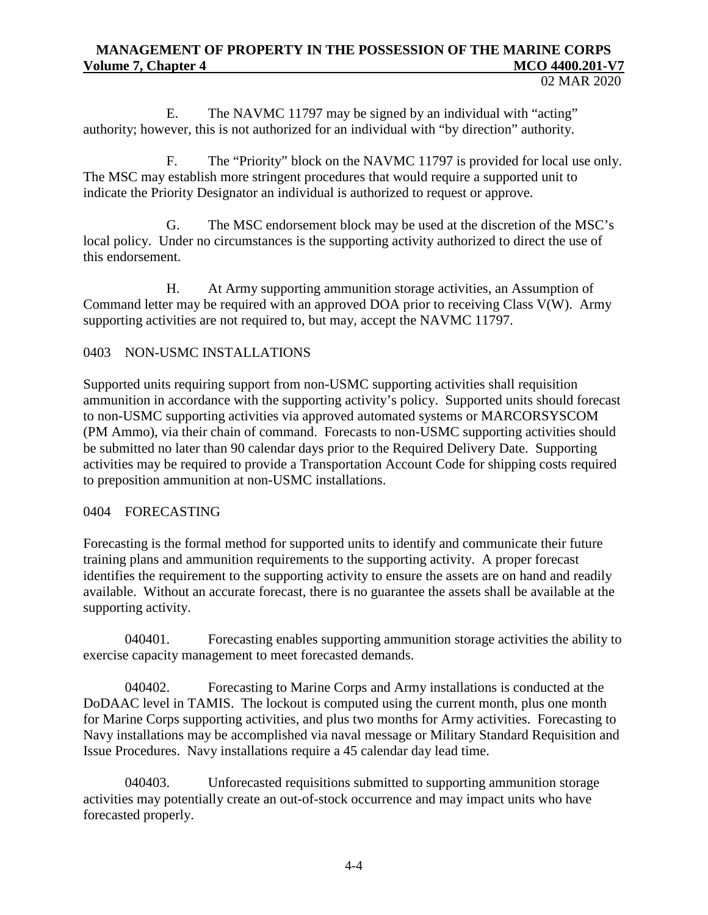E. The NAVMC 11797 may be signed by an individual with "acting" authority; however, this is not authorized for an individual with "by direction" authority.

F. The "Priority" block on the NAVMC 11797 is provided for local use only. The MSC may establish more stringent procedures that would require a supported unit to indicate the Priority Designator an individual is authorized to request or approve.

G. The MSC endorsement block may be used at the discretion of the MSC's local policy. Under no circumstances is the supporting activity authorized to direct the use of this endorsement.

H. At Army supporting ammunition storage activities, an Assumption of Command letter may be required with an approved DOA prior to receiving Class V(W). Army supporting activities are not required to, but may, accept the NAVMC 11797.

# 0403 NON-USMC INSTALLATIONS

Supported units requiring support from non-USMC supporting activities shall requisition ammunition in accordance with the supporting activity's policy. Supported units should forecast to non-USMC supporting activities via approved automated systems or MARCORSYSCOM (PM Ammo), via their chain of command. Forecasts to non-USMC supporting activities should be submitted no later than 90 calendar days prior to the Required Delivery Date. Supporting activities may be required to provide a Transportation Account Code for shipping costs required to preposition ammunition at non-USMC installations.

#### 0404 FORECASTING

Forecasting is the formal method for supported units to identify and communicate their future training plans and ammunition requirements to the supporting activity. A proper forecast identifies the requirement to the supporting activity to ensure the assets are on hand and readily available. Without an accurate forecast, there is no guarantee the assets shall be available at the supporting activity.

040401. Forecasting enables supporting ammunition storage activities the ability to exercise capacity management to meet forecasted demands.

040402. Forecasting to Marine Corps and Army installations is conducted at the DoDAAC level in TAMIS. The lockout is computed using the current month, plus one month for Marine Corps supporting activities, and plus two months for Army activities. Forecasting to Navy installations may be accomplished via naval message or Military Standard Requisition and Issue Procedures. Navy installations require a 45 calendar day lead time.

040403. Unforecasted requisitions submitted to supporting ammunition storage activities may potentially create an out-of-stock occurrence and may impact units who have forecasted properly.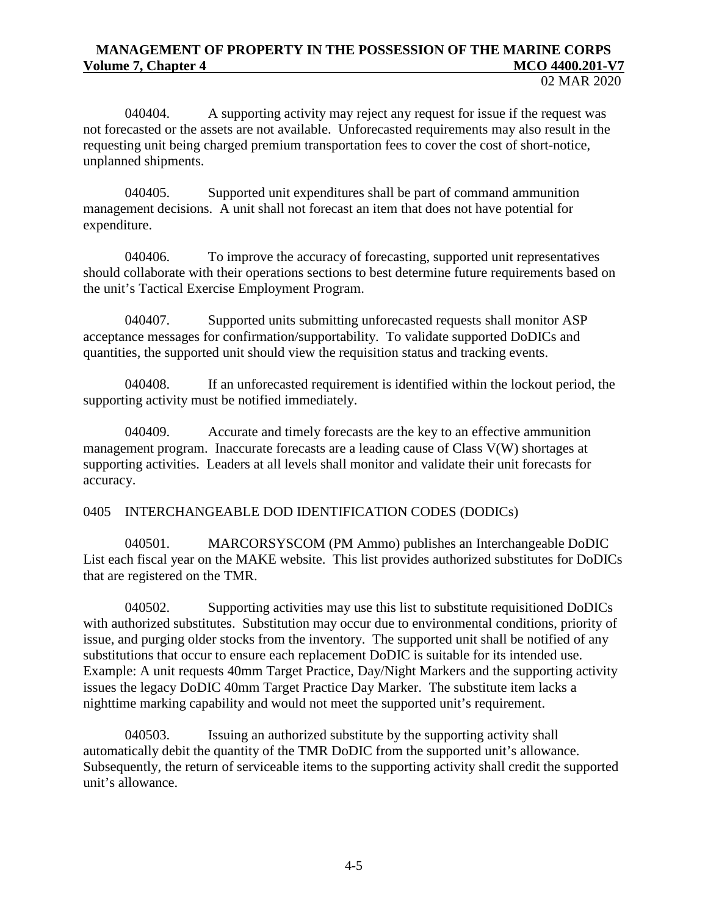040404. A supporting activity may reject any request for issue if the request was not forecasted or the assets are not available. Unforecasted requirements may also result in the requesting unit being charged premium transportation fees to cover the cost of short-notice, unplanned shipments.

040405. Supported unit expenditures shall be part of command ammunition management decisions. A unit shall not forecast an item that does not have potential for expenditure.

040406. To improve the accuracy of forecasting, supported unit representatives should collaborate with their operations sections to best determine future requirements based on the unit's Tactical Exercise Employment Program.

040407. Supported units submitting unforecasted requests shall monitor ASP acceptance messages for confirmation/supportability. To validate supported DoDICs and quantities, the supported unit should view the requisition status and tracking events.

040408. If an unforecasted requirement is identified within the lockout period, the supporting activity must be notified immediately.

040409. Accurate and timely forecasts are the key to an effective ammunition management program. Inaccurate forecasts are a leading cause of Class V(W) shortages at supporting activities. Leaders at all levels shall monitor and validate their unit forecasts for accuracy.

#### 0405 INTERCHANGEABLE DOD IDENTIFICATION CODES (DODICs)

040501. MARCORSYSCOM (PM Ammo) publishes an Interchangeable DoDIC List each fiscal year on the MAKE website. This list provides authorized substitutes for DoDICs that are registered on the TMR.

040502. Supporting activities may use this list to substitute requisitioned DoDICs with authorized substitutes. Substitution may occur due to environmental conditions, priority of issue, and purging older stocks from the inventory. The supported unit shall be notified of any substitutions that occur to ensure each replacement DoDIC is suitable for its intended use. Example: A unit requests 40mm Target Practice, Day/Night Markers and the supporting activity issues the legacy DoDIC 40mm Target Practice Day Marker. The substitute item lacks a nighttime marking capability and would not meet the supported unit's requirement.

040503. Issuing an authorized substitute by the supporting activity shall automatically debit the quantity of the TMR DoDIC from the supported unit's allowance. Subsequently, the return of serviceable items to the supporting activity shall credit the supported unit's allowance.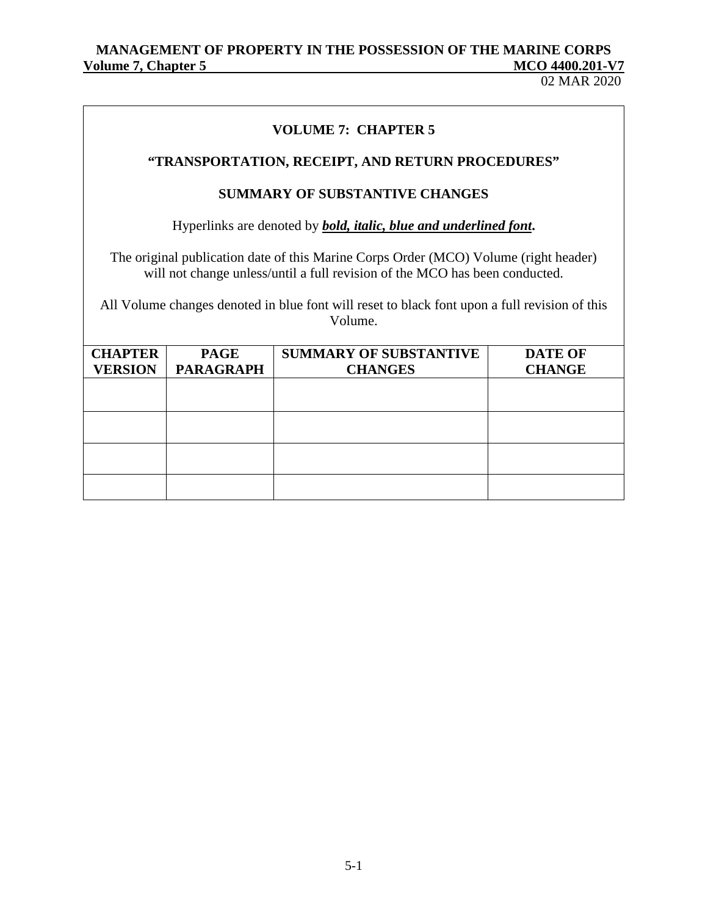# **VOLUME 7: CHAPTER 5**

# **"TRANSPORTATION, RECEIPT, AND RETURN PROCEDURES"**

## **SUMMARY OF SUBSTANTIVE CHANGES**

Hyperlinks are denoted by *bold, italic, blue and underlined font***.**

The original publication date of this Marine Corps Order (MCO) Volume (right header) will not change unless/until a full revision of the MCO has been conducted.

All Volume changes denoted in blue font will reset to black font upon a full revision of this Volume.

| <b>CHAPTER</b> | <b>PAGE</b>      | <b>SUMMARY OF SUBSTANTIVE</b> | <b>DATE OF</b> |
|----------------|------------------|-------------------------------|----------------|
| <b>VERSION</b> | <b>PARAGRAPH</b> | <b>CHANGES</b>                | <b>CHANGE</b>  |
|                |                  |                               |                |
|                |                  |                               |                |
|                |                  |                               |                |
|                |                  |                               |                |
|                |                  |                               |                |
|                |                  |                               |                |
|                |                  |                               |                |
|                |                  |                               |                |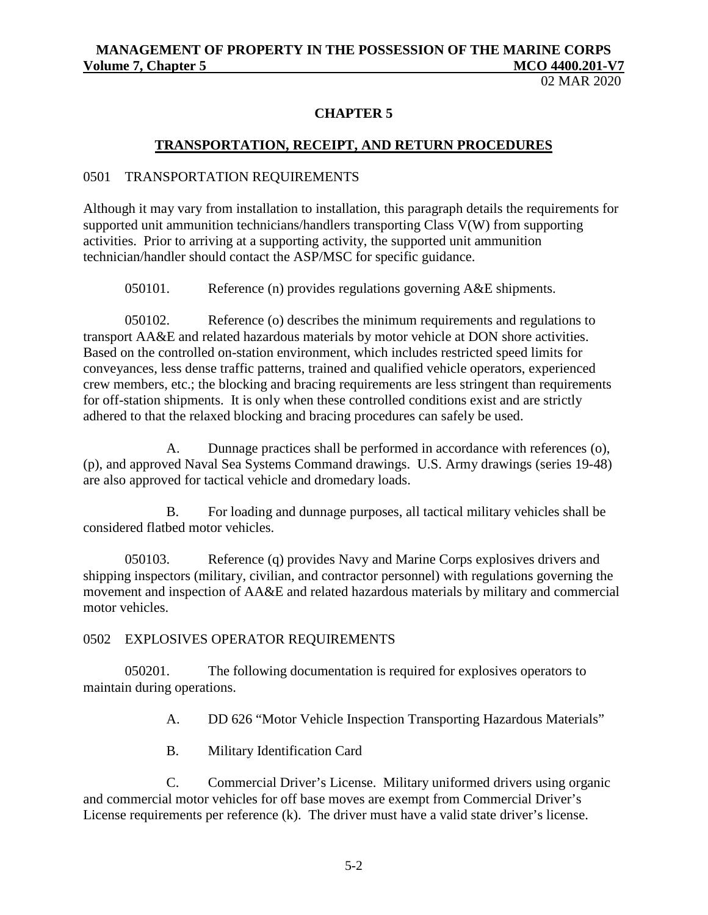02 MAR 2020

## **CHAPTER 5**

## **TRANSPORTATION, RECEIPT, AND RETURN PROCEDURES**

#### 0501 TRANSPORTATION REQUIREMENTS

Although it may vary from installation to installation, this paragraph details the requirements for supported unit ammunition technicians/handlers transporting Class V(W) from supporting activities. Prior to arriving at a supporting activity, the supported unit ammunition technician/handler should contact the ASP/MSC for specific guidance.

050101. Reference (n) provides regulations governing A&E shipments.

050102. Reference (o) describes the minimum requirements and regulations to transport AA&E and related hazardous materials by motor vehicle at DON shore activities. Based on the controlled on-station environment, which includes restricted speed limits for conveyances, less dense traffic patterns, trained and qualified vehicle operators, experienced crew members, etc.; the blocking and bracing requirements are less stringent than requirements for off-station shipments. It is only when these controlled conditions exist and are strictly adhered to that the relaxed blocking and bracing procedures can safely be used.

A. Dunnage practices shall be performed in accordance with references (o), (p), and approved Naval Sea Systems Command drawings. U.S. Army drawings (series 19-48) are also approved for tactical vehicle and dromedary loads.

B. For loading and dunnage purposes, all tactical military vehicles shall be considered flatbed motor vehicles.

050103. Reference (q) provides Navy and Marine Corps explosives drivers and shipping inspectors (military, civilian, and contractor personnel) with regulations governing the movement and inspection of AA&E and related hazardous materials by military and commercial motor vehicles.

#### 0502 EXPLOSIVES OPERATOR REQUIREMENTS

050201. The following documentation is required for explosives operators to maintain during operations.

A. DD 626 "Motor Vehicle Inspection Transporting Hazardous Materials"

B. Military Identification Card

C. Commercial Driver's License. Military uniformed drivers using organic and commercial motor vehicles for off base moves are exempt from Commercial Driver's License requirements per reference (k). The driver must have a valid state driver's license.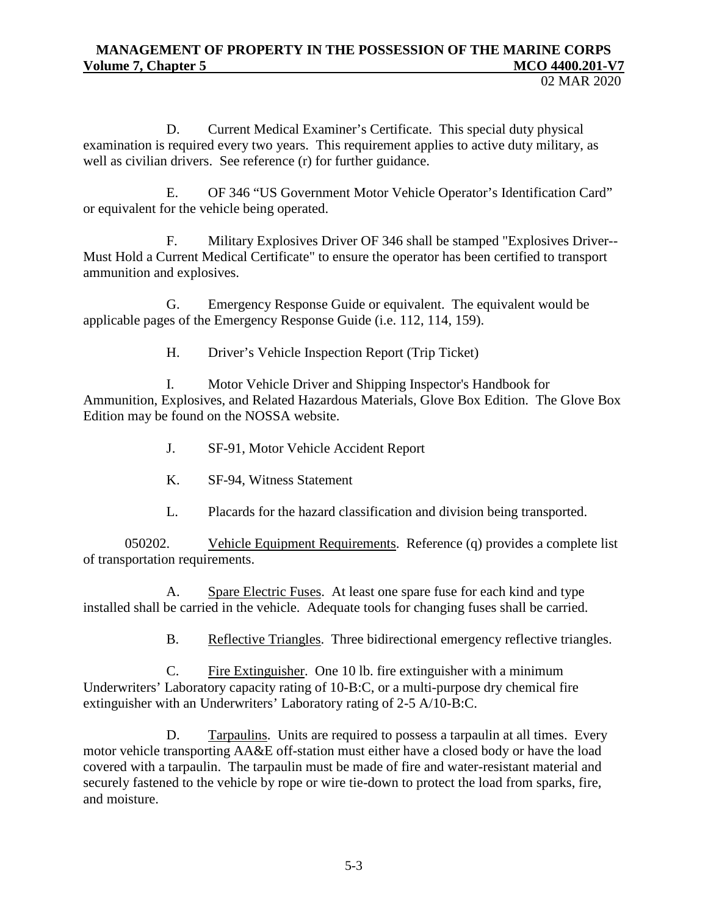02 MAR 2020

D. Current Medical Examiner's Certificate. This special duty physical examination is required every two years. This requirement applies to active duty military, as well as civilian drivers. See reference (r) for further guidance.

E. OF 346 "US Government Motor Vehicle Operator's Identification Card" or equivalent for the vehicle being operated.

F. Military Explosives Driver OF 346 shall be stamped "Explosives Driver-- Must Hold a Current Medical Certificate" to ensure the operator has been certified to transport ammunition and explosives.

G. Emergency Response Guide or equivalent. The equivalent would be applicable pages of the Emergency Response Guide (i.e. 112, 114, 159).

H. Driver's Vehicle Inspection Report (Trip Ticket)

I. Motor Vehicle Driver and Shipping Inspector's Handbook for Ammunition, Explosives, and Related Hazardous Materials, Glove Box Edition. The Glove Box Edition may be found on the NOSSA website.

- J. SF-91, Motor Vehicle Accident Report
- K. SF-94, Witness Statement
- L. Placards for the hazard classification and division being transported.

050202. Vehicle Equipment Requirements. Reference (q) provides a complete list of transportation requirements.

A. Spare Electric Fuses. At least one spare fuse for each kind and type installed shall be carried in the vehicle. Adequate tools for changing fuses shall be carried.

B. Reflective Triangles. Three bidirectional emergency reflective triangles.

C. Fire Extinguisher. One 10 lb. fire extinguisher with a minimum Underwriters' Laboratory capacity rating of 10-B:C, or a multi-purpose dry chemical fire extinguisher with an Underwriters' Laboratory rating of 2-5 A/10-B:C.

D. Tarpaulins. Units are required to possess a tarpaulin at all times. Every motor vehicle transporting AA&E off-station must either have a closed body or have the load covered with a tarpaulin. The tarpaulin must be made of fire and water-resistant material and securely fastened to the vehicle by rope or wire tie-down to protect the load from sparks, fire, and moisture.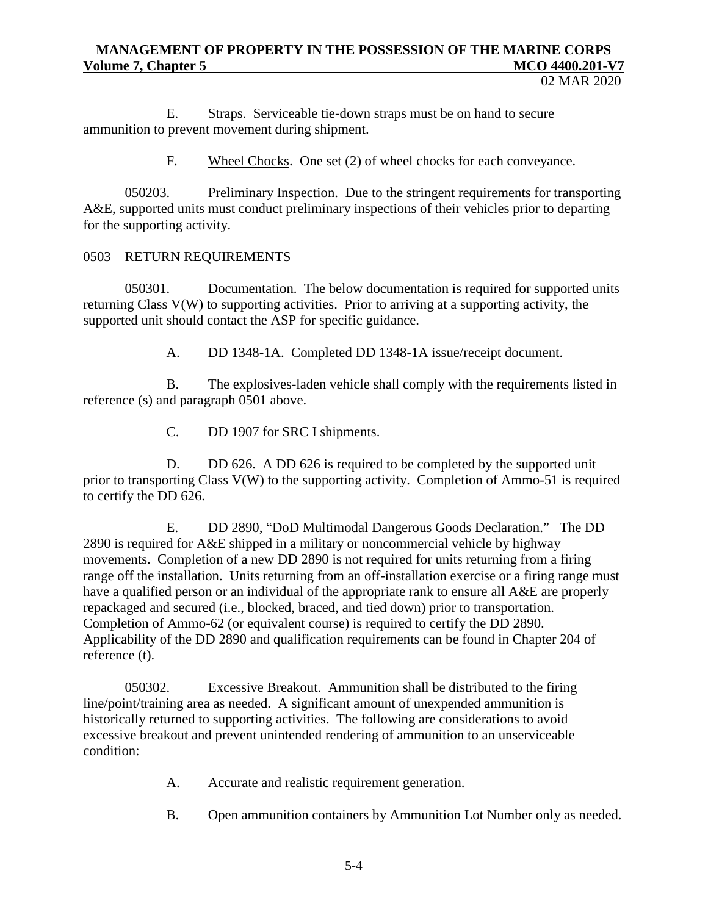02 MAR 2020

E. Straps. Serviceable tie-down straps must be on hand to secure ammunition to prevent movement during shipment.

F. Wheel Chocks. One set (2) of wheel chocks for each conveyance.

050203. Preliminary Inspection. Due to the stringent requirements for transporting A&E, supported units must conduct preliminary inspections of their vehicles prior to departing for the supporting activity.

#### 0503 RETURN REQUIREMENTS

050301. Documentation. The below documentation is required for supported units returning Class V(W) to supporting activities. Prior to arriving at a supporting activity, the supported unit should contact the ASP for specific guidance.

A. DD 1348-1A. Completed DD 1348-1A issue/receipt document.

B. The explosives-laden vehicle shall comply with the requirements listed in reference (s) and paragraph 0501 above.

C. DD 1907 for SRC I shipments.

D. DD 626. A DD 626 is required to be completed by the supported unit prior to transporting Class V(W) to the supporting activity. Completion of Ammo-51 is required to certify the DD 626.

E. DD 2890, "DoD Multimodal Dangerous Goods Declaration." The DD 2890 is required for A&E shipped in a military or noncommercial vehicle by highway movements. Completion of a new DD 2890 is not required for units returning from a firing range off the installation. Units returning from an off-installation exercise or a firing range must have a qualified person or an individual of the appropriate rank to ensure all A&E are properly repackaged and secured (i.e., blocked, braced, and tied down) prior to transportation. Completion of Ammo-62 (or equivalent course) is required to certify the DD 2890. Applicability of the DD 2890 and qualification requirements can be found in Chapter 204 of reference (t).

050302. Excessive Breakout. Ammunition shall be distributed to the firing line/point/training area as needed. A significant amount of unexpended ammunition is historically returned to supporting activities. The following are considerations to avoid excessive breakout and prevent unintended rendering of ammunition to an unserviceable condition:

- A. Accurate and realistic requirement generation.
- B. Open ammunition containers by Ammunition Lot Number only as needed.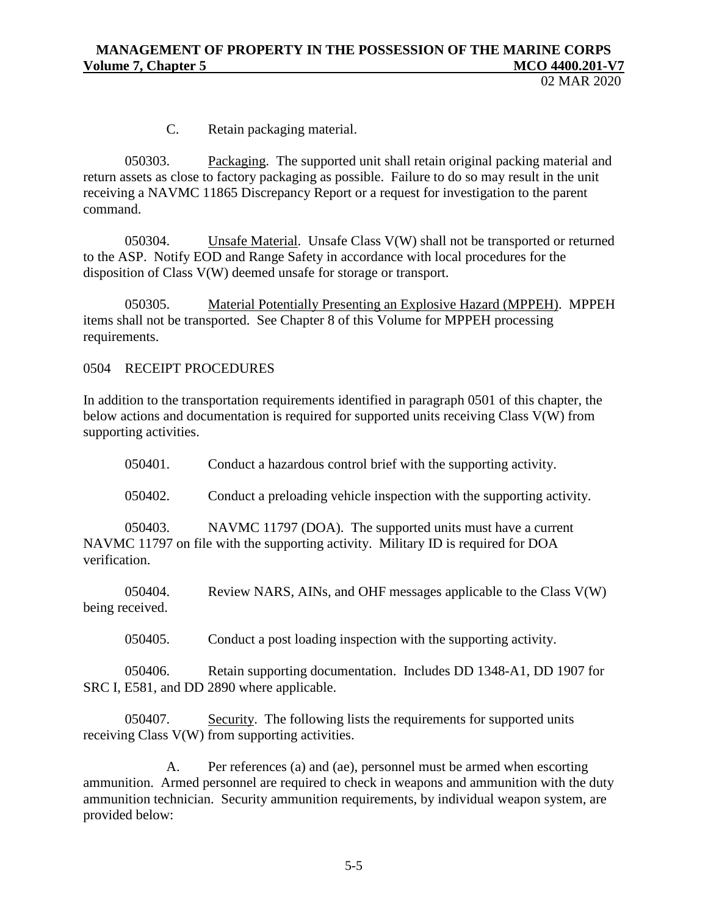02 MAR 2020

C. Retain packaging material.

050303. Packaging. The supported unit shall retain original packing material and return assets as close to factory packaging as possible. Failure to do so may result in the unit receiving a NAVMC 11865 Discrepancy Report or a request for investigation to the parent command.

050304. Unsafe Material. Unsafe Class V(W) shall not be transported or returned to the ASP. Notify EOD and Range Safety in accordance with local procedures for the disposition of Class V(W) deemed unsafe for storage or transport.

050305. Material Potentially Presenting an Explosive Hazard (MPPEH). MPPEH items shall not be transported. See Chapter 8 of this Volume for MPPEH processing requirements.

0504 RECEIPT PROCEDURES

In addition to the transportation requirements identified in paragraph 0501 of this chapter, the below actions and documentation is required for supported units receiving Class V(W) from supporting activities.

050401. Conduct a hazardous control brief with the supporting activity.

050402. Conduct a preloading vehicle inspection with the supporting activity.

050403. NAVMC 11797 (DOA). The supported units must have a current NAVMC 11797 on file with the supporting activity. Military ID is required for DOA verification.

050404. Review NARS, AINs, and OHF messages applicable to the Class V(W) being received.

050405. Conduct a post loading inspection with the supporting activity.

050406. Retain supporting documentation. Includes DD 1348-A1, DD 1907 for SRC I, E581, and DD 2890 where applicable.

050407. Security. The following lists the requirements for supported units receiving Class V(W) from supporting activities.

A. Per references (a) and (ae), personnel must be armed when escorting ammunition. Armed personnel are required to check in weapons and ammunition with the duty ammunition technician. Security ammunition requirements, by individual weapon system, are provided below: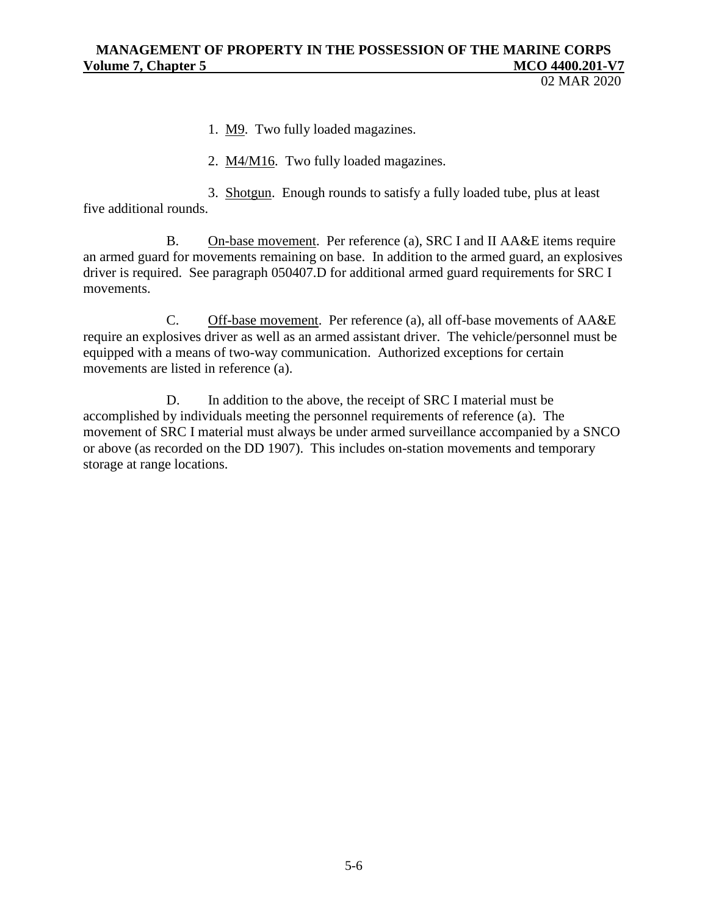02 MAR 2020

1. M9. Two fully loaded magazines.

2. M4/M16. Two fully loaded magazines.

3. Shotgun. Enough rounds to satisfy a fully loaded tube, plus at least five additional rounds.

B. On-base movement. Per reference (a), SRC I and II AA&E items require an armed guard for movements remaining on base. In addition to the armed guard, an explosives driver is required. See paragraph 050407.D for additional armed guard requirements for SRC I movements.

C. Off-base movement. Per reference (a), all off-base movements of AA&E require an explosives driver as well as an armed assistant driver. The vehicle/personnel must be equipped with a means of two-way communication. Authorized exceptions for certain movements are listed in reference (a).

D. In addition to the above, the receipt of SRC I material must be accomplished by individuals meeting the personnel requirements of reference (a). The movement of SRC I material must always be under armed surveillance accompanied by a SNCO or above (as recorded on the DD 1907). This includes on-station movements and temporary storage at range locations.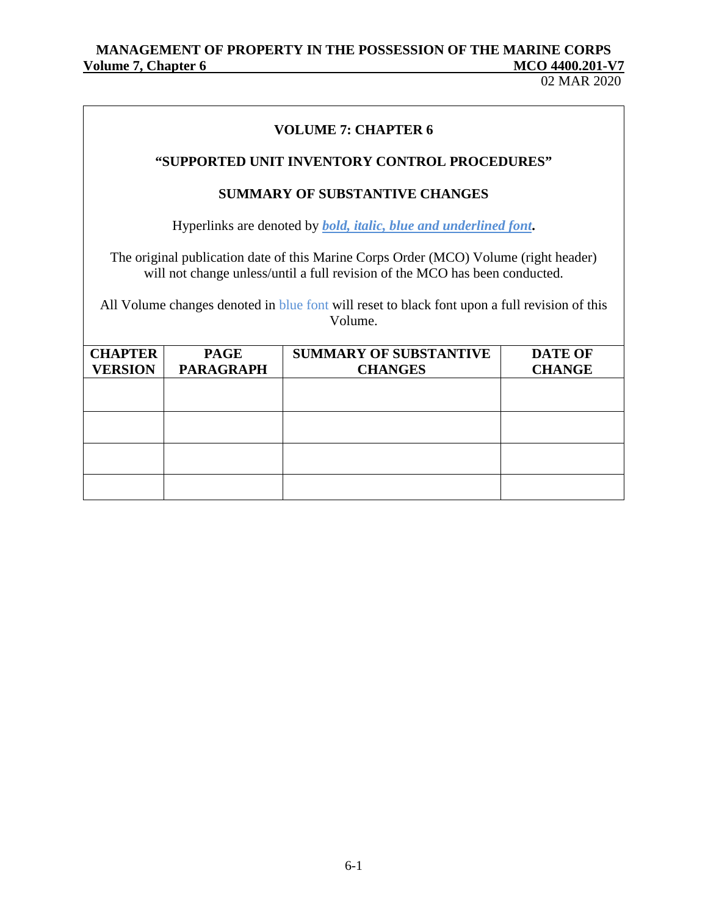02 MAR 2020

# **VOLUME 7: CHAPTER 6**

## **"SUPPORTED UNIT INVENTORY CONTROL PROCEDURES"**

## **SUMMARY OF SUBSTANTIVE CHANGES**

Hyperlinks are denoted by *bold, italic, blue and underlined font***.**

The original publication date of this Marine Corps Order (MCO) Volume (right header) will not change unless/until a full revision of the MCO has been conducted.

All Volume changes denoted in blue font will reset to black font upon a full revision of this Volume.

| <b>CHAPTER</b><br><b>VERSION</b> | <b>PAGE</b><br><b>PARAGRAPH</b> | <b>SUMMARY OF SUBSTANTIVE</b><br><b>CHANGES</b> | <b>DATE OF</b><br><b>CHANGE</b> |
|----------------------------------|---------------------------------|-------------------------------------------------|---------------------------------|
|                                  |                                 |                                                 |                                 |
|                                  |                                 |                                                 |                                 |
|                                  |                                 |                                                 |                                 |
|                                  |                                 |                                                 |                                 |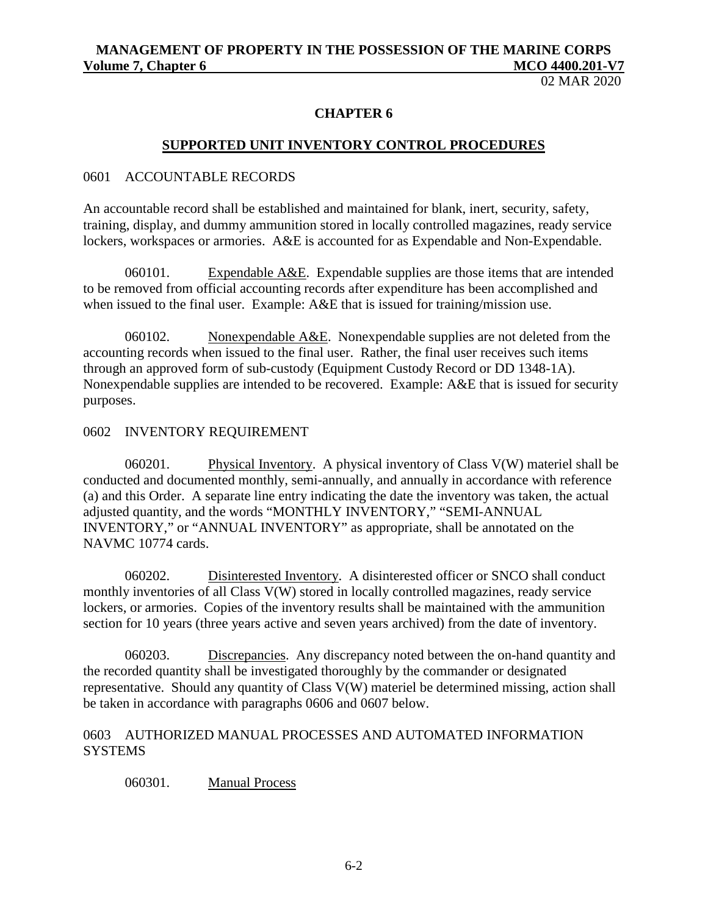02 MAR 2020

## **CHAPTER 6**

#### **SUPPORTED UNIT INVENTORY CONTROL PROCEDURES**

#### 0601 ACCOUNTABLE RECORDS

An accountable record shall be established and maintained for blank, inert, security, safety, training, display, and dummy ammunition stored in locally controlled magazines, ready service lockers, workspaces or armories. A&E is accounted for as Expendable and Non-Expendable.

060101. Expendable  $A \& E$ . Expendable supplies are those items that are intended to be removed from official accounting records after expenditure has been accomplished and when issued to the final user. Example: A&E that is issued for training/mission use.

060102. Nonexpendable  $A &E$ . Nonexpendable supplies are not deleted from the accounting records when issued to the final user. Rather, the final user receives such items through an approved form of sub-custody (Equipment Custody Record or DD 1348-1A). Nonexpendable supplies are intended to be recovered. Example: A&E that is issued for security purposes.

#### 0602 INVENTORY REQUIREMENT

060201. Physical Inventory. A physical inventory of Class V(W) materiel shall be conducted and documented monthly, semi-annually, and annually in accordance with reference (a) and this Order. A separate line entry indicating the date the inventory was taken, the actual adjusted quantity, and the words "MONTHLY INVENTORY," "SEMI-ANNUAL INVENTORY," or "ANNUAL INVENTORY" as appropriate, shall be annotated on the NAVMC 10774 cards.

060202. Disinterested Inventory. A disinterested officer or SNCO shall conduct monthly inventories of all Class V(W) stored in locally controlled magazines, ready service lockers, or armories. Copies of the inventory results shall be maintained with the ammunition section for 10 years (three years active and seven years archived) from the date of inventory.

060203. Discrepancies. Any discrepancy noted between the on-hand quantity and the recorded quantity shall be investigated thoroughly by the commander or designated representative. Should any quantity of Class V(W) materiel be determined missing, action shall be taken in accordance with paragraphs 0606 and 0607 below.

#### 0603 AUTHORIZED MANUAL PROCESSES AND AUTOMATED INFORMATION **SYSTEMS**

060301. Manual Process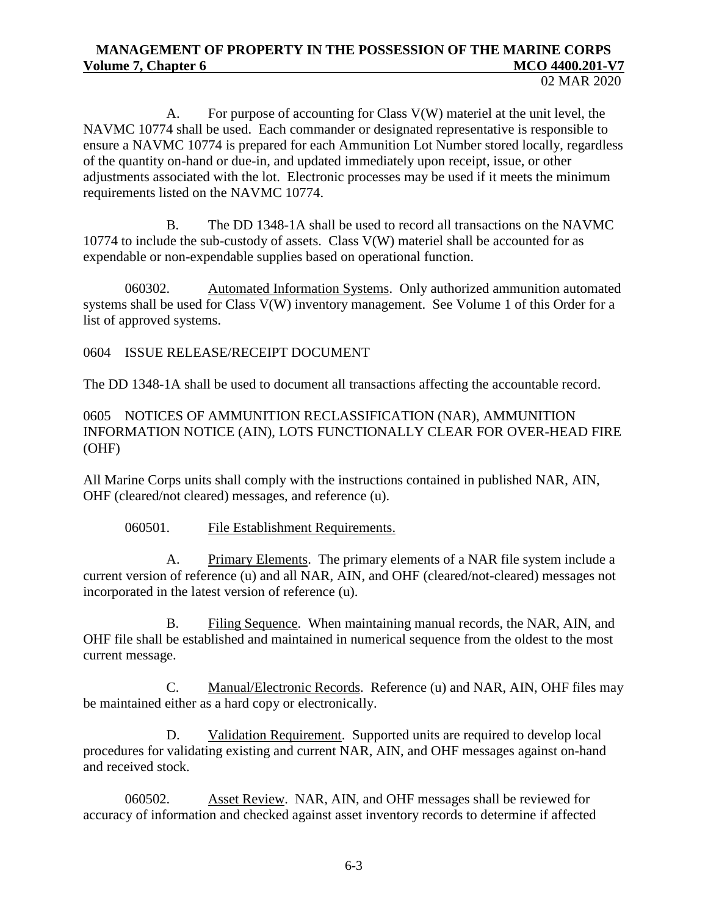A. For purpose of accounting for Class V(W) materiel at the unit level, the NAVMC 10774 shall be used. Each commander or designated representative is responsible to ensure a NAVMC 10774 is prepared for each Ammunition Lot Number stored locally, regardless of the quantity on-hand or due-in, and updated immediately upon receipt, issue, or other adjustments associated with the lot. Electronic processes may be used if it meets the minimum requirements listed on the NAVMC 10774.

B. The DD 1348-1A shall be used to record all transactions on the NAVMC  $10774$  to include the sub-custody of assets. Class  $V(W)$  materiel shall be accounted for as expendable or non-expendable supplies based on operational function.

060302. Automated Information Systems. Only authorized ammunition automated systems shall be used for Class V(W) inventory management. See Volume 1 of this Order for a list of approved systems.

0604 ISSUE RELEASE/RECEIPT DOCUMENT

The DD 1348-1A shall be used to document all transactions affecting the accountable record.

0605 NOTICES OF AMMUNITION RECLASSIFICATION (NAR), AMMUNITION INFORMATION NOTICE (AIN), LOTS FUNCTIONALLY CLEAR FOR OVER-HEAD FIRE (OHF)

All Marine Corps units shall comply with the instructions contained in published NAR, AIN, OHF (cleared/not cleared) messages, and reference (u).

060501. File Establishment Requirements.

A. Primary Elements. The primary elements of a NAR file system include a current version of reference (u) and all NAR, AIN, and OHF (cleared/not-cleared) messages not incorporated in the latest version of reference (u).

B. Filing Sequence. When maintaining manual records, the NAR, AIN, and OHF file shall be established and maintained in numerical sequence from the oldest to the most current message.

C. Manual/Electronic Records. Reference (u) and NAR, AIN, OHF files may be maintained either as a hard copy or electronically.

D. Validation Requirement. Supported units are required to develop local procedures for validating existing and current NAR, AIN, and OHF messages against on-hand and received stock.

060502. Asset Review. NAR, AIN, and OHF messages shall be reviewed for accuracy of information and checked against asset inventory records to determine if affected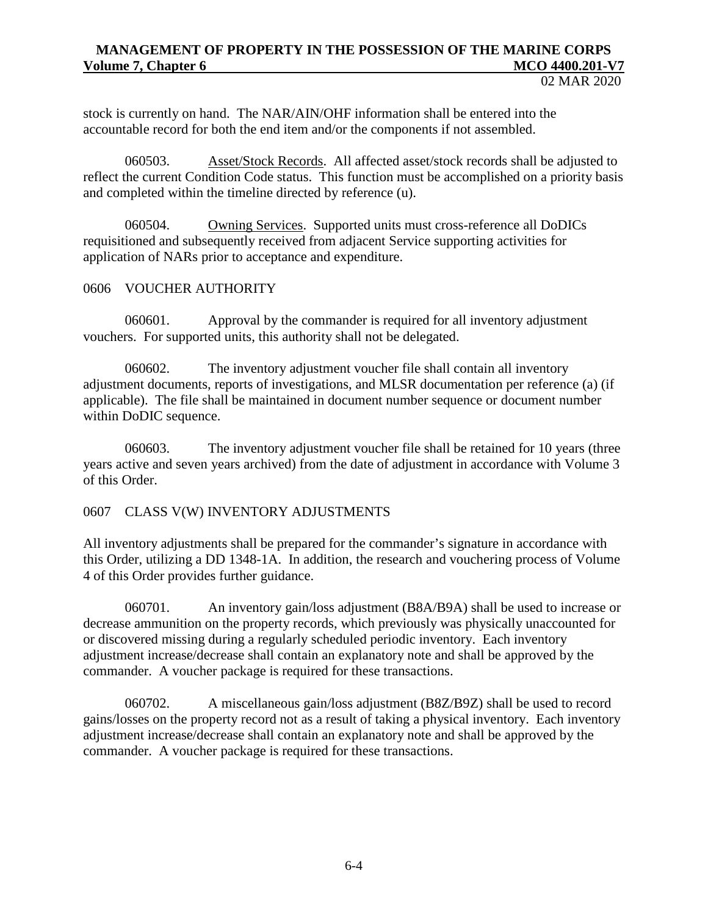stock is currently on hand. The NAR/AIN/OHF information shall be entered into the accountable record for both the end item and/or the components if not assembled.

060503. Asset/Stock Records. All affected asset/stock records shall be adjusted to reflect the current Condition Code status. This function must be accomplished on a priority basis and completed within the timeline directed by reference (u).

060504. Owning Services. Supported units must cross-reference all DoDICs requisitioned and subsequently received from adjacent Service supporting activities for application of NARs prior to acceptance and expenditure.

#### 0606 VOUCHER AUTHORITY

060601. Approval by the commander is required for all inventory adjustment vouchers. For supported units, this authority shall not be delegated.

060602. The inventory adjustment voucher file shall contain all inventory adjustment documents, reports of investigations, and MLSR documentation per reference (a) (if applicable). The file shall be maintained in document number sequence or document number within DoDIC sequence.

060603. The inventory adjustment voucher file shall be retained for 10 years (three years active and seven years archived) from the date of adjustment in accordance with Volume 3 of this Order.

#### 0607 CLASS V(W) INVENTORY ADJUSTMENTS

All inventory adjustments shall be prepared for the commander's signature in accordance with this Order, utilizing a DD 1348-1A. In addition, the research and vouchering process of Volume 4 of this Order provides further guidance.

060701. An inventory gain/loss adjustment (B8A/B9A) shall be used to increase or decrease ammunition on the property records, which previously was physically unaccounted for or discovered missing during a regularly scheduled periodic inventory. Each inventory adjustment increase/decrease shall contain an explanatory note and shall be approved by the commander. A voucher package is required for these transactions.

060702. A miscellaneous gain/loss adjustment (B8Z/B9Z) shall be used to record gains/losses on the property record not as a result of taking a physical inventory. Each inventory adjustment increase/decrease shall contain an explanatory note and shall be approved by the commander. A voucher package is required for these transactions.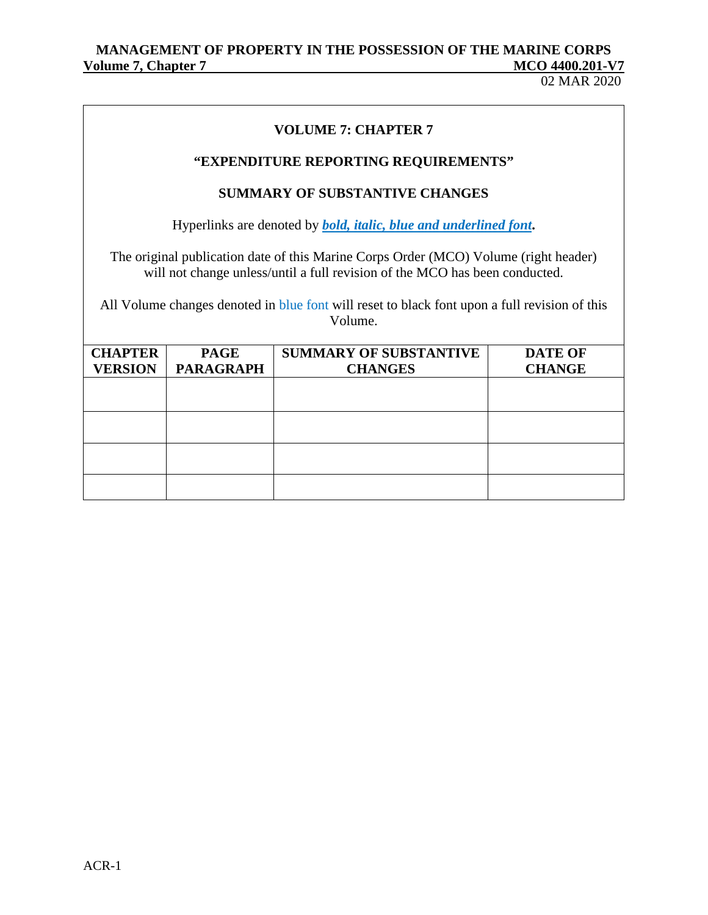02 MAR 2020

## **VOLUME 7: CHAPTER 7**

# **"EXPENDITURE REPORTING REQUIREMENTS"**

## **SUMMARY OF SUBSTANTIVE CHANGES**

Hyperlinks are denoted by *bold, italic, blue and underlined font***.**

The original publication date of this Marine Corps Order (MCO) Volume (right header) will not change unless/until a full revision of the MCO has been conducted.

All Volume changes denoted in blue font will reset to black font upon a full revision of this Volume.

| <b>CHAPTER</b> | <b>PAGE</b>      | <b>SUMMARY OF SUBSTANTIVE</b> | <b>DATE OF</b> |
|----------------|------------------|-------------------------------|----------------|
| <b>VERSION</b> | <b>PARAGRAPH</b> | <b>CHANGES</b>                | <b>CHANGE</b>  |
|                |                  |                               |                |
|                |                  |                               |                |
|                |                  |                               |                |
|                |                  |                               |                |
|                |                  |                               |                |
|                |                  |                               |                |
|                |                  |                               |                |
|                |                  |                               |                |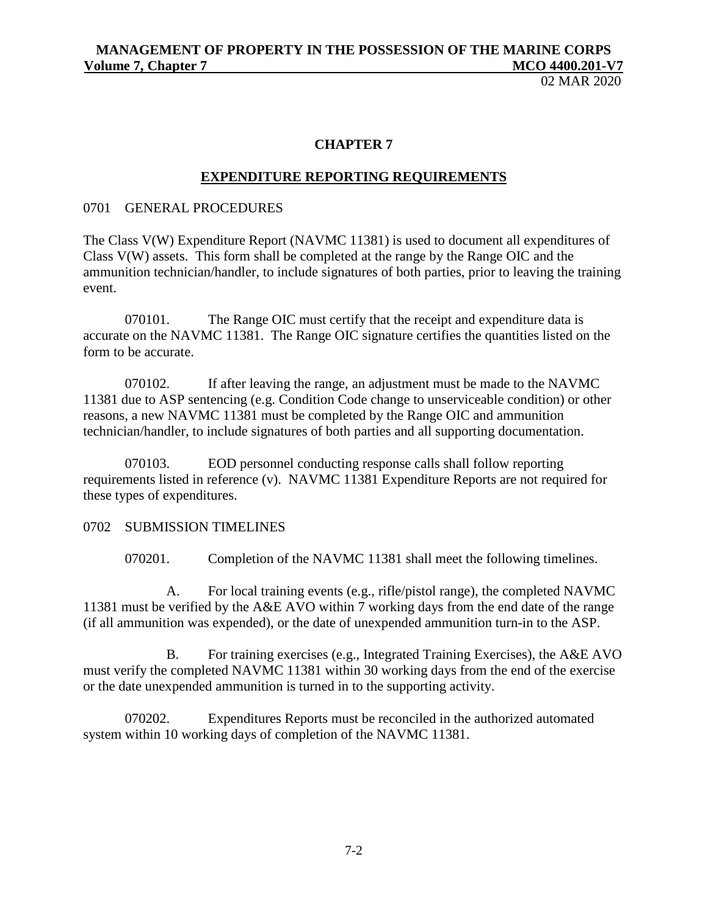02 MAR 2020

#### **CHAPTER 7**

## **EXPENDITURE REPORTING REQUIREMENTS**

#### 0701 GENERAL PROCEDURES

The Class V(W) Expenditure Report (NAVMC 11381) is used to document all expenditures of Class V(W) assets. This form shall be completed at the range by the Range OIC and the ammunition technician/handler, to include signatures of both parties, prior to leaving the training event.

070101. The Range OIC must certify that the receipt and expenditure data is accurate on the NAVMC 11381. The Range OIC signature certifies the quantities listed on the form to be accurate.

070102. If after leaving the range, an adjustment must be made to the NAVMC 11381 due to ASP sentencing (e.g. Condition Code change to unserviceable condition) or other reasons, a new NAVMC 11381 must be completed by the Range OIC and ammunition technician/handler, to include signatures of both parties and all supporting documentation.

070103. EOD personnel conducting response calls shall follow reporting requirements listed in reference (v). NAVMC 11381 Expenditure Reports are not required for these types of expenditures.

#### 0702 SUBMISSION TIMELINES

070201. Completion of the NAVMC 11381 shall meet the following timelines.

A. For local training events (e.g., rifle/pistol range), the completed NAVMC 11381 must be verified by the A&E AVO within 7 working days from the end date of the range (if all ammunition was expended), or the date of unexpended ammunition turn-in to the ASP.

B. For training exercises (e.g., Integrated Training Exercises), the A&E AVO must verify the completed NAVMC 11381 within 30 working days from the end of the exercise or the date unexpended ammunition is turned in to the supporting activity.

070202. Expenditures Reports must be reconciled in the authorized automated system within 10 working days of completion of the NAVMC 11381.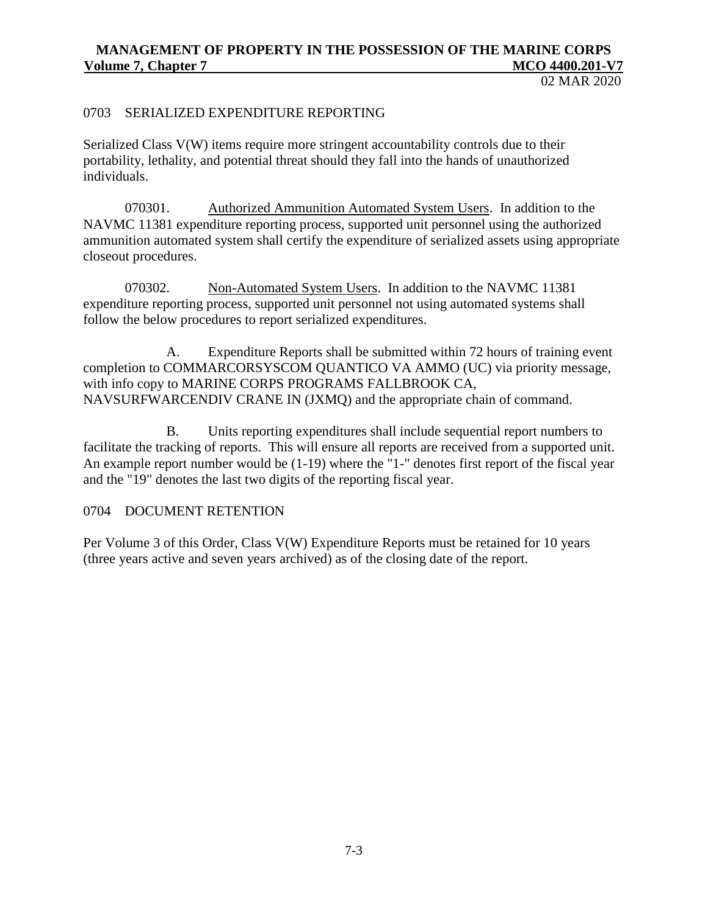02 MAR 2020

#### 0703 SERIALIZED EXPENDITURE REPORTING

Serialized Class V(W) items require more stringent accountability controls due to their portability, lethality, and potential threat should they fall into the hands of unauthorized individuals.

070301. Authorized Ammunition Automated System Users. In addition to the NAVMC 11381 expenditure reporting process, supported unit personnel using the authorized ammunition automated system shall certify the expenditure of serialized assets using appropriate closeout procedures.

070302. Non-Automated System Users. In addition to the NAVMC 11381 expenditure reporting process, supported unit personnel not using automated systems shall follow the below procedures to report serialized expenditures.

A. Expenditure Reports shall be submitted within 72 hours of training event completion to COMMARCORSYSCOM QUANTICO VA AMMO (UC) via priority message, with info copy to MARINE CORPS PROGRAMS FALLBROOK CA, NAVSURFWARCENDIV CRANE IN (JXMQ) and the appropriate chain of command.

B. Units reporting expenditures shall include sequential report numbers to facilitate the tracking of reports. This will ensure all reports are received from a supported unit. An example report number would be (1-19) where the "1-" denotes first report of the fiscal year and the "19" denotes the last two digits of the reporting fiscal year.

#### 0704 DOCUMENT RETENTION

Per Volume 3 of this Order, Class V(W) Expenditure Reports must be retained for 10 years (three years active and seven years archived) as of the closing date of the report.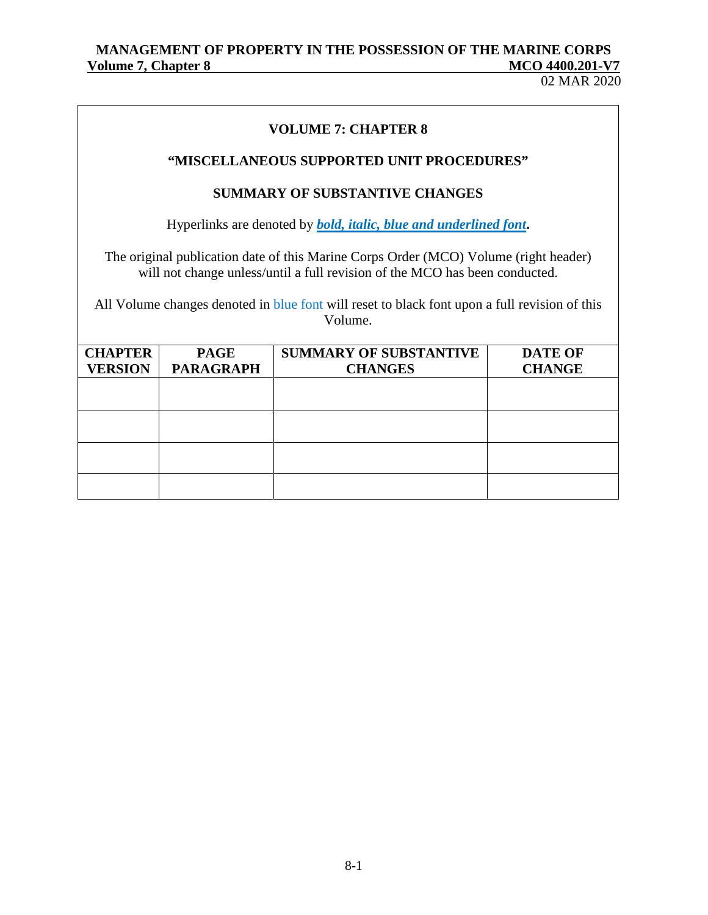02 MAR 2020

# **VOLUME 7: CHAPTER 8**

## **"MISCELLANEOUS SUPPORTED UNIT PROCEDURES"**

## **SUMMARY OF SUBSTANTIVE CHANGES**

Hyperlinks are denoted by *bold, italic, blue and underlined font***.**

The original publication date of this Marine Corps Order (MCO) Volume (right header) will not change unless/until a full revision of the MCO has been conducted.

All Volume changes denoted in blue font will reset to black font upon a full revision of this Volume.

| <b>CHAPTER</b><br><b>VERSION</b> | <b>PAGE</b><br><b>PARAGRAPH</b> | <b>SUMMARY OF SUBSTANTIVE</b><br><b>CHANGES</b> | <b>DATE OF</b><br><b>CHANGE</b> |
|----------------------------------|---------------------------------|-------------------------------------------------|---------------------------------|
|                                  |                                 |                                                 |                                 |
|                                  |                                 |                                                 |                                 |
|                                  |                                 |                                                 |                                 |
|                                  |                                 |                                                 |                                 |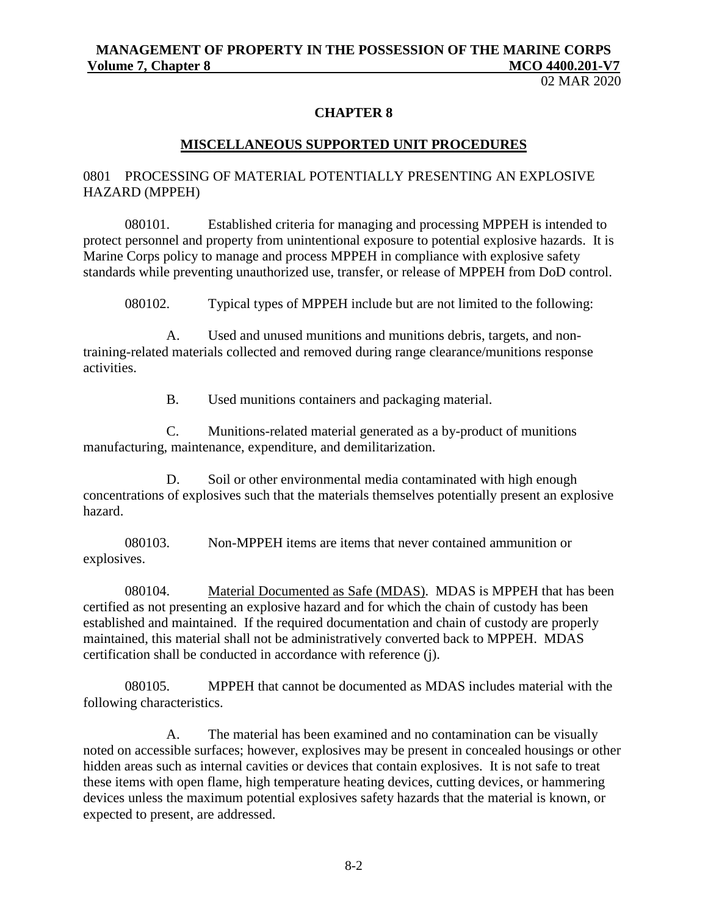02 MAR 2020

#### **CHAPTER 8**

#### **MISCELLANEOUS SUPPORTED UNIT PROCEDURES**

#### 0801 PROCESSING OF MATERIAL POTENTIALLY PRESENTING AN EXPLOSIVE HAZARD (MPPEH)

080101. Established criteria for managing and processing MPPEH is intended to protect personnel and property from unintentional exposure to potential explosive hazards. It is Marine Corps policy to manage and process MPPEH in compliance with explosive safety standards while preventing unauthorized use, transfer, or release of MPPEH from DoD control.

080102. Typical types of MPPEH include but are not limited to the following:

A. Used and unused munitions and munitions debris, targets, and nontraining-related materials collected and removed during range clearance/munitions response activities.

B. Used munitions containers and packaging material.

C. Munitions-related material generated as a by-product of munitions manufacturing, maintenance, expenditure, and demilitarization.

D. Soil or other environmental media contaminated with high enough concentrations of explosives such that the materials themselves potentially present an explosive hazard.

080103. Non-MPPEH items are items that never contained ammunition or explosives.

080104. Material Documented as Safe (MDAS). MDAS is MPPEH that has been certified as not presenting an explosive hazard and for which the chain of custody has been established and maintained. If the required documentation and chain of custody are properly maintained, this material shall not be administratively converted back to MPPEH. MDAS certification shall be conducted in accordance with reference (j).

080105. MPPEH that cannot be documented as MDAS includes material with the following characteristics.

A. The material has been examined and no contamination can be visually noted on accessible surfaces; however, explosives may be present in concealed housings or other hidden areas such as internal cavities or devices that contain explosives. It is not safe to treat these items with open flame, high temperature heating devices, cutting devices, or hammering devices unless the maximum potential explosives safety hazards that the material is known, or expected to present, are addressed.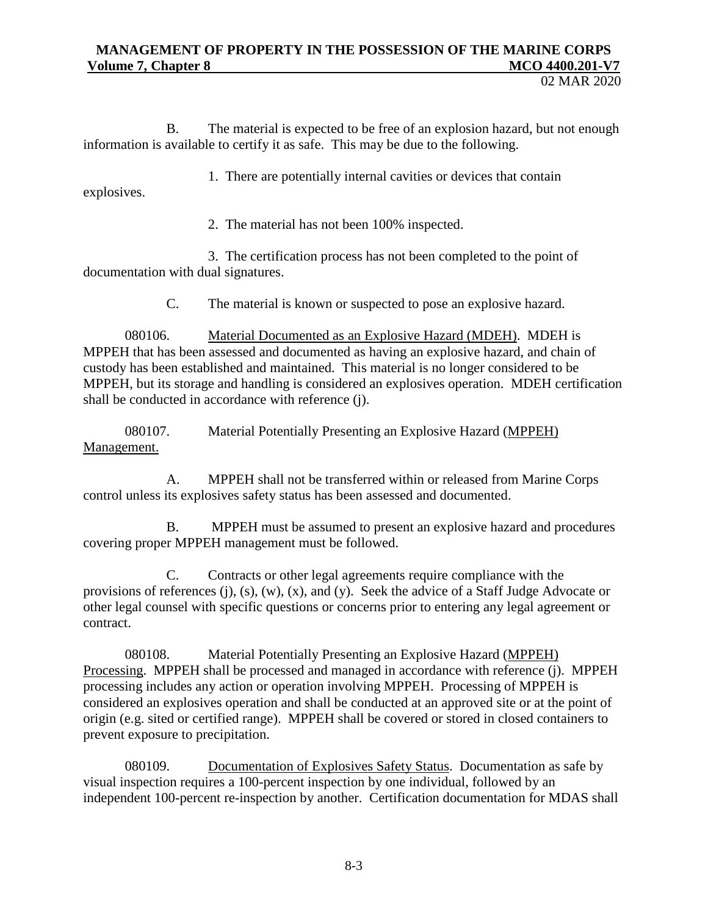02 MAR 2020

B. The material is expected to be free of an explosion hazard, but not enough information is available to certify it as safe. This may be due to the following.

1. There are potentially internal cavities or devices that contain explosives.

2. The material has not been 100% inspected.

3. The certification process has not been completed to the point of documentation with dual signatures.

C. The material is known or suspected to pose an explosive hazard.

080106. Material Documented as an Explosive Hazard (MDEH). MDEH is MPPEH that has been assessed and documented as having an explosive hazard, and chain of custody has been established and maintained. This material is no longer considered to be MPPEH, but its storage and handling is considered an explosives operation. MDEH certification shall be conducted in accordance with reference (j).

080107. Material Potentially Presenting an Explosive Hazard (MPPEH) Management.

A. MPPEH shall not be transferred within or released from Marine Corps control unless its explosives safety status has been assessed and documented.

B. MPPEH must be assumed to present an explosive hazard and procedures covering proper MPPEH management must be followed.

C. Contracts or other legal agreements require compliance with the provisions of references (j), (s), (w), (x), and (y). Seek the advice of a Staff Judge Advocate or other legal counsel with specific questions or concerns prior to entering any legal agreement or contract.

080108. Material Potentially Presenting an Explosive Hazard (MPPEH) Processing. MPPEH shall be processed and managed in accordance with reference (j). MPPEH processing includes any action or operation involving MPPEH. Processing of MPPEH is considered an explosives operation and shall be conducted at an approved site or at the point of origin (e.g. sited or certified range). MPPEH shall be covered or stored in closed containers to prevent exposure to precipitation.

080109. Documentation of Explosives Safety Status. Documentation as safe by visual inspection requires a 100-percent inspection by one individual, followed by an independent 100-percent re-inspection by another. Certification documentation for MDAS shall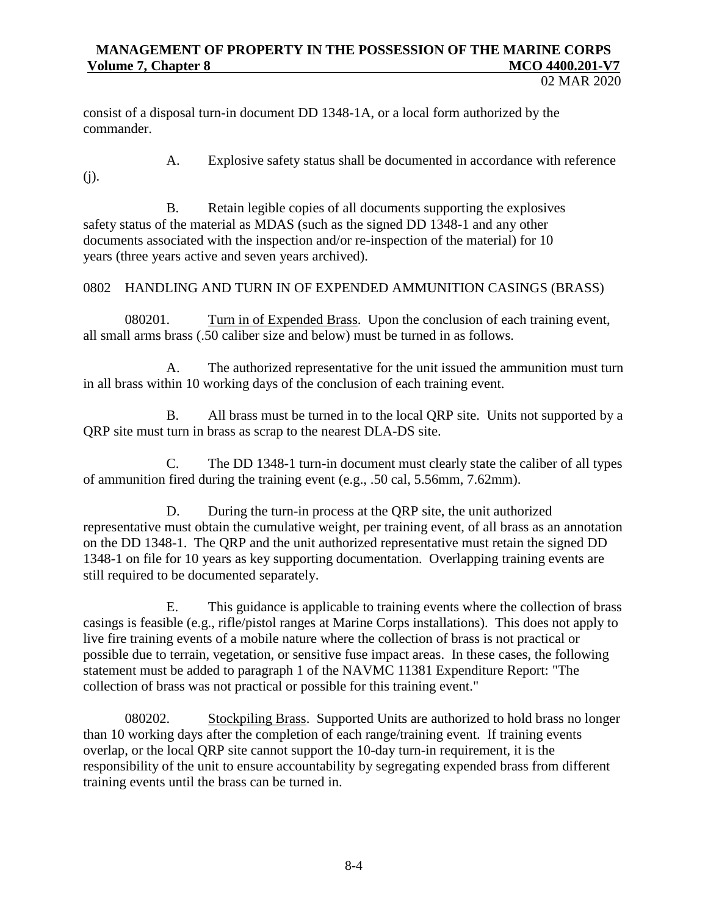02 MAR 2020

consist of a disposal turn-in document DD 1348-1A, or a local form authorized by the commander.

- 
- A. Explosive safety status shall be documented in accordance with reference

(j).

B. Retain legible copies of all documents supporting the explosives safety status of the material as MDAS (such as the signed DD 1348-1 and any other documents associated with the inspection and/or re-inspection of the material) for 10 years (three years active and seven years archived).

# 0802 HANDLING AND TURN IN OF EXPENDED AMMUNITION CASINGS (BRASS)

080201. Turn in of Expended Brass. Upon the conclusion of each training event, all small arms brass (.50 caliber size and below) must be turned in as follows.

A. The authorized representative for the unit issued the ammunition must turn in all brass within 10 working days of the conclusion of each training event.

B. All brass must be turned in to the local QRP site. Units not supported by a QRP site must turn in brass as scrap to the nearest DLA-DS site.

C. The DD 1348-1 turn-in document must clearly state the caliber of all types of ammunition fired during the training event (e.g., .50 cal, 5.56mm, 7.62mm).

D. During the turn-in process at the QRP site, the unit authorized representative must obtain the cumulative weight, per training event, of all brass as an annotation on the DD 1348-1. The QRP and the unit authorized representative must retain the signed DD 1348-1 on file for 10 years as key supporting documentation. Overlapping training events are still required to be documented separately.

E. This guidance is applicable to training events where the collection of brass casings is feasible (e.g., rifle/pistol ranges at Marine Corps installations). This does not apply to live fire training events of a mobile nature where the collection of brass is not practical or possible due to terrain, vegetation, or sensitive fuse impact areas. In these cases, the following statement must be added to paragraph 1 of the NAVMC 11381 Expenditure Report: "The collection of brass was not practical or possible for this training event."

080202. Stockpiling Brass. Supported Units are authorized to hold brass no longer than 10 working days after the completion of each range/training event. If training events overlap, or the local QRP site cannot support the 10-day turn-in requirement, it is the responsibility of the unit to ensure accountability by segregating expended brass from different training events until the brass can be turned in.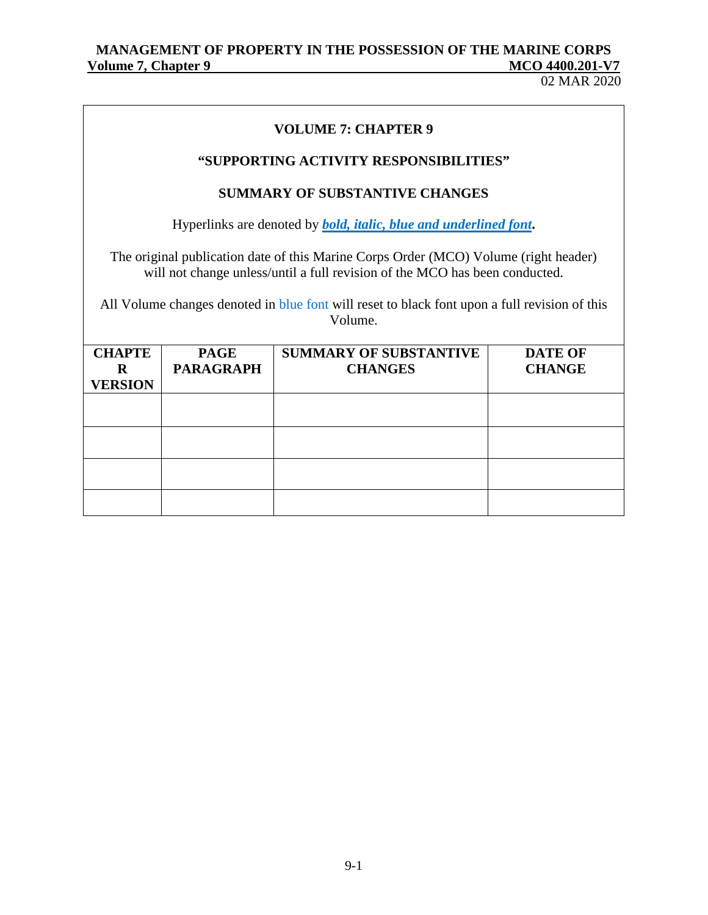02 MAR 2020

| <b>VOLUME 7: CHAPTER 9</b>                                                                                                                                          |                                 |                                                 |                                 |  |
|---------------------------------------------------------------------------------------------------------------------------------------------------------------------|---------------------------------|-------------------------------------------------|---------------------------------|--|
| "SUPPORTING ACTIVITY RESPONSIBILITIES"                                                                                                                              |                                 |                                                 |                                 |  |
| <b>SUMMARY OF SUBSTANTIVE CHANGES</b>                                                                                                                               |                                 |                                                 |                                 |  |
| Hyperlinks are denoted by <b><i>bold, italic, blue and underlined font.</i></b>                                                                                     |                                 |                                                 |                                 |  |
| The original publication date of this Marine Corps Order (MCO) Volume (right header)<br>will not change unless/until a full revision of the MCO has been conducted. |                                 |                                                 |                                 |  |
| All Volume changes denoted in blue font will reset to black font upon a full revision of this<br>Volume.                                                            |                                 |                                                 |                                 |  |
| <b>CHAPTE</b><br>R<br><b>VERSION</b>                                                                                                                                | <b>PAGE</b><br><b>PARAGRAPH</b> | <b>SUMMARY OF SUBSTANTIVE</b><br><b>CHANGES</b> | <b>DATE OF</b><br><b>CHANGE</b> |  |
|                                                                                                                                                                     |                                 |                                                 |                                 |  |
|                                                                                                                                                                     |                                 |                                                 |                                 |  |
|                                                                                                                                                                     |                                 |                                                 |                                 |  |
|                                                                                                                                                                     |                                 |                                                 |                                 |  |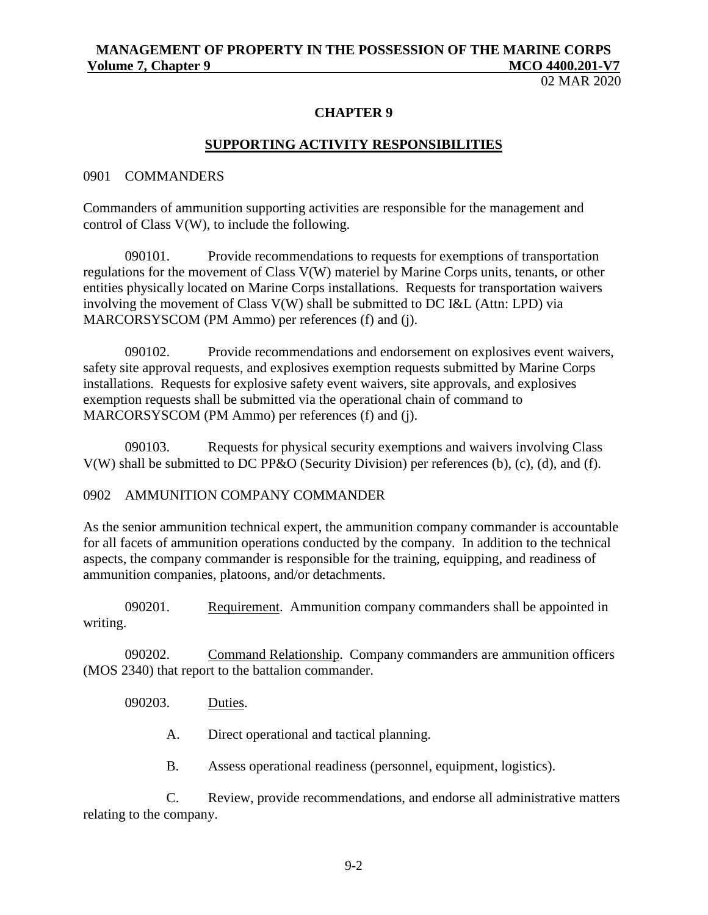02 MAR 2020

#### **CHAPTER 9**

#### **SUPPORTING ACTIVITY RESPONSIBILITIES**

#### 0901 COMMANDERS

Commanders of ammunition supporting activities are responsible for the management and control of Class V(W), to include the following.

090101. Provide recommendations to requests for exemptions of transportation regulations for the movement of Class V(W) materiel by Marine Corps units, tenants, or other entities physically located on Marine Corps installations. Requests for transportation waivers involving the movement of Class V(W) shall be submitted to DC I&L (Attn: LPD) via MARCORSYSCOM (PM Ammo) per references (f) and (j).

090102. Provide recommendations and endorsement on explosives event waivers, safety site approval requests, and explosives exemption requests submitted by Marine Corps installations. Requests for explosive safety event waivers, site approvals, and explosives exemption requests shall be submitted via the operational chain of command to MARCORSYSCOM (PM Ammo) per references (f) and (j).

090103. Requests for physical security exemptions and waivers involving Class V(W) shall be submitted to DC PP&O (Security Division) per references (b), (c), (d), and (f).

#### 0902 AMMUNITION COMPANY COMMANDER

As the senior ammunition technical expert, the ammunition company commander is accountable for all facets of ammunition operations conducted by the company. In addition to the technical aspects, the company commander is responsible for the training, equipping, and readiness of ammunition companies, platoons, and/or detachments.

090201. Requirement. Ammunition company commanders shall be appointed in writing.

090202. Command Relationship. Company commanders are ammunition officers (MOS 2340) that report to the battalion commander.

090203. Duties.

A. Direct operational and tactical planning.

B. Assess operational readiness (personnel, equipment, logistics).

C. Review, provide recommendations, and endorse all administrative matters relating to the company.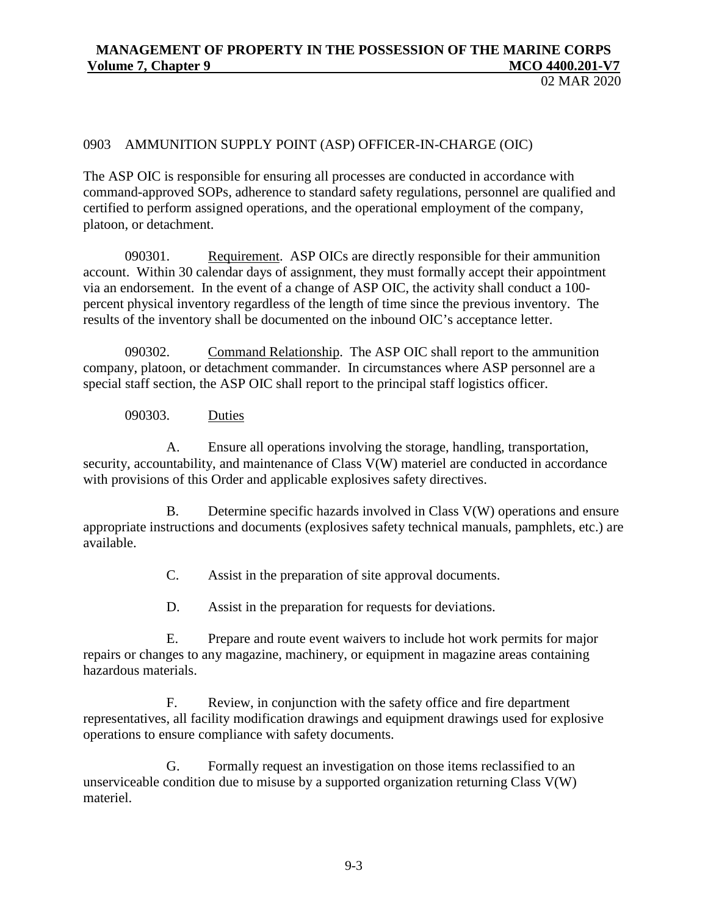02 MAR 2020

#### 0903 AMMUNITION SUPPLY POINT (ASP) OFFICER-IN-CHARGE (OIC)

The ASP OIC is responsible for ensuring all processes are conducted in accordance with command-approved SOPs, adherence to standard safety regulations, personnel are qualified and certified to perform assigned operations, and the operational employment of the company, platoon, or detachment.

090301. Requirement. ASP OICs are directly responsible for their ammunition account. Within 30 calendar days of assignment, they must formally accept their appointment via an endorsement. In the event of a change of ASP OIC, the activity shall conduct a 100 percent physical inventory regardless of the length of time since the previous inventory. The results of the inventory shall be documented on the inbound OIC's acceptance letter.

090302. Command Relationship. The ASP OIC shall report to the ammunition company, platoon, or detachment commander. In circumstances where ASP personnel are a special staff section, the ASP OIC shall report to the principal staff logistics officer.

090303. Duties

A. Ensure all operations involving the storage, handling, transportation, security, accountability, and maintenance of Class V(W) materiel are conducted in accordance with provisions of this Order and applicable explosives safety directives.

B. Determine specific hazards involved in Class V(W) operations and ensure appropriate instructions and documents (explosives safety technical manuals, pamphlets, etc.) are available.

C. Assist in the preparation of site approval documents.

D. Assist in the preparation for requests for deviations.

E. Prepare and route event waivers to include hot work permits for major repairs or changes to any magazine, machinery, or equipment in magazine areas containing hazardous materials.

F. Review, in conjunction with the safety office and fire department representatives, all facility modification drawings and equipment drawings used for explosive operations to ensure compliance with safety documents.

G. Formally request an investigation on those items reclassified to an unserviceable condition due to misuse by a supported organization returning Class V(W) materiel.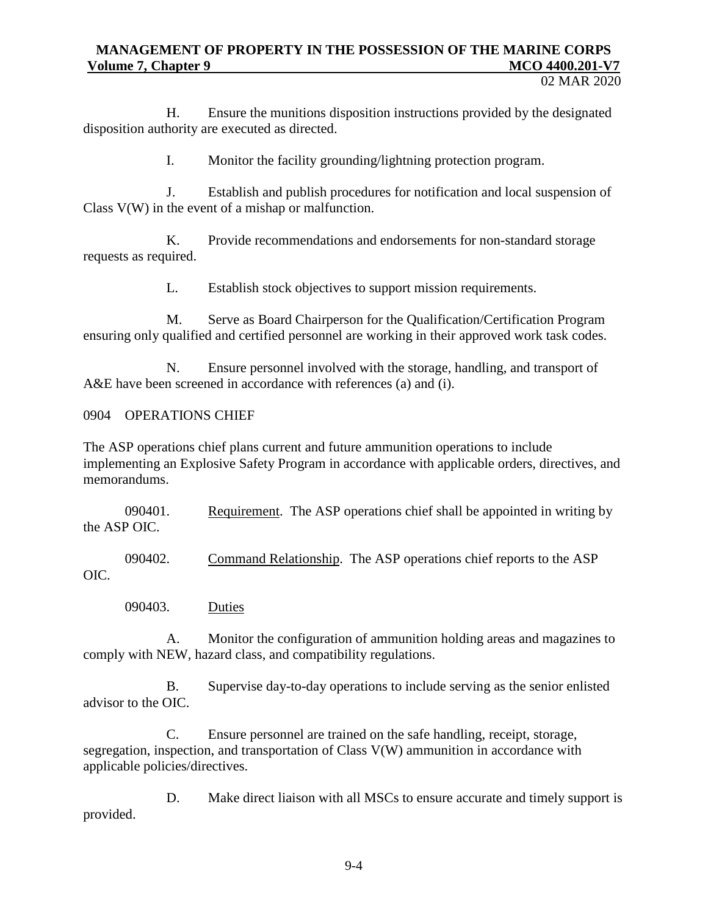02 MAR 2020

H. Ensure the munitions disposition instructions provided by the designated disposition authority are executed as directed.

I. Monitor the facility grounding/lightning protection program.

J. Establish and publish procedures for notification and local suspension of Class V(W) in the event of a mishap or malfunction.

K. Provide recommendations and endorsements for non-standard storage requests as required.

L. Establish stock objectives to support mission requirements.

M. Serve as Board Chairperson for the Qualification/Certification Program ensuring only qualified and certified personnel are working in their approved work task codes.

N. Ensure personnel involved with the storage, handling, and transport of A&E have been screened in accordance with references (a) and (i).

0904 OPERATIONS CHIEF

The ASP operations chief plans current and future ammunition operations to include implementing an Explosive Safety Program in accordance with applicable orders, directives, and memorandums.

090401. Requirement. The ASP operations chief shall be appointed in writing by the ASP OIC.

090402. Command Relationship. The ASP operations chief reports to the ASP OIC.

090403. Duties

A. Monitor the configuration of ammunition holding areas and magazines to comply with NEW, hazard class, and compatibility regulations.

B. Supervise day-to-day operations to include serving as the senior enlisted advisor to the OIC.

C. Ensure personnel are trained on the safe handling, receipt, storage, segregation, inspection, and transportation of Class V(W) ammunition in accordance with applicable policies/directives.

D. Make direct liaison with all MSCs to ensure accurate and timely support is provided.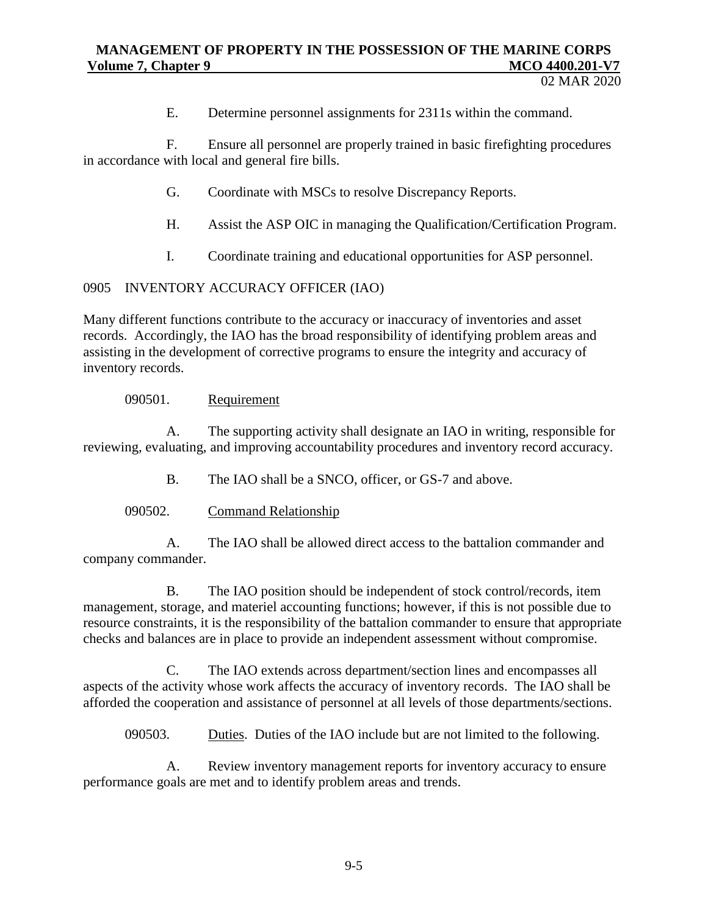E. Determine personnel assignments for 2311s within the command.

F. Ensure all personnel are properly trained in basic firefighting procedures in accordance with local and general fire bills.

- G. Coordinate with MSCs to resolve Discrepancy Reports.
- H. Assist the ASP OIC in managing the Qualification/Certification Program.
- I. Coordinate training and educational opportunities for ASP personnel.

# 0905 INVENTORY ACCURACY OFFICER (IAO)

Many different functions contribute to the accuracy or inaccuracy of inventories and asset records. Accordingly, the IAO has the broad responsibility of identifying problem areas and assisting in the development of corrective programs to ensure the integrity and accuracy of inventory records.

## 090501. Requirement

A. The supporting activity shall designate an IAO in writing, responsible for reviewing, evaluating, and improving accountability procedures and inventory record accuracy.

B. The IAO shall be a SNCO, officer, or GS-7 and above.

# 090502. Command Relationship

A. The IAO shall be allowed direct access to the battalion commander and company commander.

B. The IAO position should be independent of stock control/records, item management, storage, and materiel accounting functions; however, if this is not possible due to resource constraints, it is the responsibility of the battalion commander to ensure that appropriate checks and balances are in place to provide an independent assessment without compromise.

C. The IAO extends across department/section lines and encompasses all aspects of the activity whose work affects the accuracy of inventory records. The IAO shall be afforded the cooperation and assistance of personnel at all levels of those departments/sections.

090503. Duties. Duties of the IAO include but are not limited to the following.

A. Review inventory management reports for inventory accuracy to ensure performance goals are met and to identify problem areas and trends.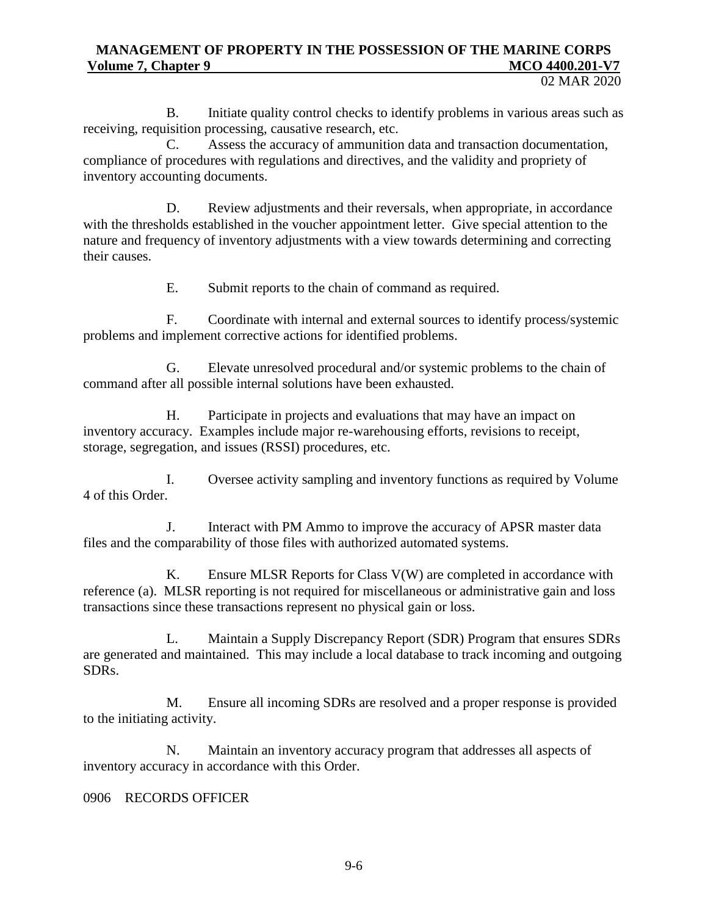B. Initiate quality control checks to identify problems in various areas such as receiving, requisition processing, causative research, etc.

C. Assess the accuracy of ammunition data and transaction documentation, compliance of procedures with regulations and directives, and the validity and propriety of inventory accounting documents.

D. Review adjustments and their reversals, when appropriate, in accordance with the thresholds established in the voucher appointment letter. Give special attention to the nature and frequency of inventory adjustments with a view towards determining and correcting their causes.

E. Submit reports to the chain of command as required.

F. Coordinate with internal and external sources to identify process/systemic problems and implement corrective actions for identified problems.

G. Elevate unresolved procedural and/or systemic problems to the chain of command after all possible internal solutions have been exhausted.

H. Participate in projects and evaluations that may have an impact on inventory accuracy. Examples include major re-warehousing efforts, revisions to receipt, storage, segregation, and issues (RSSI) procedures, etc.

I. Oversee activity sampling and inventory functions as required by Volume 4 of this Order.

J. Interact with PM Ammo to improve the accuracy of APSR master data files and the comparability of those files with authorized automated systems.

K. Ensure MLSR Reports for Class V(W) are completed in accordance with reference (a). MLSR reporting is not required for miscellaneous or administrative gain and loss transactions since these transactions represent no physical gain or loss.

L. Maintain a Supply Discrepancy Report (SDR) Program that ensures SDRs are generated and maintained. This may include a local database to track incoming and outgoing SDRs.

M. Ensure all incoming SDRs are resolved and a proper response is provided to the initiating activity.

N. Maintain an inventory accuracy program that addresses all aspects of inventory accuracy in accordance with this Order.

0906 RECORDS OFFICER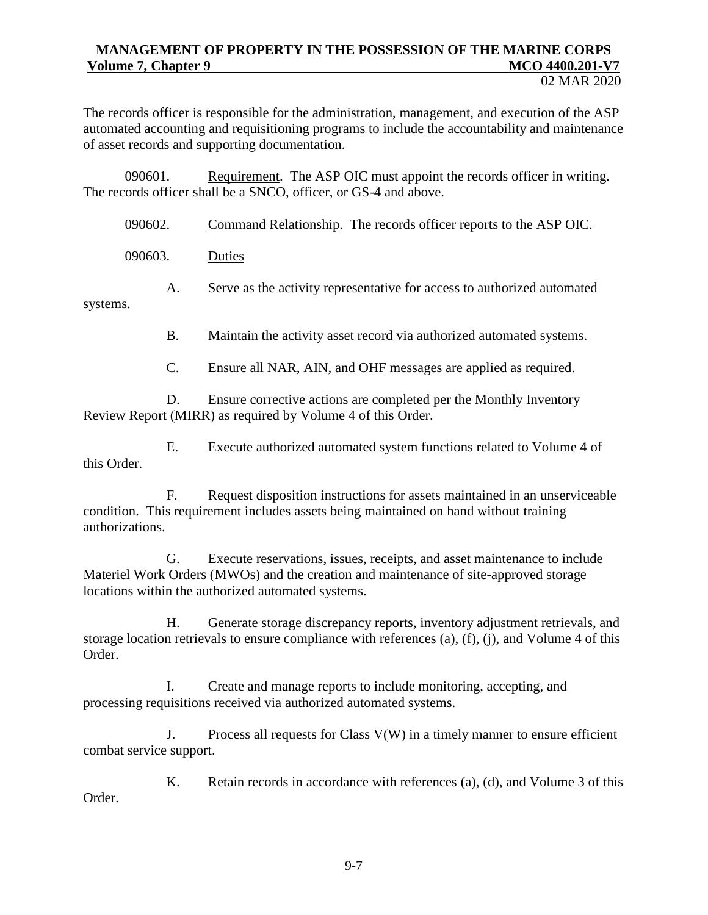02 MAR 2020

The records officer is responsible for the administration, management, and execution of the ASP automated accounting and requisitioning programs to include the accountability and maintenance of asset records and supporting documentation.

090601. Requirement. The ASP OIC must appoint the records officer in writing. The records officer shall be a SNCO, officer, or GS-4 and above.

|          | 090602. | Command Relationship. The records officer reports to the ASP OIC.       |
|----------|---------|-------------------------------------------------------------------------|
|          | 090603. | Duties                                                                  |
| systems. | А.      | Serve as the activity representative for access to authorized automated |
|          | В.      | Maintain the activity asset record via authorized automated systems.    |

C. Ensure all NAR, AIN, and OHF messages are applied as required.

D. Ensure corrective actions are completed per the Monthly Inventory Review Report (MIRR) as required by Volume 4 of this Order.

E. Execute authorized automated system functions related to Volume 4 of this Order.

F. Request disposition instructions for assets maintained in an unserviceable condition. This requirement includes assets being maintained on hand without training authorizations.

G. Execute reservations, issues, receipts, and asset maintenance to include Materiel Work Orders (MWOs) and the creation and maintenance of site-approved storage locations within the authorized automated systems.

H. Generate storage discrepancy reports, inventory adjustment retrievals, and storage location retrievals to ensure compliance with references (a), (f), (j), and Volume 4 of this Order.

I. Create and manage reports to include monitoring, accepting, and processing requisitions received via authorized automated systems.

J. Process all requests for Class V(W) in a timely manner to ensure efficient combat service support.

K. Retain records in accordance with references (a), (d), and Volume 3 of this Order.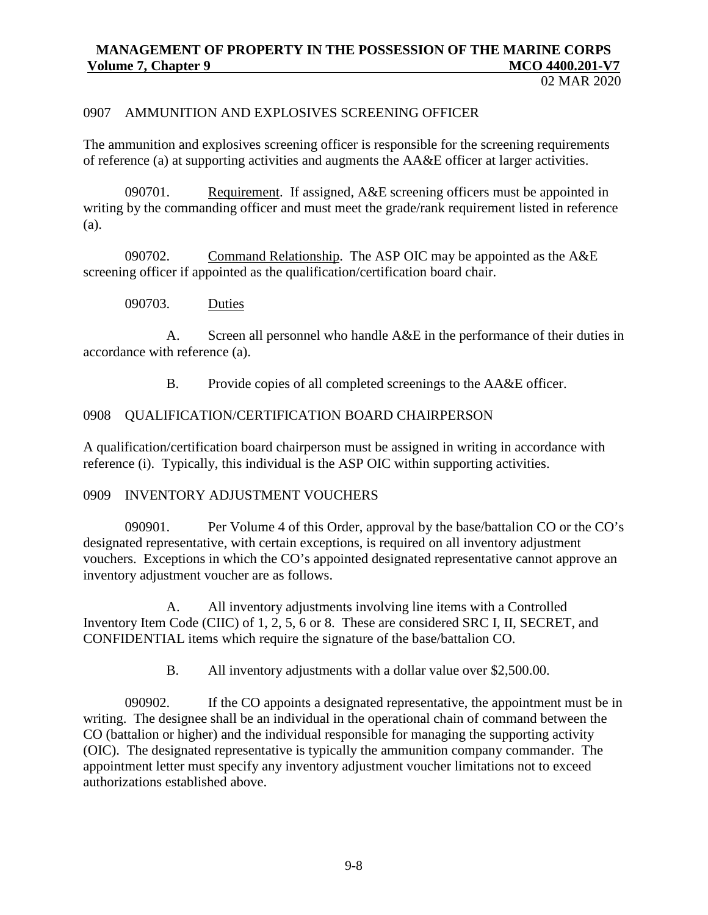02 MAR 2020

#### 0907 AMMUNITION AND EXPLOSIVES SCREENING OFFICER

The ammunition and explosives screening officer is responsible for the screening requirements of reference (a) at supporting activities and augments the AA&E officer at larger activities.

090701. Requirement. If assigned, A&E screening officers must be appointed in writing by the commanding officer and must meet the grade/rank requirement listed in reference (a).

090702. Command Relationship. The ASP OIC may be appointed as the A&E screening officer if appointed as the qualification/certification board chair.

090703. Duties

A. Screen all personnel who handle A&E in the performance of their duties in accordance with reference (a).

B. Provide copies of all completed screenings to the AA&E officer.

#### 0908 QUALIFICATION/CERTIFICATION BOARD CHAIRPERSON

A qualification/certification board chairperson must be assigned in writing in accordance with reference (i). Typically, this individual is the ASP OIC within supporting activities.

#### 0909 INVENTORY ADJUSTMENT VOUCHERS

090901. Per Volume 4 of this Order, approval by the base/battalion CO or the CO's designated representative, with certain exceptions, is required on all inventory adjustment vouchers. Exceptions in which the CO's appointed designated representative cannot approve an inventory adjustment voucher are as follows.

A. All inventory adjustments involving line items with a Controlled Inventory Item Code (CIIC) of 1, 2, 5, 6 or 8. These are considered SRC I, II, SECRET, and CONFIDENTIAL items which require the signature of the base/battalion CO.

B. All inventory adjustments with a dollar value over \$2,500.00.

090902. If the CO appoints a designated representative, the appointment must be in writing. The designee shall be an individual in the operational chain of command between the CO (battalion or higher) and the individual responsible for managing the supporting activity (OIC). The designated representative is typically the ammunition company commander. The appointment letter must specify any inventory adjustment voucher limitations not to exceed authorizations established above.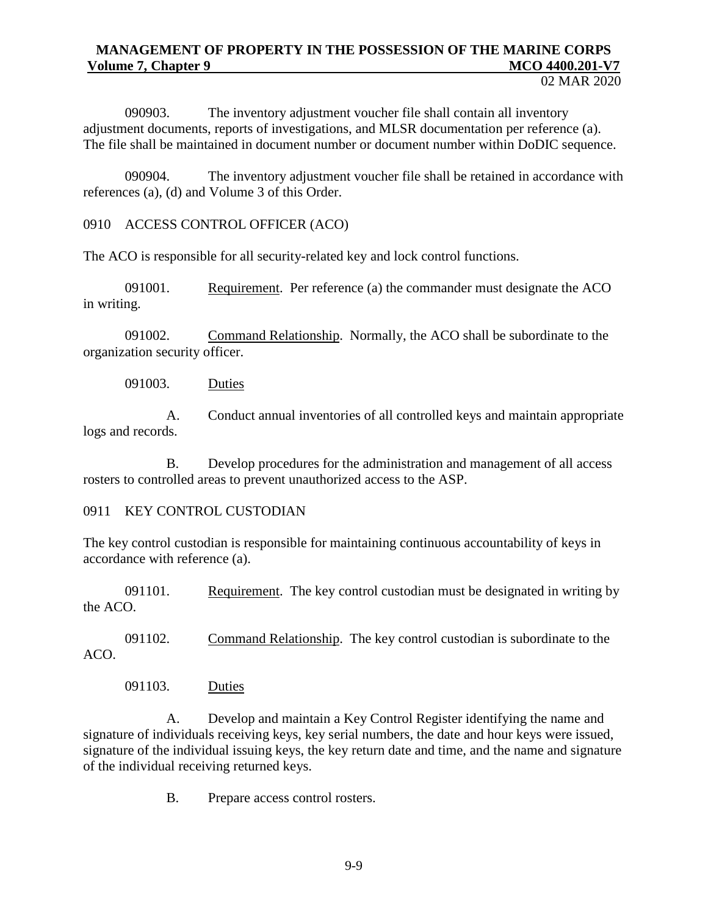090903. The inventory adjustment voucher file shall contain all inventory adjustment documents, reports of investigations, and MLSR documentation per reference (a). The file shall be maintained in document number or document number within DoDIC sequence.

090904. The inventory adjustment voucher file shall be retained in accordance with references (a), (d) and Volume 3 of this Order.

0910 ACCESS CONTROL OFFICER (ACO)

The ACO is responsible for all security-related key and lock control functions.

091001. Requirement. Per reference (a) the commander must designate the ACO in writing.

091002. Command Relationship. Normally, the ACO shall be subordinate to the organization security officer.

091003. Duties

A. Conduct annual inventories of all controlled keys and maintain appropriate logs and records.

B. Develop procedures for the administration and management of all access rosters to controlled areas to prevent unauthorized access to the ASP.

# 0911 KEY CONTROL CUSTODIAN

The key control custodian is responsible for maintaining continuous accountability of keys in accordance with reference (a).

091101. Requirement. The key control custodian must be designated in writing by the ACO.

091102. Command Relationship. The key control custodian is subordinate to the ACO.

091103. Duties

A. Develop and maintain a Key Control Register identifying the name and signature of individuals receiving keys, key serial numbers, the date and hour keys were issued, signature of the individual issuing keys, the key return date and time, and the name and signature of the individual receiving returned keys.

B. Prepare access control rosters.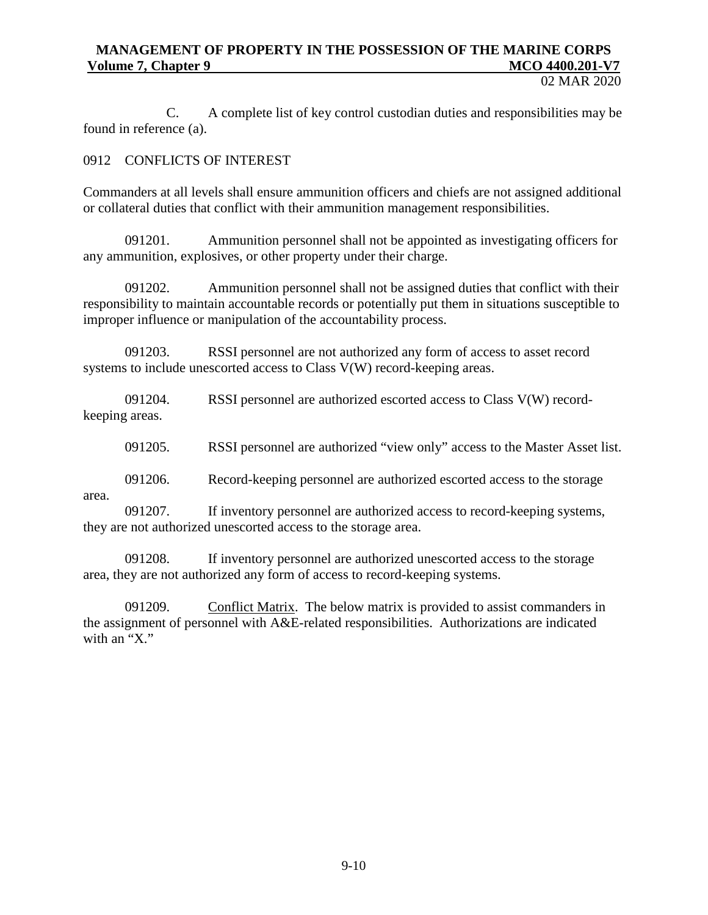02 MAR 2020

C. A complete list of key control custodian duties and responsibilities may be found in reference (a).

# 0912 CONFLICTS OF INTEREST

Commanders at all levels shall ensure ammunition officers and chiefs are not assigned additional or collateral duties that conflict with their ammunition management responsibilities.

091201. Ammunition personnel shall not be appointed as investigating officers for any ammunition, explosives, or other property under their charge.

091202. Ammunition personnel shall not be assigned duties that conflict with their responsibility to maintain accountable records or potentially put them in situations susceptible to improper influence or manipulation of the accountability process.

091203. RSSI personnel are not authorized any form of access to asset record systems to include unescorted access to Class V(W) record-keeping areas.

091204. RSSI personnel are authorized escorted access to Class V(W) recordkeeping areas.

091205. RSSI personnel are authorized "view only" access to the Master Asset list.

091206. Record-keeping personnel are authorized escorted access to the storage

area.

091207. If inventory personnel are authorized access to record-keeping systems, they are not authorized unescorted access to the storage area.

091208. If inventory personnel are authorized unescorted access to the storage area, they are not authorized any form of access to record-keeping systems.

091209. Conflict Matrix. The below matrix is provided to assist commanders in the assignment of personnel with A&E-related responsibilities. Authorizations are indicated with an " $X$ "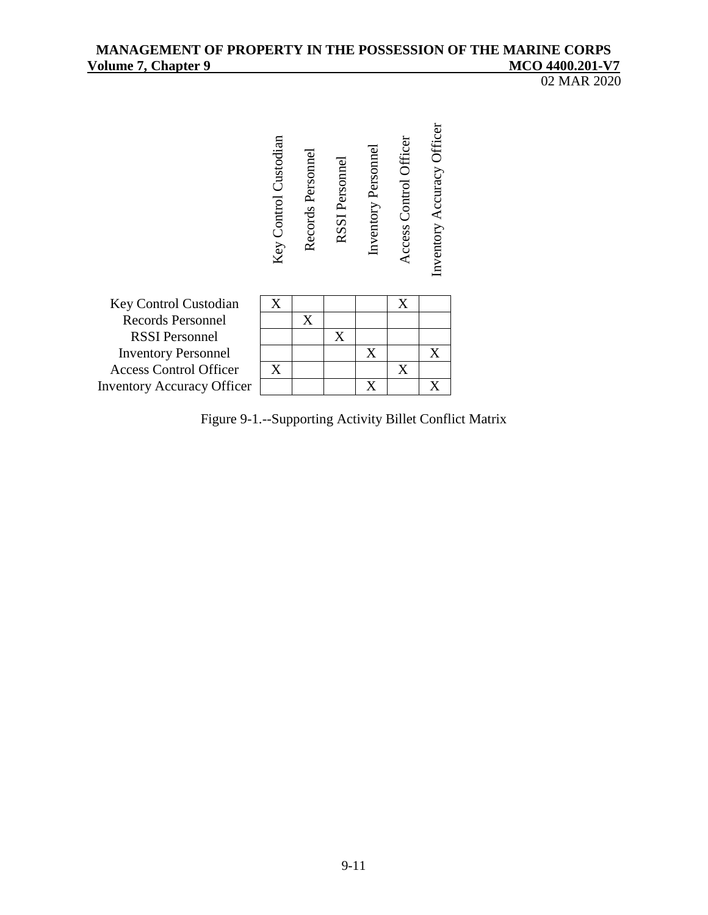## MANAGEMENT OF PROPERTY IN THE POSSESSION OF THE MARINE CORPS<br>Volume 7, Chapter 9 MCO 4400.201-V7 **Volume 7, Chapter 9**

02 MAR 2020



Figure 9-1.--Supporting Activity Billet Conflict Matrix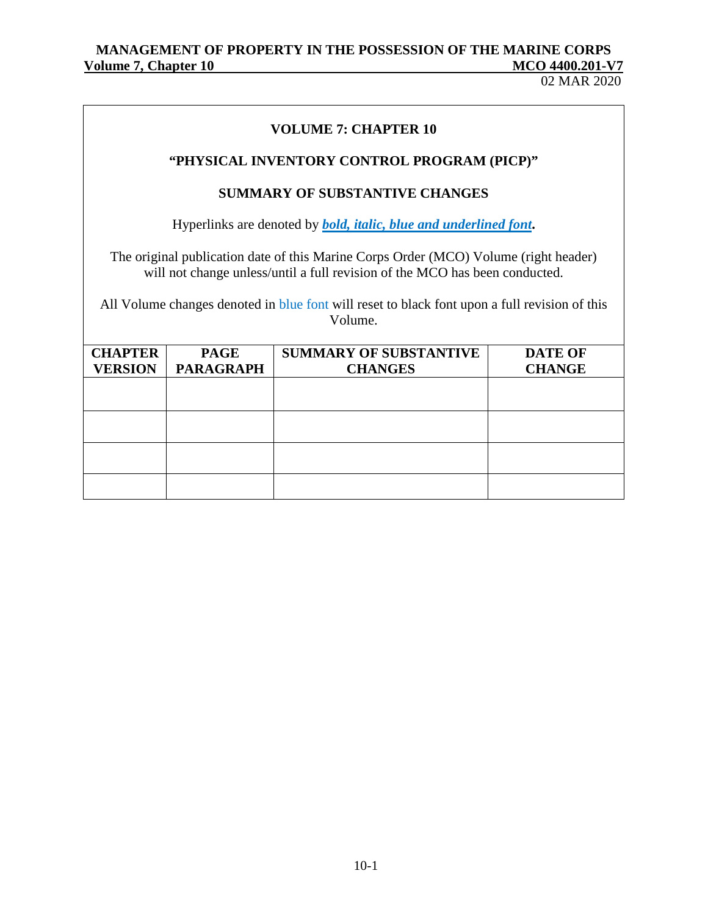02 MAR 2020

# **VOLUME 7: CHAPTER 10**

# **"PHYSICAL INVENTORY CONTROL PROGRAM (PICP)"**

## **SUMMARY OF SUBSTANTIVE CHANGES**

Hyperlinks are denoted by *bold, italic, blue and underlined font***.**

The original publication date of this Marine Corps Order (MCO) Volume (right header) will not change unless/until a full revision of the MCO has been conducted.

All Volume changes denoted in blue font will reset to black font upon a full revision of this Volume.

| <b>CHAPTER</b> | <b>PAGE</b>      | <b>SUMMARY OF SUBSTANTIVE</b> | <b>DATE OF</b> |
|----------------|------------------|-------------------------------|----------------|
| <b>VERSION</b> | <b>PARAGRAPH</b> | <b>CHANGES</b>                | <b>CHANGE</b>  |
|                |                  |                               |                |
|                |                  |                               |                |
|                |                  |                               |                |
|                |                  |                               |                |
|                |                  |                               |                |
|                |                  |                               |                |
|                |                  |                               |                |
|                |                  |                               |                |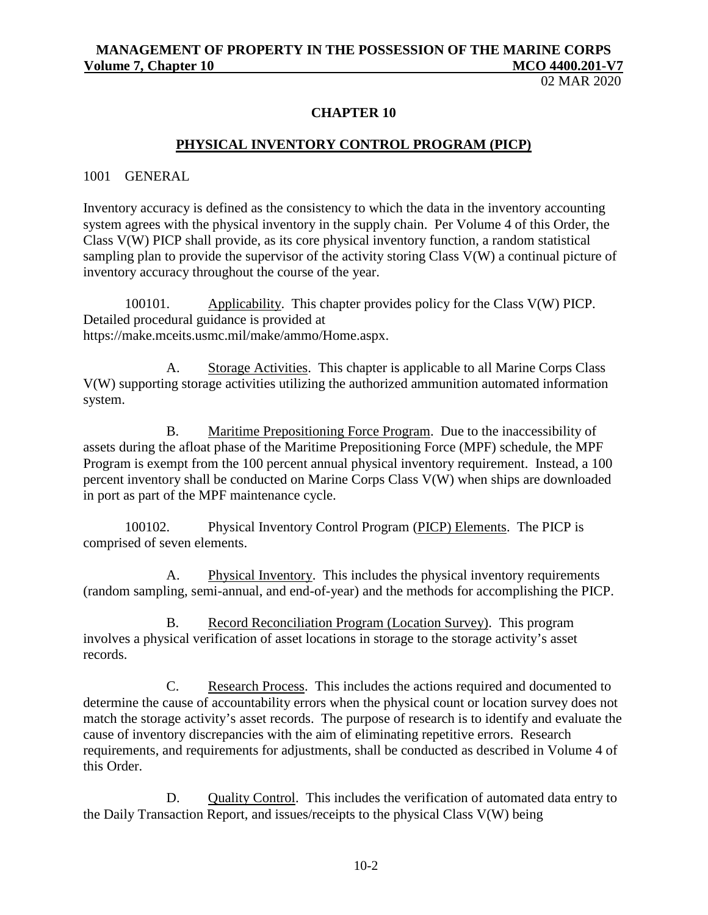02 MAR 2020

#### **CHAPTER 10**

#### **PHYSICAL INVENTORY CONTROL PROGRAM (PICP)**

1001 GENERAL

Inventory accuracy is defined as the consistency to which the data in the inventory accounting system agrees with the physical inventory in the supply chain. Per Volume 4 of this Order, the Class V(W) PICP shall provide, as its core physical inventory function, a random statistical sampling plan to provide the supervisor of the activity storing Class V(W) a continual picture of inventory accuracy throughout the course of the year.

100101. Applicability. This chapter provides policy for the Class V(W) PICP. Detailed procedural guidance is provided at https://make.mceits.usmc.mil/make/ammo/Home.aspx.

A. Storage Activities. This chapter is applicable to all Marine Corps Class V(W) supporting storage activities utilizing the authorized ammunition automated information system.

B. Maritime Prepositioning Force Program. Due to the inaccessibility of assets during the afloat phase of the Maritime Prepositioning Force (MPF) schedule, the MPF Program is exempt from the 100 percent annual physical inventory requirement. Instead, a 100 percent inventory shall be conducted on Marine Corps Class V(W) when ships are downloaded in port as part of the MPF maintenance cycle.

100102. Physical Inventory Control Program (PICP) Elements. The PICP is comprised of seven elements.

A. Physical Inventory. This includes the physical inventory requirements (random sampling, semi-annual, and end-of-year) and the methods for accomplishing the PICP.

B. Record Reconciliation Program (Location Survey). This program involves a physical verification of asset locations in storage to the storage activity's asset records.

C. Research Process. This includes the actions required and documented to determine the cause of accountability errors when the physical count or location survey does not match the storage activity's asset records. The purpose of research is to identify and evaluate the cause of inventory discrepancies with the aim of eliminating repetitive errors. Research requirements, and requirements for adjustments, shall be conducted as described in Volume 4 of this Order.

D. Quality Control. This includes the verification of automated data entry to the Daily Transaction Report, and issues/receipts to the physical Class V(W) being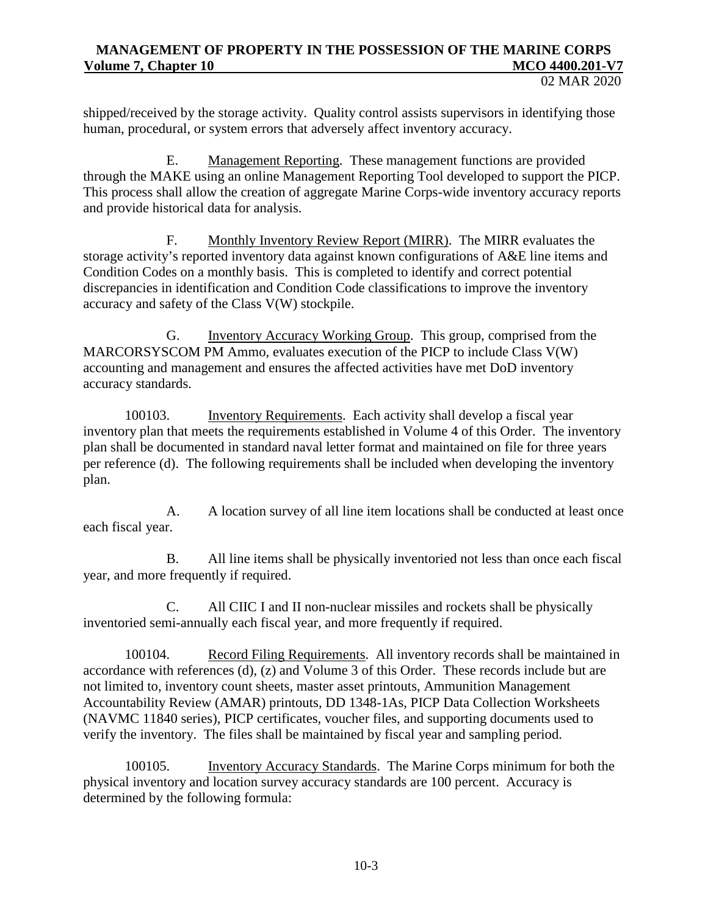shipped/received by the storage activity. Quality control assists supervisors in identifying those human, procedural, or system errors that adversely affect inventory accuracy.

E. Management Reporting. These management functions are provided through the MAKE using an online Management Reporting Tool developed to support the PICP. This process shall allow the creation of aggregate Marine Corps-wide inventory accuracy reports and provide historical data for analysis.

F. Monthly Inventory Review Report (MIRR). The MIRR evaluates the storage activity's reported inventory data against known configurations of A&E line items and Condition Codes on a monthly basis. This is completed to identify and correct potential discrepancies in identification and Condition Code classifications to improve the inventory accuracy and safety of the Class V(W) stockpile.

G. Inventory Accuracy Working Group. This group, comprised from the MARCORSYSCOM PM Ammo, evaluates execution of the PICP to include Class V(W) accounting and management and ensures the affected activities have met DoD inventory accuracy standards.

100103. Inventory Requirements. Each activity shall develop a fiscal year inventory plan that meets the requirements established in Volume 4 of this Order. The inventory plan shall be documented in standard naval letter format and maintained on file for three years per reference (d). The following requirements shall be included when developing the inventory plan.

A. A location survey of all line item locations shall be conducted at least once each fiscal year.

B. All line items shall be physically inventoried not less than once each fiscal year, and more frequently if required.

C. All CIIC I and II non-nuclear missiles and rockets shall be physically inventoried semi-annually each fiscal year, and more frequently if required.

100104. Record Filing Requirements. All inventory records shall be maintained in accordance with references (d), (z) and Volume 3 of this Order. These records include but are not limited to, inventory count sheets, master asset printouts, Ammunition Management Accountability Review (AMAR) printouts, DD 1348-1As, PICP Data Collection Worksheets (NAVMC 11840 series), PICP certificates, voucher files, and supporting documents used to verify the inventory. The files shall be maintained by fiscal year and sampling period.

100105. Inventory Accuracy Standards. The Marine Corps minimum for both the physical inventory and location survey accuracy standards are 100 percent. Accuracy is determined by the following formula: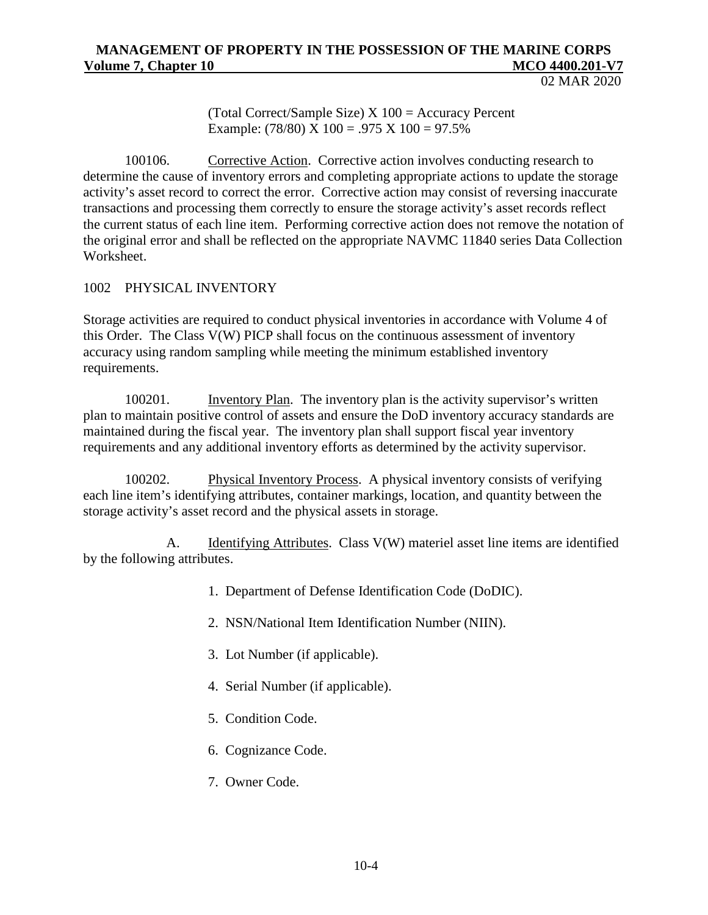02 MAR 2020

(Total Correct/Sample Size) X 100 = Accuracy Percent Example:  $(78/80)$  X  $100 = .975$  X  $100 = 97.5\%$ 

100106. Corrective Action. Corrective action involves conducting research to determine the cause of inventory errors and completing appropriate actions to update the storage activity's asset record to correct the error. Corrective action may consist of reversing inaccurate transactions and processing them correctly to ensure the storage activity's asset records reflect the current status of each line item. Performing corrective action does not remove the notation of the original error and shall be reflected on the appropriate NAVMC 11840 series Data Collection Worksheet.

# 1002 PHYSICAL INVENTORY

Storage activities are required to conduct physical inventories in accordance with Volume 4 of this Order. The Class V(W) PICP shall focus on the continuous assessment of inventory accuracy using random sampling while meeting the minimum established inventory requirements.

100201. Inventory Plan. The inventory plan is the activity supervisor's written plan to maintain positive control of assets and ensure the DoD inventory accuracy standards are maintained during the fiscal year. The inventory plan shall support fiscal year inventory requirements and any additional inventory efforts as determined by the activity supervisor.

100202. Physical Inventory Process. A physical inventory consists of verifying each line item's identifying attributes, container markings, location, and quantity between the storage activity's asset record and the physical assets in storage.

 A. Identifying Attributes. Class V(W) materiel asset line items are identified by the following attributes.

- 1. Department of Defense Identification Code (DoDIC).
- 2. NSN/National Item Identification Number (NIIN).
- 3. Lot Number (if applicable).
- 4. Serial Number (if applicable).
- 5. Condition Code.
- 6. Cognizance Code.
- 7. Owner Code.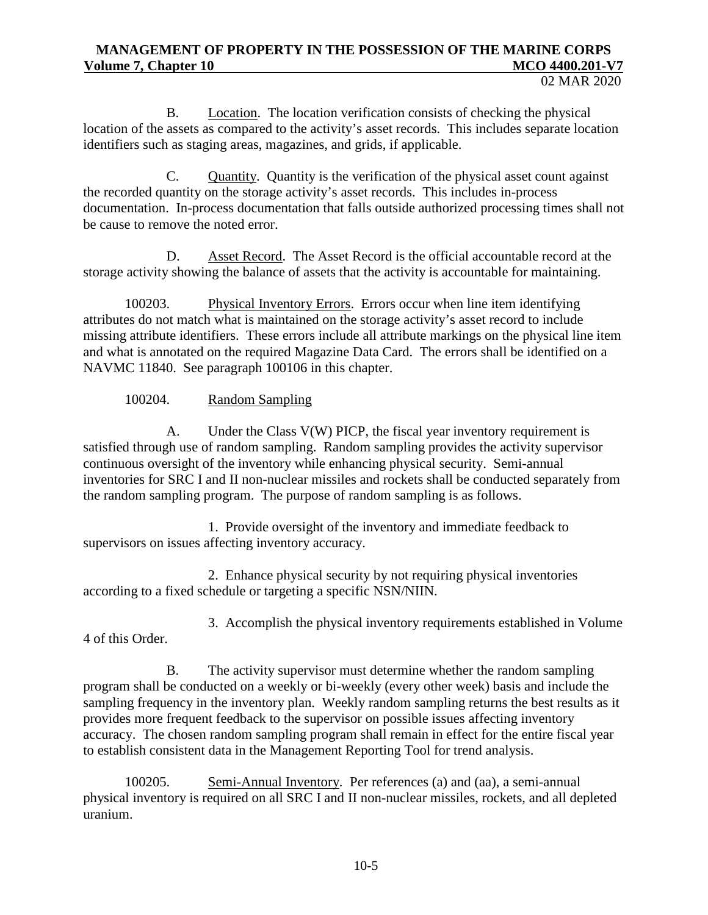B. Location. The location verification consists of checking the physical location of the assets as compared to the activity's asset records. This includes separate location identifiers such as staging areas, magazines, and grids, if applicable.

C. Quantity. Quantity is the verification of the physical asset count against the recorded quantity on the storage activity's asset records. This includes in-process documentation. In-process documentation that falls outside authorized processing times shall not be cause to remove the noted error.

D. Asset Record. The Asset Record is the official accountable record at the storage activity showing the balance of assets that the activity is accountable for maintaining.

100203. Physical Inventory Errors. Errors occur when line item identifying attributes do not match what is maintained on the storage activity's asset record to include missing attribute identifiers. These errors include all attribute markings on the physical line item and what is annotated on the required Magazine Data Card. The errors shall be identified on a NAVMC 11840. See paragraph 100106 in this chapter.

# 100204. Random Sampling

A. Under the Class V(W) PICP, the fiscal year inventory requirement is satisfied through use of random sampling. Random sampling provides the activity supervisor continuous oversight of the inventory while enhancing physical security. Semi-annual inventories for SRC I and II non-nuclear missiles and rockets shall be conducted separately from the random sampling program. The purpose of random sampling is as follows.

1. Provide oversight of the inventory and immediate feedback to supervisors on issues affecting inventory accuracy.

2. Enhance physical security by not requiring physical inventories according to a fixed schedule or targeting a specific NSN/NIIN.

3. Accomplish the physical inventory requirements established in Volume

4 of this Order.

B. The activity supervisor must determine whether the random sampling program shall be conducted on a weekly or bi-weekly (every other week) basis and include the sampling frequency in the inventory plan. Weekly random sampling returns the best results as it provides more frequent feedback to the supervisor on possible issues affecting inventory accuracy. The chosen random sampling program shall remain in effect for the entire fiscal year to establish consistent data in the Management Reporting Tool for trend analysis.

100205. Semi-Annual Inventory. Per references (a) and (aa), a semi-annual physical inventory is required on all SRC I and II non-nuclear missiles, rockets, and all depleted uranium.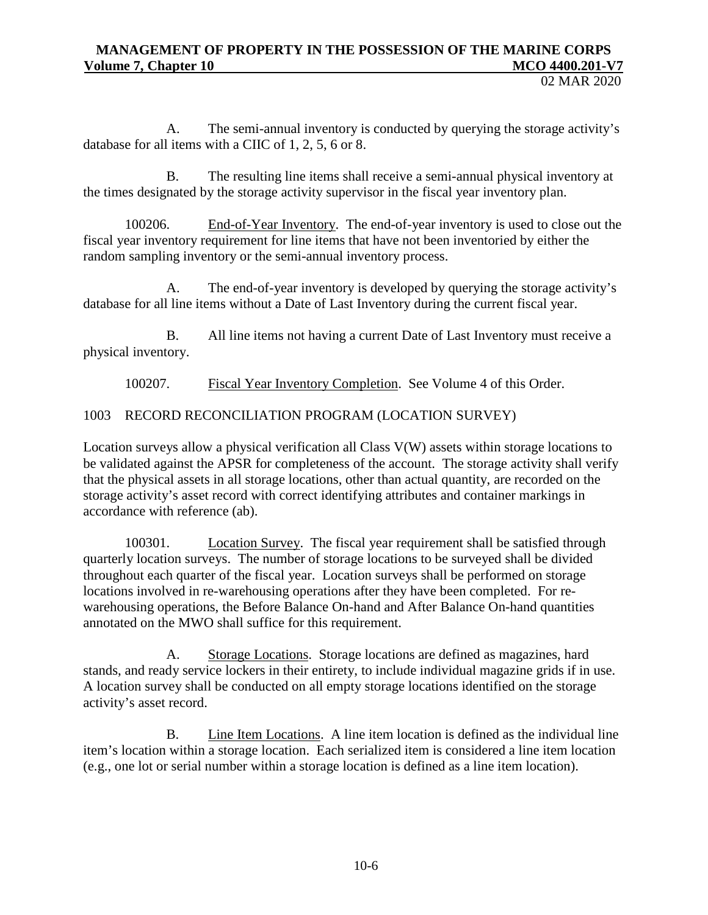02 MAR 2020

A. The semi-annual inventory is conducted by querying the storage activity's database for all items with a CIIC of 1, 2, 5, 6 or 8.

B. The resulting line items shall receive a semi-annual physical inventory at the times designated by the storage activity supervisor in the fiscal year inventory plan.

100206. End-of-Year Inventory. The end-of-year inventory is used to close out the fiscal year inventory requirement for line items that have not been inventoried by either the random sampling inventory or the semi-annual inventory process.

A. The end-of-year inventory is developed by querying the storage activity's database for all line items without a Date of Last Inventory during the current fiscal year.

B. All line items not having a current Date of Last Inventory must receive a physical inventory.

100207. Fiscal Year Inventory Completion. See Volume 4 of this Order.

1003 RECORD RECONCILIATION PROGRAM (LOCATION SURVEY)

Location surveys allow a physical verification all Class V(W) assets within storage locations to be validated against the APSR for completeness of the account. The storage activity shall verify that the physical assets in all storage locations, other than actual quantity, are recorded on the storage activity's asset record with correct identifying attributes and container markings in accordance with reference (ab).

100301. Location Survey. The fiscal year requirement shall be satisfied through quarterly location surveys. The number of storage locations to be surveyed shall be divided throughout each quarter of the fiscal year. Location surveys shall be performed on storage locations involved in re-warehousing operations after they have been completed. For rewarehousing operations, the Before Balance On-hand and After Balance On-hand quantities annotated on the MWO shall suffice for this requirement.

A. Storage Locations. Storage locations are defined as magazines, hard stands, and ready service lockers in their entirety, to include individual magazine grids if in use. A location survey shall be conducted on all empty storage locations identified on the storage activity's asset record.

B. Line Item Locations. A line item location is defined as the individual line item's location within a storage location. Each serialized item is considered a line item location (e.g., one lot or serial number within a storage location is defined as a line item location).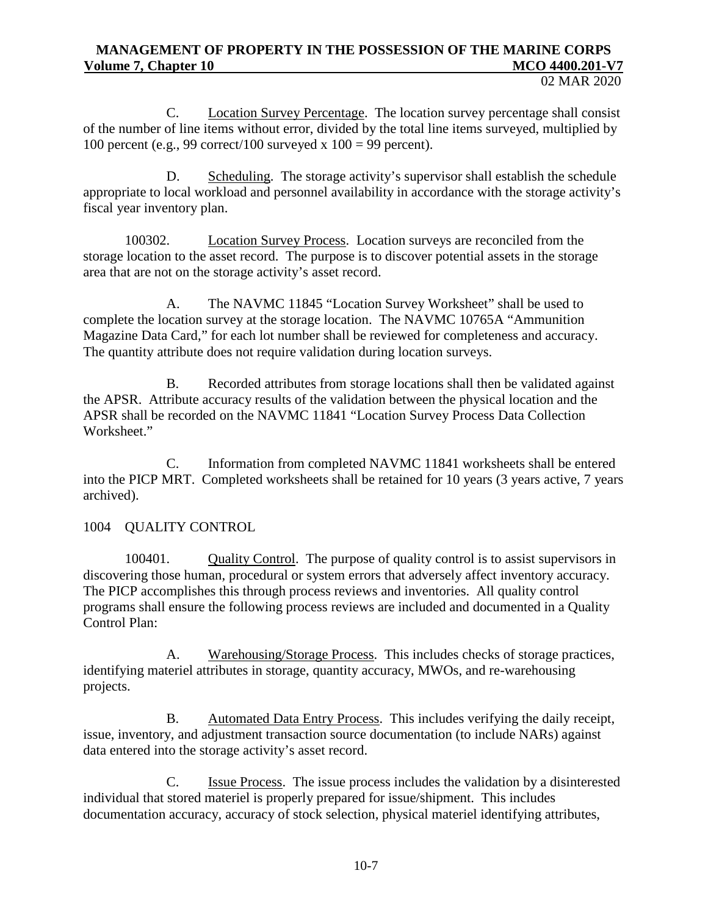C. Location Survey Percentage. The location survey percentage shall consist of the number of line items without error, divided by the total line items surveyed, multiplied by 100 percent (e.g., 99 correct/100 surveyed x  $100 = 99$  percent).

D. Scheduling. The storage activity's supervisor shall establish the schedule appropriate to local workload and personnel availability in accordance with the storage activity's fiscal year inventory plan.

100302. Location Survey Process. Location surveys are reconciled from the storage location to the asset record. The purpose is to discover potential assets in the storage area that are not on the storage activity's asset record.

A. The NAVMC 11845 "Location Survey Worksheet" shall be used to complete the location survey at the storage location. The NAVMC 10765A "Ammunition Magazine Data Card," for each lot number shall be reviewed for completeness and accuracy. The quantity attribute does not require validation during location surveys.

B. Recorded attributes from storage locations shall then be validated against the APSR. Attribute accuracy results of the validation between the physical location and the APSR shall be recorded on the NAVMC 11841 "Location Survey Process Data Collection Worksheet."

C. Information from completed NAVMC 11841 worksheets shall be entered into the PICP MRT. Completed worksheets shall be retained for 10 years (3 years active, 7 years archived).

# 1004 QUALITY CONTROL

100401. Quality Control. The purpose of quality control is to assist supervisors in discovering those human, procedural or system errors that adversely affect inventory accuracy. The PICP accomplishes this through process reviews and inventories. All quality control programs shall ensure the following process reviews are included and documented in a Quality Control Plan:

A. Warehousing/Storage Process. This includes checks of storage practices, identifying materiel attributes in storage, quantity accuracy, MWOs, and re-warehousing projects.

B. Automated Data Entry Process. This includes verifying the daily receipt, issue, inventory, and adjustment transaction source documentation (to include NARs) against data entered into the storage activity's asset record.

C. Issue Process. The issue process includes the validation by a disinterested individual that stored materiel is properly prepared for issue/shipment. This includes documentation accuracy, accuracy of stock selection, physical materiel identifying attributes,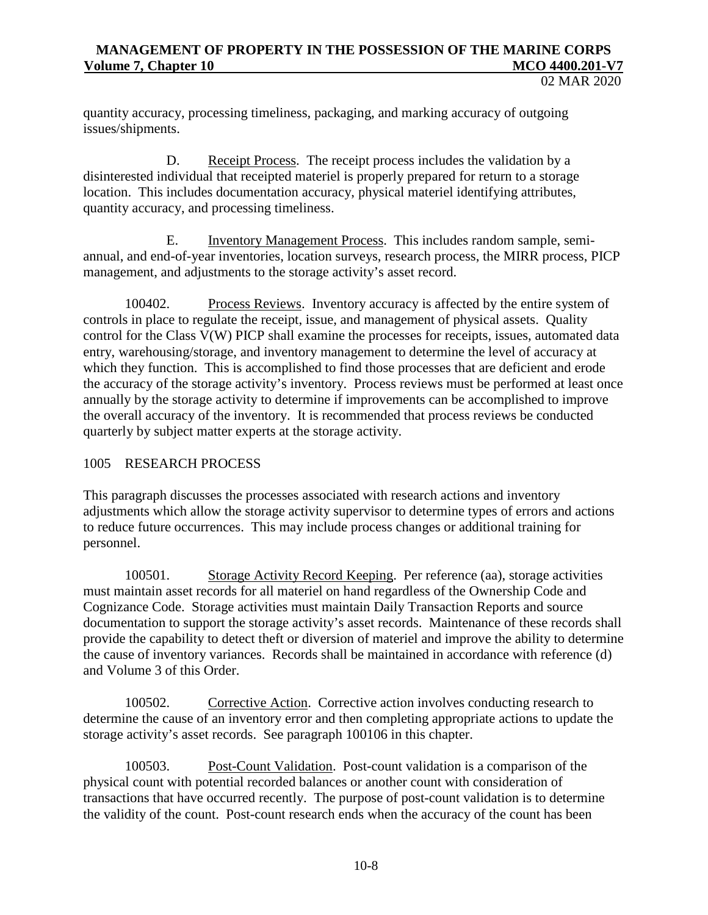02 MAR 2020

quantity accuracy, processing timeliness, packaging, and marking accuracy of outgoing issues/shipments.

D. Receipt Process. The receipt process includes the validation by a disinterested individual that receipted materiel is properly prepared for return to a storage location. This includes documentation accuracy, physical materiel identifying attributes, quantity accuracy, and processing timeliness.

E. Inventory Management Process. This includes random sample, semiannual, and end-of-year inventories, location surveys, research process, the MIRR process, PICP management, and adjustments to the storage activity's asset record.

100402. Process Reviews. Inventory accuracy is affected by the entire system of controls in place to regulate the receipt, issue, and management of physical assets. Quality control for the Class V(W) PICP shall examine the processes for receipts, issues, automated data entry, warehousing/storage, and inventory management to determine the level of accuracy at which they function. This is accomplished to find those processes that are deficient and erode the accuracy of the storage activity's inventory. Process reviews must be performed at least once annually by the storage activity to determine if improvements can be accomplished to improve the overall accuracy of the inventory. It is recommended that process reviews be conducted quarterly by subject matter experts at the storage activity.

## 1005 RESEARCH PROCESS

This paragraph discusses the processes associated with research actions and inventory adjustments which allow the storage activity supervisor to determine types of errors and actions to reduce future occurrences. This may include process changes or additional training for personnel.

100501. Storage Activity Record Keeping. Per reference (aa), storage activities must maintain asset records for all materiel on hand regardless of the Ownership Code and Cognizance Code. Storage activities must maintain Daily Transaction Reports and source documentation to support the storage activity's asset records. Maintenance of these records shall provide the capability to detect theft or diversion of materiel and improve the ability to determine the cause of inventory variances. Records shall be maintained in accordance with reference (d) and Volume 3 of this Order.

100502. Corrective Action. Corrective action involves conducting research to determine the cause of an inventory error and then completing appropriate actions to update the storage activity's asset records. See paragraph 100106 in this chapter.

100503. Post-Count Validation. Post-count validation is a comparison of the physical count with potential recorded balances or another count with consideration of transactions that have occurred recently. The purpose of post-count validation is to determine the validity of the count. Post-count research ends when the accuracy of the count has been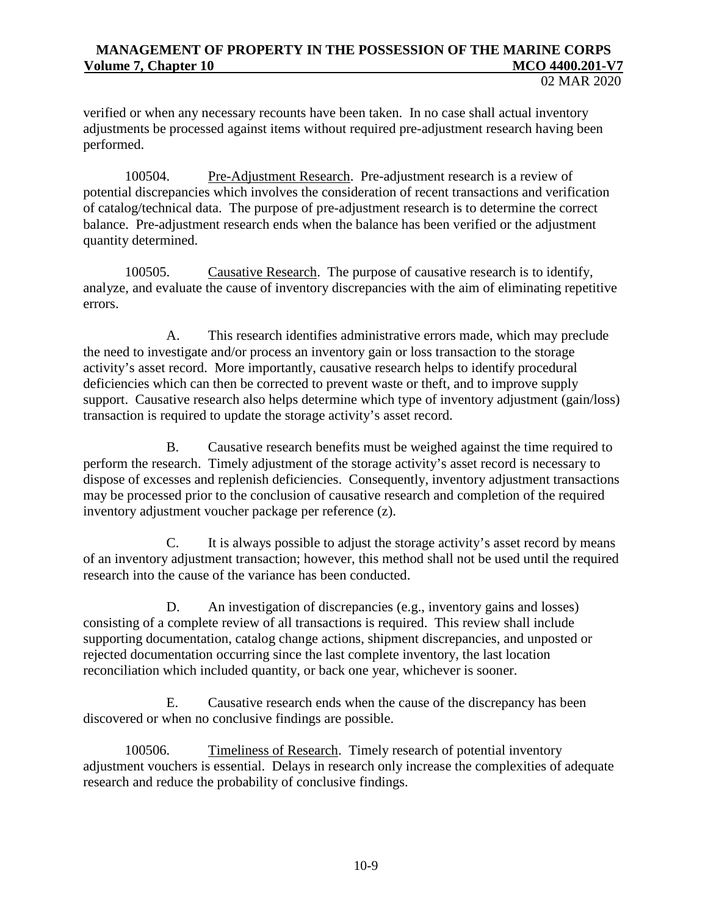02 MAR 2020

verified or when any necessary recounts have been taken. In no case shall actual inventory adjustments be processed against items without required pre-adjustment research having been performed.

100504. Pre-Adjustment Research. Pre-adjustment research is a review of potential discrepancies which involves the consideration of recent transactions and verification of catalog/technical data. The purpose of pre-adjustment research is to determine the correct balance. Pre-adjustment research ends when the balance has been verified or the adjustment quantity determined.

100505. Causative Research. The purpose of causative research is to identify, analyze, and evaluate the cause of inventory discrepancies with the aim of eliminating repetitive errors.

A. This research identifies administrative errors made, which may preclude the need to investigate and/or process an inventory gain or loss transaction to the storage activity's asset record. More importantly, causative research helps to identify procedural deficiencies which can then be corrected to prevent waste or theft, and to improve supply support. Causative research also helps determine which type of inventory adjustment (gain/loss) transaction is required to update the storage activity's asset record.

B. Causative research benefits must be weighed against the time required to perform the research. Timely adjustment of the storage activity's asset record is necessary to dispose of excesses and replenish deficiencies. Consequently, inventory adjustment transactions may be processed prior to the conclusion of causative research and completion of the required inventory adjustment voucher package per reference (z).

C. It is always possible to adjust the storage activity's asset record by means of an inventory adjustment transaction; however, this method shall not be used until the required research into the cause of the variance has been conducted.

D. An investigation of discrepancies (e.g., inventory gains and losses) consisting of a complete review of all transactions is required. This review shall include supporting documentation, catalog change actions, shipment discrepancies, and unposted or rejected documentation occurring since the last complete inventory, the last location reconciliation which included quantity, or back one year, whichever is sooner.

E. Causative research ends when the cause of the discrepancy has been discovered or when no conclusive findings are possible.

100506. Timeliness of Research. Timely research of potential inventory adjustment vouchers is essential. Delays in research only increase the complexities of adequate research and reduce the probability of conclusive findings.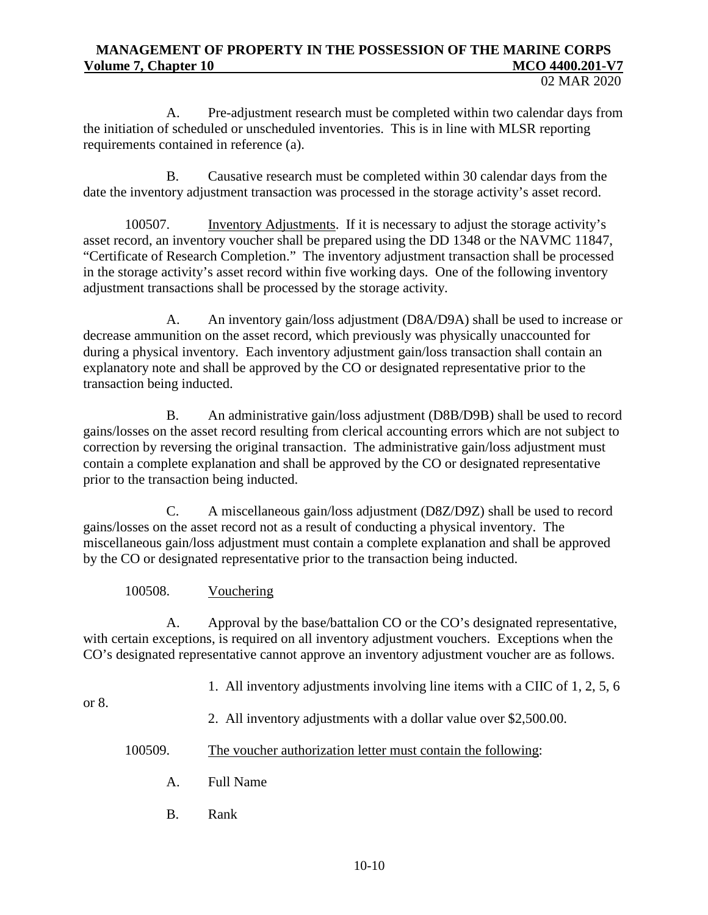02 MAR 2020

A. Pre-adjustment research must be completed within two calendar days from the initiation of scheduled or unscheduled inventories. This is in line with MLSR reporting requirements contained in reference (a).

B. Causative research must be completed within 30 calendar days from the date the inventory adjustment transaction was processed in the storage activity's asset record.

100507. Inventory Adjustments. If it is necessary to adjust the storage activity's asset record, an inventory voucher shall be prepared using the DD 1348 or the NAVMC 11847, "Certificate of Research Completion." The inventory adjustment transaction shall be processed in the storage activity's asset record within five working days. One of the following inventory adjustment transactions shall be processed by the storage activity.

A. An inventory gain/loss adjustment (D8A/D9A) shall be used to increase or decrease ammunition on the asset record, which previously was physically unaccounted for during a physical inventory. Each inventory adjustment gain/loss transaction shall contain an explanatory note and shall be approved by the CO or designated representative prior to the transaction being inducted.

B. An administrative gain/loss adjustment (D8B/D9B) shall be used to record gains/losses on the asset record resulting from clerical accounting errors which are not subject to correction by reversing the original transaction. The administrative gain/loss adjustment must contain a complete explanation and shall be approved by the CO or designated representative prior to the transaction being inducted.

C. A miscellaneous gain/loss adjustment (D8Z/D9Z) shall be used to record gains/losses on the asset record not as a result of conducting a physical inventory. The miscellaneous gain/loss adjustment must contain a complete explanation and shall be approved by the CO or designated representative prior to the transaction being inducted.

## 100508. Vouchering

A. Approval by the base/battalion CO or the CO's designated representative, with certain exceptions, is required on all inventory adjustment vouchers. Exceptions when the CO's designated representative cannot approve an inventory adjustment voucher are as follows.

1. All inventory adjustments involving line items with a CIIC of 1, 2, 5, 6

or 8.

2. All inventory adjustments with a dollar value over \$2,500.00.

#### 100509. The voucher authorization letter must contain the following:

- A. Full Name
- B. Rank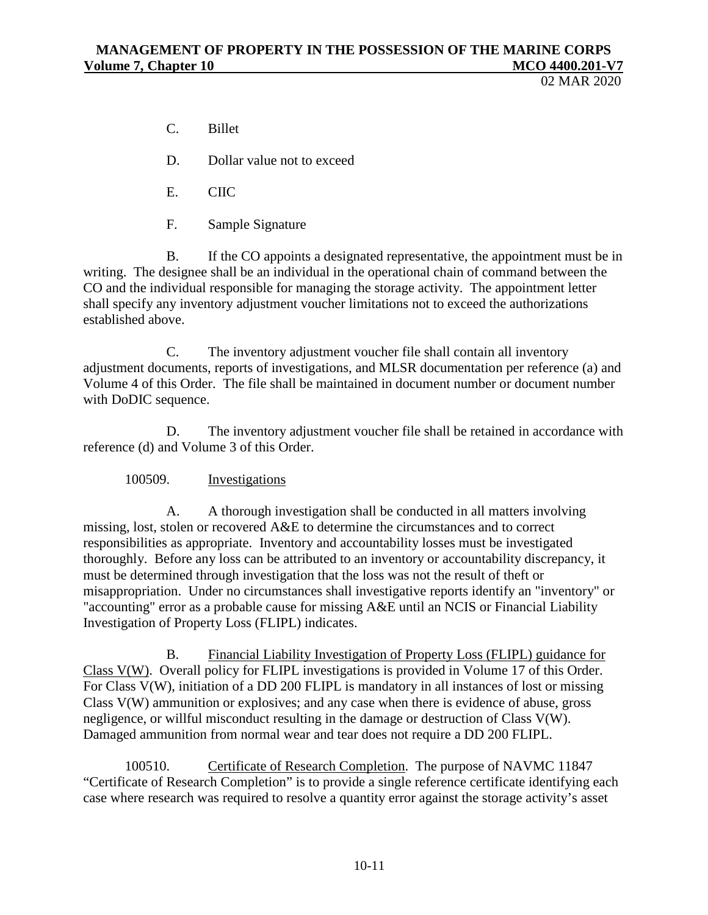02 MAR 2020

- C. Billet
- D. Dollar value not to exceed
- E. CIIC
- F. Sample Signature

B. If the CO appoints a designated representative, the appointment must be in writing. The designee shall be an individual in the operational chain of command between the CO and the individual responsible for managing the storage activity. The appointment letter shall specify any inventory adjustment voucher limitations not to exceed the authorizations established above.

C. The inventory adjustment voucher file shall contain all inventory adjustment documents, reports of investigations, and MLSR documentation per reference (a) and Volume 4 of this Order. The file shall be maintained in document number or document number with DoDIC sequence.

D. The inventory adjustment voucher file shall be retained in accordance with reference (d) and Volume 3 of this Order.

#### 100509. Investigations

A. A thorough investigation shall be conducted in all matters involving missing, lost, stolen or recovered A&E to determine the circumstances and to correct responsibilities as appropriate. Inventory and accountability losses must be investigated thoroughly. Before any loss can be attributed to an inventory or accountability discrepancy, it must be determined through investigation that the loss was not the result of theft or misappropriation. Under no circumstances shall investigative reports identify an "inventory" or "accounting" error as a probable cause for missing A&E until an NCIS or Financial Liability Investigation of Property Loss (FLIPL) indicates.

B. Financial Liability Investigation of Property Loss (FLIPL) guidance for Class V(W). Overall policy for FLIPL investigations is provided in Volume 17 of this Order. For Class V(W), initiation of a DD 200 FLIPL is mandatory in all instances of lost or missing Class V(W) ammunition or explosives; and any case when there is evidence of abuse, gross negligence, or willful misconduct resulting in the damage or destruction of Class V(W). Damaged ammunition from normal wear and tear does not require a DD 200 FLIPL.

100510. Certificate of Research Completion. The purpose of NAVMC 11847 "Certificate of Research Completion" is to provide a single reference certificate identifying each case where research was required to resolve a quantity error against the storage activity's asset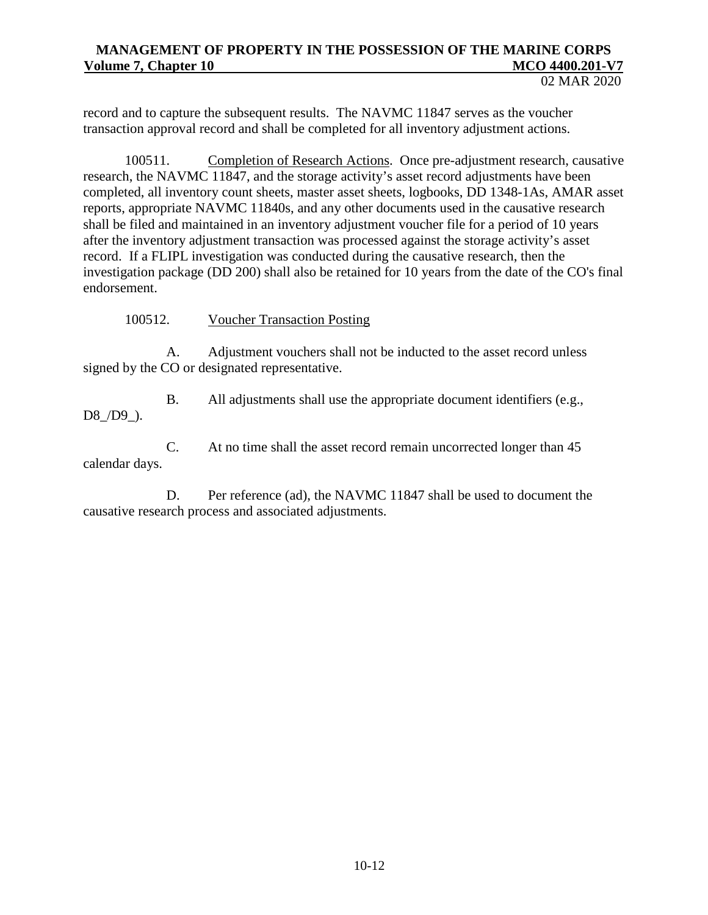record and to capture the subsequent results. The NAVMC 11847 serves as the voucher transaction approval record and shall be completed for all inventory adjustment actions.

100511. Completion of Research Actions. Once pre-adjustment research, causative research, the NAVMC 11847, and the storage activity's asset record adjustments have been completed, all inventory count sheets, master asset sheets, logbooks, DD 1348-1As, AMAR asset reports, appropriate NAVMC 11840s, and any other documents used in the causative research shall be filed and maintained in an inventory adjustment voucher file for a period of 10 years after the inventory adjustment transaction was processed against the storage activity's asset record. If a FLIPL investigation was conducted during the causative research, then the investigation package (DD 200) shall also be retained for 10 years from the date of the CO's final endorsement.

100512. Voucher Transaction Posting

A. Adjustment vouchers shall not be inducted to the asset record unless signed by the CO or designated representative.

B. All adjustments shall use the appropriate document identifiers (e.g., D8 /D9 ).

C. At no time shall the asset record remain uncorrected longer than 45 calendar days.

D. Per reference (ad), the NAVMC 11847 shall be used to document the causative research process and associated adjustments.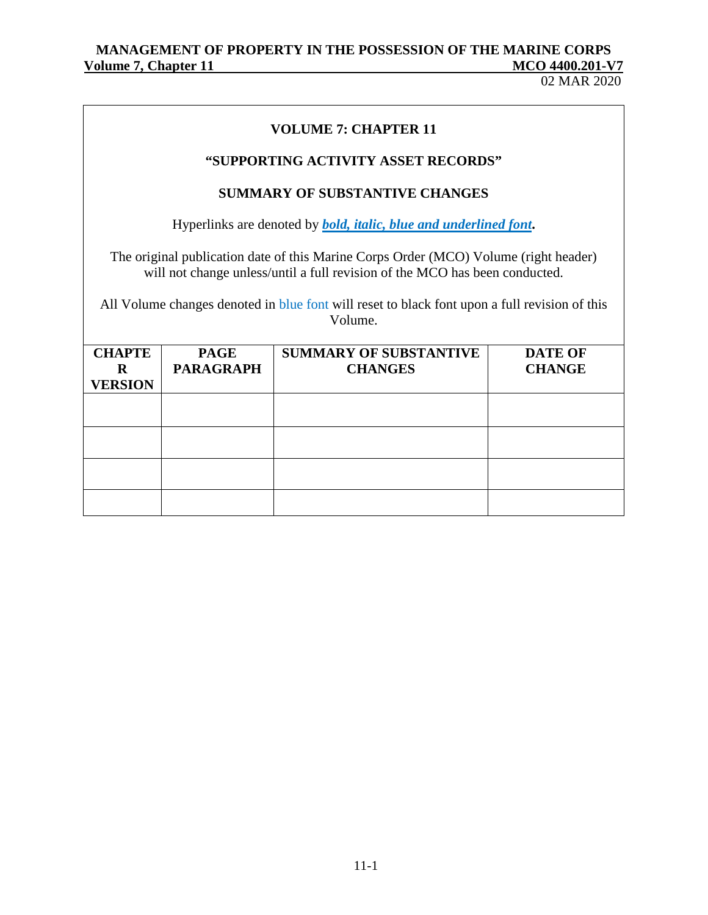# MANAGEMENT OF PROPERTY IN THE POSSESSION OF THE MARINE CORPS<br>
MCO 4400.201-V7 **Volume 7, Chapter 11** McConstanting 11

| <b>VOLUME 7: CHAPTER 11</b>                |                                 |                                                                                                                                                                                                                                                                      |                                 |  |  |  |  |
|--------------------------------------------|---------------------------------|----------------------------------------------------------------------------------------------------------------------------------------------------------------------------------------------------------------------------------------------------------------------|---------------------------------|--|--|--|--|
| "SUPPORTING ACTIVITY ASSET RECORDS"        |                                 |                                                                                                                                                                                                                                                                      |                                 |  |  |  |  |
|                                            |                                 | <b>SUMMARY OF SUBSTANTIVE CHANGES</b>                                                                                                                                                                                                                                |                                 |  |  |  |  |
|                                            |                                 | Hyperlinks are denoted by <b><i>bold, italic, blue and underlined font.</i></b>                                                                                                                                                                                      |                                 |  |  |  |  |
|                                            |                                 | The original publication date of this Marine Corps Order (MCO) Volume (right header)<br>will not change unless/until a full revision of the MCO has been conducted.<br>All Volume changes denoted in blue font will reset to black font upon a full revision of this |                                 |  |  |  |  |
|                                            |                                 | Volume.                                                                                                                                                                                                                                                              |                                 |  |  |  |  |
| <b>CHAPTE</b><br>$\bf R$<br><b>VERSION</b> | <b>PAGE</b><br><b>PARAGRAPH</b> | <b>SUMMARY OF SUBSTANTIVE</b><br><b>CHANGES</b>                                                                                                                                                                                                                      | <b>DATE OF</b><br><b>CHANGE</b> |  |  |  |  |
|                                            |                                 |                                                                                                                                                                                                                                                                      |                                 |  |  |  |  |
|                                            |                                 |                                                                                                                                                                                                                                                                      |                                 |  |  |  |  |
|                                            |                                 |                                                                                                                                                                                                                                                                      |                                 |  |  |  |  |
|                                            |                                 |                                                                                                                                                                                                                                                                      |                                 |  |  |  |  |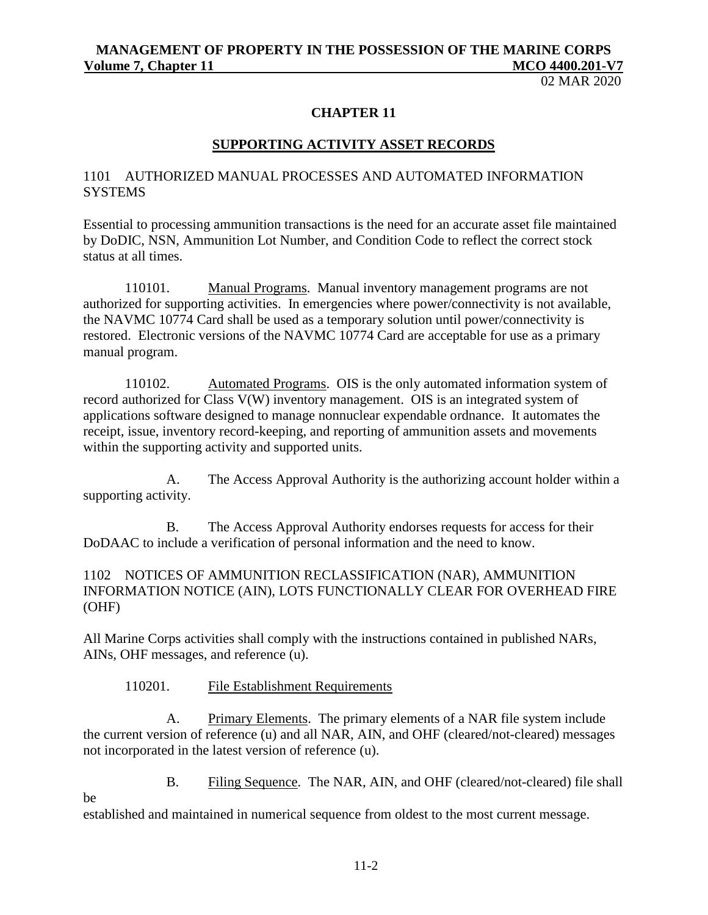02 MAR 2020

#### **CHAPTER 11**

#### **SUPPORTING ACTIVITY ASSET RECORDS**

### 1101 AUTHORIZED MANUAL PROCESSES AND AUTOMATED INFORMATION **SYSTEMS**

Essential to processing ammunition transactions is the need for an accurate asset file maintained by DoDIC, NSN, Ammunition Lot Number, and Condition Code to reflect the correct stock status at all times.

110101. Manual Programs. Manual inventory management programs are not authorized for supporting activities. In emergencies where power/connectivity is not available, the NAVMC 10774 Card shall be used as a temporary solution until power/connectivity is restored. Electronic versions of the NAVMC 10774 Card are acceptable for use as a primary manual program.

110102. Automated Programs. OIS is the only automated information system of record authorized for Class V(W) inventory management. OIS is an integrated system of applications software designed to manage nonnuclear expendable ordnance. It automates the receipt, issue, inventory record-keeping, and reporting of ammunition assets and movements within the supporting activity and supported units.

A. The Access Approval Authority is the authorizing account holder within a supporting activity.

B. The Access Approval Authority endorses requests for access for their DoDAAC to include a verification of personal information and the need to know.

## 1102 NOTICES OF AMMUNITION RECLASSIFICATION (NAR), AMMUNITION INFORMATION NOTICE (AIN), LOTS FUNCTIONALLY CLEAR FOR OVERHEAD FIRE (OHF)

All Marine Corps activities shall comply with the instructions contained in published NARs, AINs, OHF messages, and reference (u).

#### 110201. File Establishment Requirements

be

A. Primary Elements. The primary elements of a NAR file system include the current version of reference (u) and all NAR, AIN, and OHF (cleared/not-cleared) messages not incorporated in the latest version of reference (u).

B. Filing Sequence. The NAR, AIN, and OHF (cleared/not-cleared) file shall

established and maintained in numerical sequence from oldest to the most current message.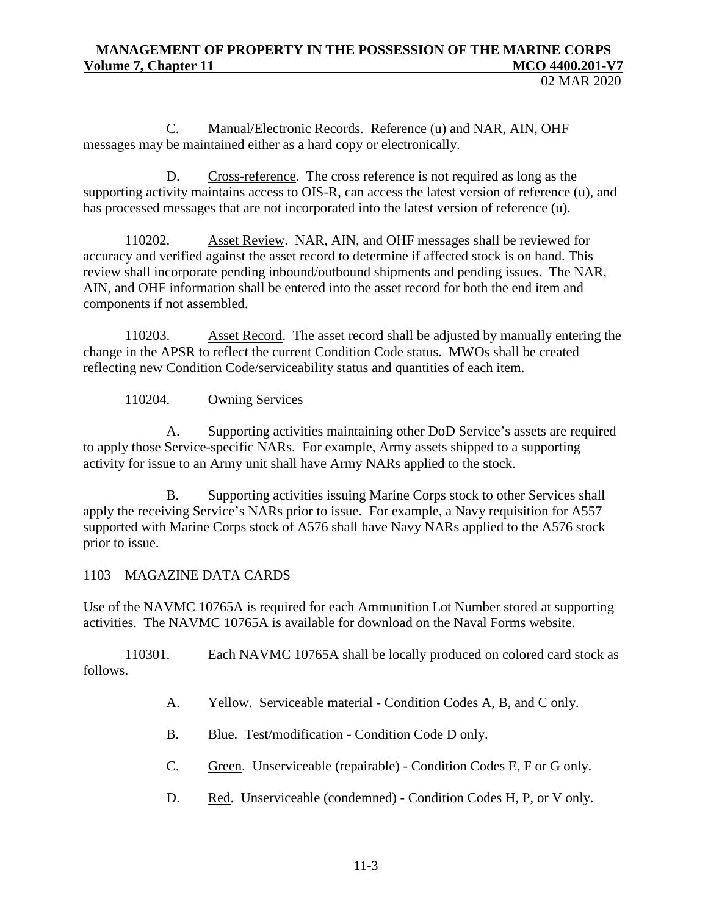C. Manual/Electronic Records. Reference (u) and NAR, AIN, OHF messages may be maintained either as a hard copy or electronically.

D. Cross-reference. The cross reference is not required as long as the supporting activity maintains access to OIS-R, can access the latest version of reference (u), and has processed messages that are not incorporated into the latest version of reference (u).

110202. Asset Review. NAR, AIN, and OHF messages shall be reviewed for accuracy and verified against the asset record to determine if affected stock is on hand. This review shall incorporate pending inbound/outbound shipments and pending issues. The NAR, AIN, and OHF information shall be entered into the asset record for both the end item and components if not assembled.

110203. Asset Record. The asset record shall be adjusted by manually entering the change in the APSR to reflect the current Condition Code status. MWOs shall be created reflecting new Condition Code/serviceability status and quantities of each item.

110204. Owning Services

A. Supporting activities maintaining other DoD Service's assets are required to apply those Service-specific NARs. For example, Army assets shipped to a supporting activity for issue to an Army unit shall have Army NARs applied to the stock.

B. Supporting activities issuing Marine Corps stock to other Services shall apply the receiving Service's NARs prior to issue. For example, a Navy requisition for A557 supported with Marine Corps stock of A576 shall have Navy NARs applied to the A576 stock prior to issue.

## 1103 MAGAZINE DATA CARDS

Use of the NAVMC 10765A is required for each Ammunition Lot Number stored at supporting activities. The NAVMC 10765A is available for download on the Naval Forms website.

110301. Each NAVMC 10765A shall be locally produced on colored card stock as follows.

- A. Yellow. Serviceable material Condition Codes A, B, and C only.
- B. Blue. Test/modification Condition Code D only.
- C. Green. Unserviceable (repairable) Condition Codes E, F or G only.
- D. Red. Unserviceable (condemned) Condition Codes H, P, or V only.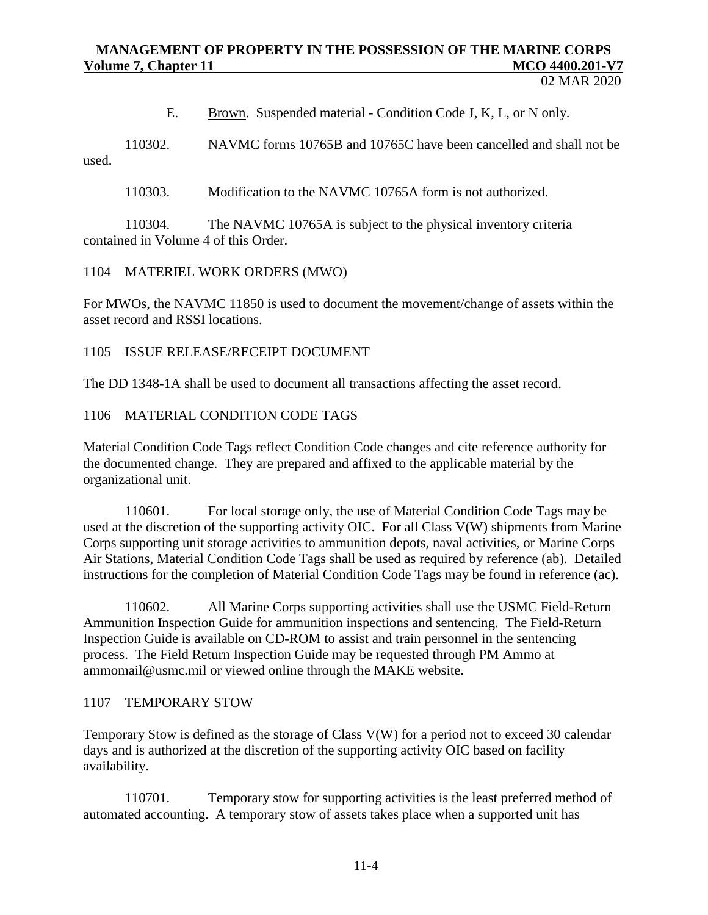E. Brown. Suspended material - Condition Code J, K, L, or N only.

110302. NAVMC forms 10765B and 10765C have been cancelled and shall not be used.

110303. Modification to the NAVMC 10765A form is not authorized.

110304. The NAVMC 10765A is subject to the physical inventory criteria contained in Volume 4 of this Order.

1104 MATERIEL WORK ORDERS (MWO)

For MWOs, the NAVMC 11850 is used to document the movement/change of assets within the asset record and RSSI locations.

1105 ISSUE RELEASE/RECEIPT DOCUMENT

The DD 1348-1A shall be used to document all transactions affecting the asset record.

1106 MATERIAL CONDITION CODE TAGS

Material Condition Code Tags reflect Condition Code changes and cite reference authority for the documented change. They are prepared and affixed to the applicable material by the organizational unit.

110601. For local storage only, the use of Material Condition Code Tags may be used at the discretion of the supporting activity OIC. For all Class V(W) shipments from Marine Corps supporting unit storage activities to ammunition depots, naval activities, or Marine Corps Air Stations, Material Condition Code Tags shall be used as required by reference (ab). Detailed instructions for the completion of Material Condition Code Tags may be found in reference (ac).

110602. All Marine Corps supporting activities shall use the USMC Field-Return Ammunition Inspection Guide for ammunition inspections and sentencing. The Field-Return Inspection Guide is available on CD-ROM to assist and train personnel in the sentencing process. The Field Return Inspection Guide may be requested through PM Ammo at [ammomail@usmc.mil](mailto:ammomail@usmc.mil) or viewed online through the MAKE website.

#### 1107 TEMPORARY STOW

Temporary Stow is defined as the storage of Class V(W) for a period not to exceed 30 calendar days and is authorized at the discretion of the supporting activity OIC based on facility availability.

110701. Temporary stow for supporting activities is the least preferred method of automated accounting. A temporary stow of assets takes place when a supported unit has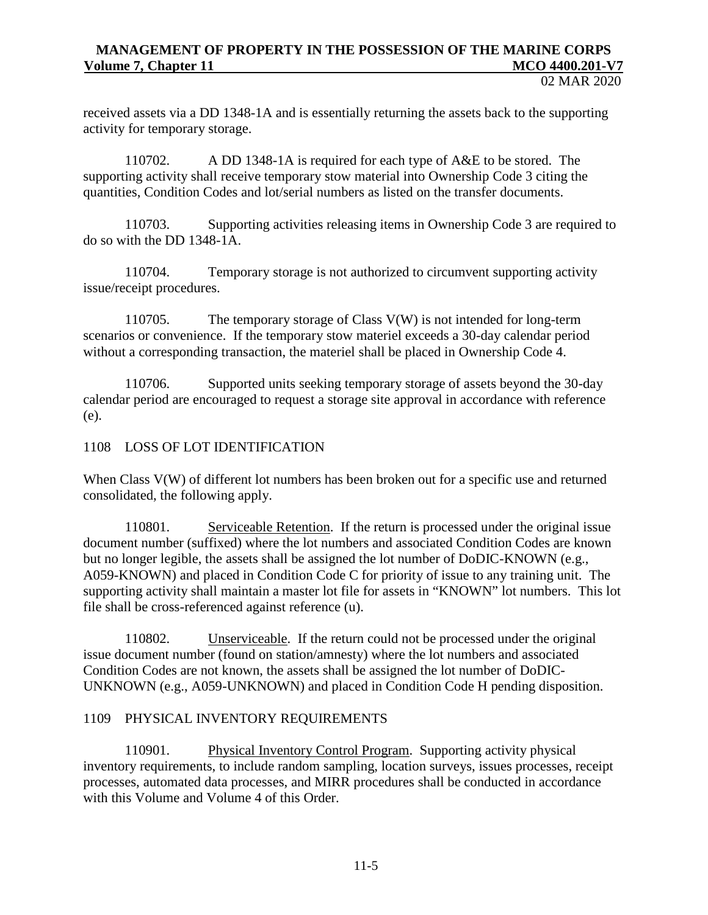received assets via a DD 1348-1A and is essentially returning the assets back to the supporting activity for temporary storage.

110702. A DD 1348-1A is required for each type of A&E to be stored. The supporting activity shall receive temporary stow material into Ownership Code 3 citing the quantities, Condition Codes and lot/serial numbers as listed on the transfer documents.

110703. Supporting activities releasing items in Ownership Code 3 are required to do so with the DD 1348-1A.

110704. Temporary storage is not authorized to circumvent supporting activity issue/receipt procedures.

110705. The temporary storage of Class V(W) is not intended for long-term scenarios or convenience. If the temporary stow materiel exceeds a 30-day calendar period without a corresponding transaction, the materiel shall be placed in Ownership Code 4.

110706. Supported units seeking temporary storage of assets beyond the 30-day calendar period are encouraged to request a storage site approval in accordance with reference (e).

1108 LOSS OF LOT IDENTIFICATION

When Class V(W) of different lot numbers has been broken out for a specific use and returned consolidated, the following apply.

110801. Serviceable Retention. If the return is processed under the original issue document number (suffixed) where the lot numbers and associated Condition Codes are known but no longer legible, the assets shall be assigned the lot number of DoDIC-KNOWN (e.g., A059-KNOWN) and placed in Condition Code C for priority of issue to any training unit. The supporting activity shall maintain a master lot file for assets in "KNOWN" lot numbers. This lot file shall be cross-referenced against reference (u).

110802. Unserviceable. If the return could not be processed under the original issue document number (found on station/amnesty) where the lot numbers and associated Condition Codes are not known, the assets shall be assigned the lot number of DoDIC-UNKNOWN (e.g., A059-UNKNOWN) and placed in Condition Code H pending disposition.

#### 1109 PHYSICAL INVENTORY REQUIREMENTS

110901. Physical Inventory Control Program. Supporting activity physical inventory requirements, to include random sampling, location surveys, issues processes, receipt processes, automated data processes, and MIRR procedures shall be conducted in accordance with this Volume and Volume 4 of this Order.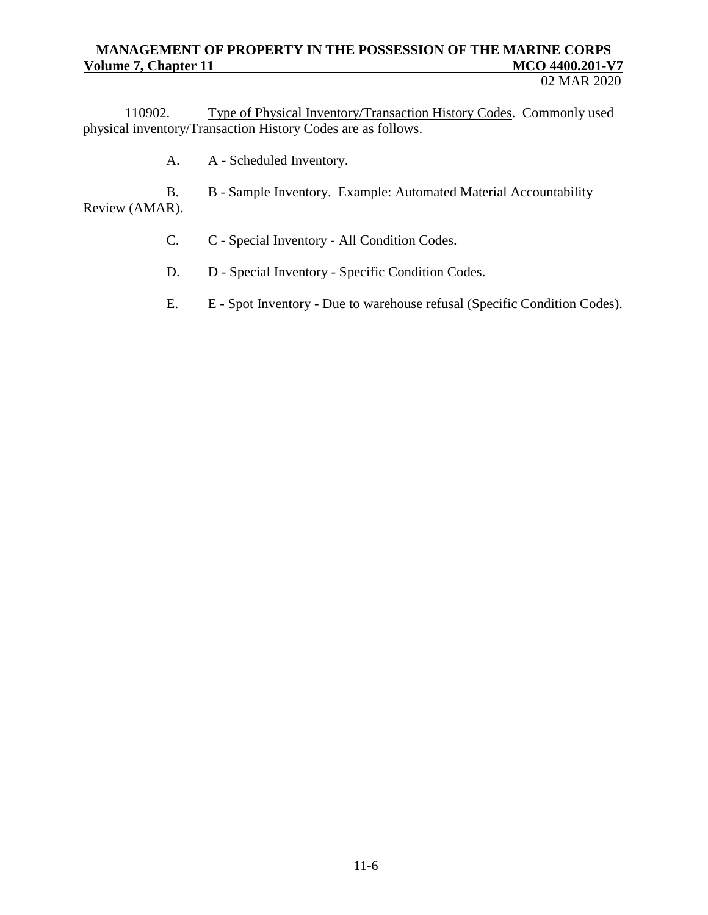#### 02 MAR 2020

110902. Type of Physical Inventory/Transaction History Codes. Commonly used physical inventory/Transaction History Codes are as follows.

A. A - Scheduled Inventory.

B. B - Sample Inventory. Example: Automated Material Accountability Review (AMAR).

- C. C Special Inventory All Condition Codes.
- D. D Special Inventory Specific Condition Codes.
- E. E Spot Inventory Due to warehouse refusal (Specific Condition Codes).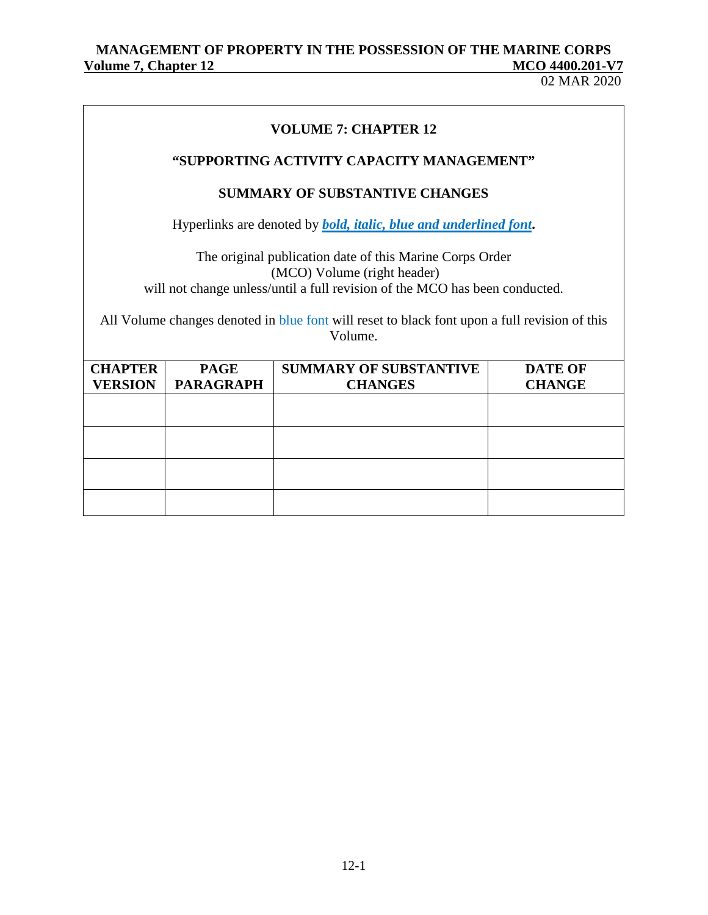# MANAGEMENT OF PROPERTY IN THE POSSESSION OF THE MARINE CORPS<br>MCO 4400.201-V7 **Volume 7, Chapter 12** MCCO 4400.2010 12

02 MAR 2020

| <b>VOLUME 7: CHAPTER 12</b>                                                                                                                                                                                                                                                        |                                 |                                                 |                                 |  |  |  |
|------------------------------------------------------------------------------------------------------------------------------------------------------------------------------------------------------------------------------------------------------------------------------------|---------------------------------|-------------------------------------------------|---------------------------------|--|--|--|
| "SUPPORTING ACTIVITY CAPACITY MANAGEMENT"                                                                                                                                                                                                                                          |                                 |                                                 |                                 |  |  |  |
| <b>SUMMARY OF SUBSTANTIVE CHANGES</b>                                                                                                                                                                                                                                              |                                 |                                                 |                                 |  |  |  |
| Hyperlinks are denoted by <b><i>bold, italic, blue and underlined font.</i></b>                                                                                                                                                                                                    |                                 |                                                 |                                 |  |  |  |
| The original publication date of this Marine Corps Order<br>(MCO) Volume (right header)<br>will not change unless/until a full revision of the MCO has been conducted.<br>All Volume changes denoted in blue font will reset to black font upon a full revision of this<br>Volume. |                                 |                                                 |                                 |  |  |  |
| <b>CHAPTER</b><br><b>VERSION</b>                                                                                                                                                                                                                                                   | <b>PAGE</b><br><b>PARAGRAPH</b> | <b>SUMMARY OF SUBSTANTIVE</b><br><b>CHANGES</b> | <b>DATE OF</b><br><b>CHANGE</b> |  |  |  |
|                                                                                                                                                                                                                                                                                    |                                 |                                                 |                                 |  |  |  |
|                                                                                                                                                                                                                                                                                    |                                 |                                                 |                                 |  |  |  |
|                                                                                                                                                                                                                                                                                    |                                 |                                                 |                                 |  |  |  |
|                                                                                                                                                                                                                                                                                    |                                 |                                                 |                                 |  |  |  |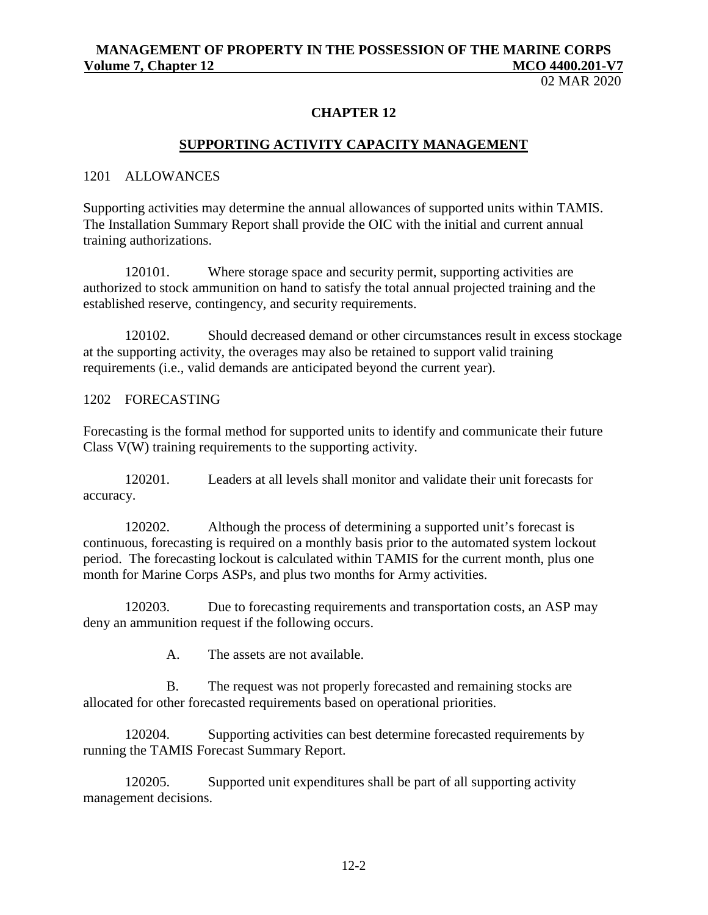02 MAR 2020

#### **CHAPTER 12**

#### **SUPPORTING ACTIVITY CAPACITY MANAGEMENT**

#### 1201 ALLOWANCES

Supporting activities may determine the annual allowances of supported units within TAMIS. The Installation Summary Report shall provide the OIC with the initial and current annual training authorizations.

120101. Where storage space and security permit, supporting activities are authorized to stock ammunition on hand to satisfy the total annual projected training and the established reserve, contingency, and security requirements.

120102. Should decreased demand or other circumstances result in excess stockage at the supporting activity, the overages may also be retained to support valid training requirements (i.e., valid demands are anticipated beyond the current year).

#### 1202 FORECASTING

Forecasting is the formal method for supported units to identify and communicate their future Class V(W) training requirements to the supporting activity.

120201. Leaders at all levels shall monitor and validate their unit forecasts for accuracy.

120202. Although the process of determining a supported unit's forecast is continuous, forecasting is required on a monthly basis prior to the automated system lockout period. The forecasting lockout is calculated within TAMIS for the current month, plus one month for Marine Corps ASPs, and plus two months for Army activities.

120203. Due to forecasting requirements and transportation costs, an ASP may deny an ammunition request if the following occurs.

A. The assets are not available.

B. The request was not properly forecasted and remaining stocks are allocated for other forecasted requirements based on operational priorities.

120204. Supporting activities can best determine forecasted requirements by running the TAMIS Forecast Summary Report.

120205. Supported unit expenditures shall be part of all supporting activity management decisions.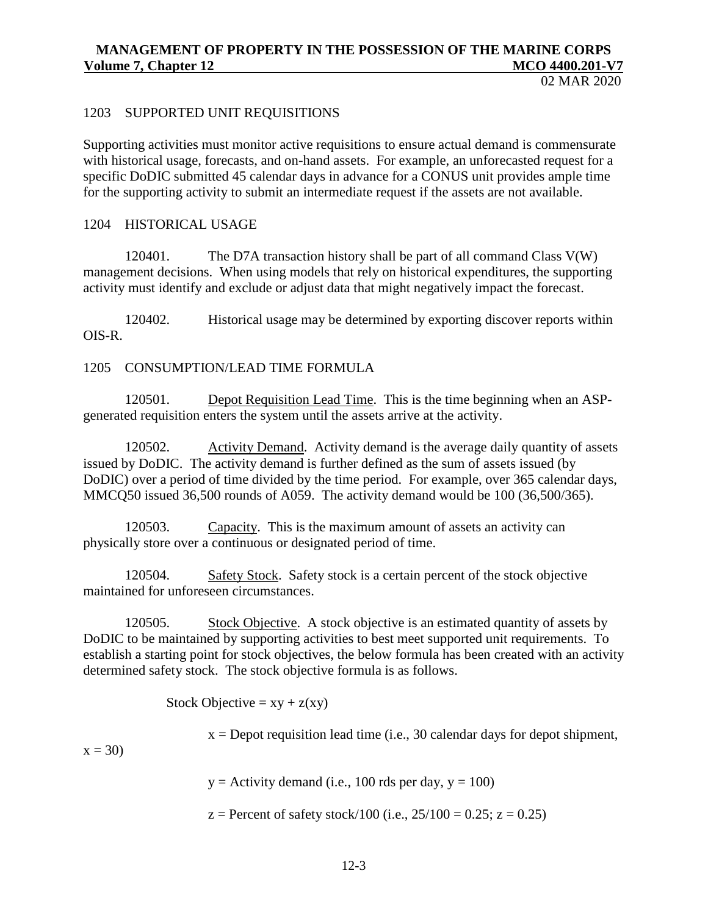02 MAR 2020

### 1203 SUPPORTED UNIT REQUISITIONS

Supporting activities must monitor active requisitions to ensure actual demand is commensurate with historical usage, forecasts, and on-hand assets. For example, an unforecasted request for a specific DoDIC submitted 45 calendar days in advance for a CONUS unit provides ample time for the supporting activity to submit an intermediate request if the assets are not available.

#### 1204 HISTORICAL USAGE

120401. The D7A transaction history shall be part of all command Class V(W) management decisions. When using models that rely on historical expenditures, the supporting activity must identify and exclude or adjust data that might negatively impact the forecast.

120402. Historical usage may be determined by exporting discover reports within OIS-R.

#### 1205 CONSUMPTION/LEAD TIME FORMULA

120501. Depot Requisition Lead Time. This is the time beginning when an ASPgenerated requisition enters the system until the assets arrive at the activity.

120502. Activity Demand. Activity demand is the average daily quantity of assets issued by DoDIC. The activity demand is further defined as the sum of assets issued (by DoDIC) over a period of time divided by the time period. For example, over 365 calendar days, MMCQ50 issued 36,500 rounds of A059. The activity demand would be 100 (36,500/365).

120503. Capacity. This is the maximum amount of assets an activity can physically store over a continuous or designated period of time.

120504. Safety Stock. Safety stock is a certain percent of the stock objective maintained for unforeseen circumstances.

120505. Stock Objective. A stock objective is an estimated quantity of assets by DoDIC to be maintained by supporting activities to best meet supported unit requirements. To establish a starting point for stock objectives, the below formula has been created with an activity determined safety stock. The stock objective formula is as follows.

Stock Objective =  $xy + z(xy)$ 

 $x =$  Depot requisition lead time (i.e., 30 calendar days for depot shipment,

 $x = 30$ 

 $y =$  Activity demand (i.e., 100 rds per day,  $y = 100$ )

 $z =$  Percent of safety stock/100 (i.e.,  $25/100 = 0.25$ ;  $z = 0.25$ )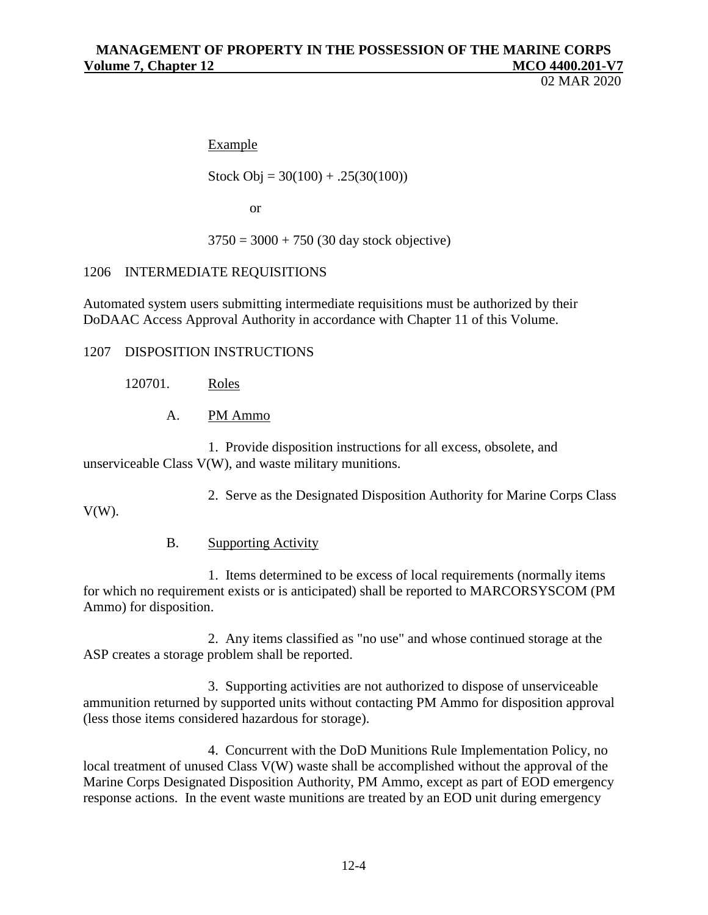02 MAR 2020

## Example

Stock Obj =  $30(100) + .25(30(100))$ 

or

 $3750 = 3000 + 750$  (30 day stock objective)

### 1206 INTERMEDIATE REQUISITIONS

Automated system users submitting intermediate requisitions must be authorized by their DoDAAC Access Approval Authority in accordance with Chapter 11 of this Volume.

1207 DISPOSITION INSTRUCTIONS

120701. Roles

A. PM Ammo

1. Provide disposition instructions for all excess, obsolete, and unserviceable Class V(W), and waste military munitions.

2. Serve as the Designated Disposition Authority for Marine Corps Class

 $V(W)$ .

## B. Supporting Activity

1. Items determined to be excess of local requirements (normally items for which no requirement exists or is anticipated) shall be reported to MARCORSYSCOM (PM Ammo) for disposition.

2. Any items classified as "no use" and whose continued storage at the ASP creates a storage problem shall be reported.

3. Supporting activities are not authorized to dispose of unserviceable ammunition returned by supported units without contacting PM Ammo for disposition approval (less those items considered hazardous for storage).

4. Concurrent with the DoD Munitions Rule Implementation Policy, no local treatment of unused Class V(W) waste shall be accomplished without the approval of the Marine Corps Designated Disposition Authority, PM Ammo, except as part of EOD emergency response actions. In the event waste munitions are treated by an EOD unit during emergency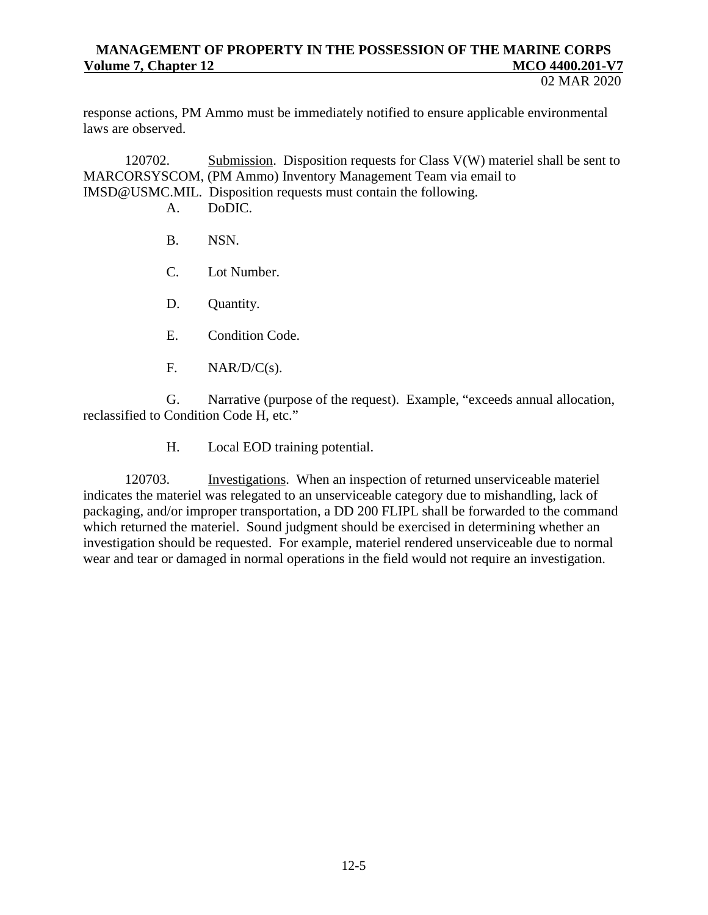#### 02 MAR 2020

response actions, PM Ammo must be immediately notified to ensure applicable environmental laws are observed.

120702. Submission. Disposition requests for Class V(W) materiel shall be sent to MARCORSYSCOM, (PM Ammo) Inventory Management Team via email to [IMSD@USMC.MIL.](mailto:IMSD@USMC.MIL) Disposition requests must contain the following.

- A. DoDIC.
- B. NSN.
- C. Lot Number.
- D. Quantity.
- E. Condition Code.
- F. NAR/D/C(s).

G. Narrative (purpose of the request). Example, "exceeds annual allocation, reclassified to Condition Code H, etc."

H. Local EOD training potential.

120703. Investigations. When an inspection of returned unserviceable materiel indicates the materiel was relegated to an unserviceable category due to mishandling, lack of packaging, and/or improper transportation, a DD 200 FLIPL shall be forwarded to the command which returned the materiel. Sound judgment should be exercised in determining whether an investigation should be requested. For example, materiel rendered unserviceable due to normal wear and tear or damaged in normal operations in the field would not require an investigation.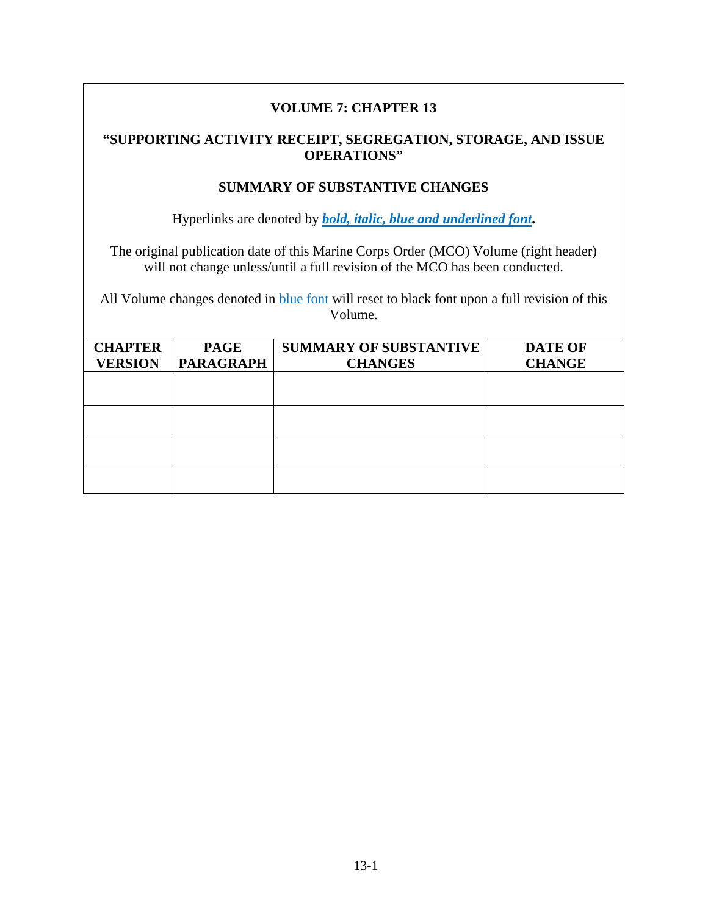# **VOLUME 7: CHAPTER 13**

## **"SUPPORTING ACTIVITY RECEIPT, SEGREGATION, STORAGE, AND ISSUE OPERATIONS"**

## **SUMMARY OF SUBSTANTIVE CHANGES**

Hyperlinks are denoted by *bold, italic, blue and underlined font***.**

The original publication date of this Marine Corps Order (MCO) Volume (right header) will not change unless/until a full revision of the MCO has been conducted.

All Volume changes denoted in blue font will reset to black font upon a full revision of this Volume.

| <b>CHAPTER</b> | <b>PAGE</b>      | <b>SUMMARY OF SUBSTANTIVE</b> | <b>DATE OF</b> |
|----------------|------------------|-------------------------------|----------------|
| <b>VERSION</b> | <b>PARAGRAPH</b> | <b>CHANGES</b>                | <b>CHANGE</b>  |
|                |                  |                               |                |
|                |                  |                               |                |
|                |                  |                               |                |
|                |                  |                               |                |
|                |                  |                               |                |
|                |                  |                               |                |
|                |                  |                               |                |
|                |                  |                               |                |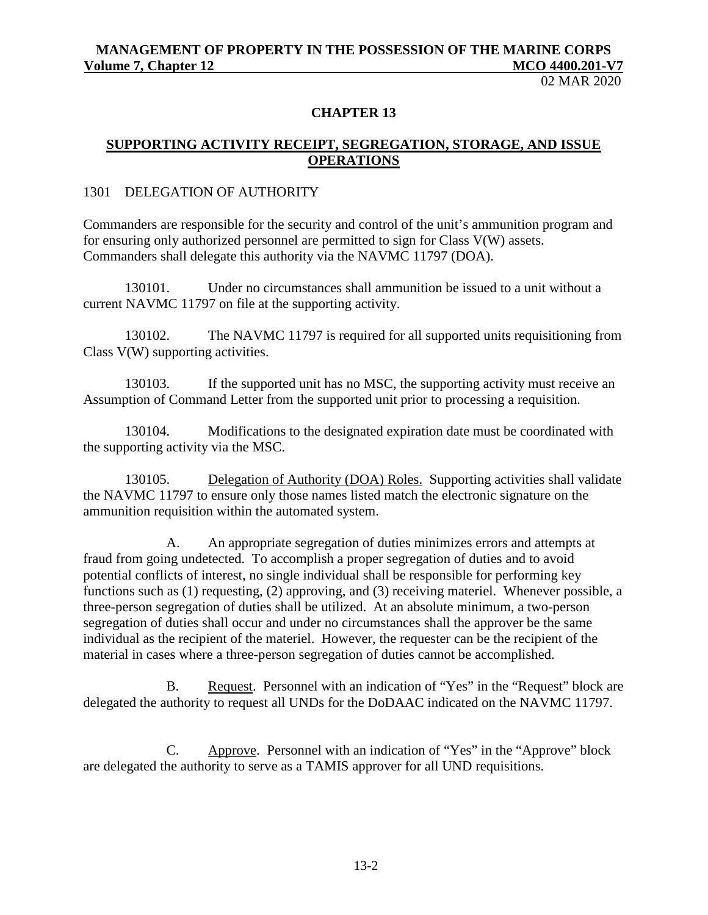02 MAR 2020

#### **CHAPTER 13**

## **SUPPORTING ACTIVITY RECEIPT, SEGREGATION, STORAGE, AND ISSUE OPERATIONS**

### 1301 DELEGATION OF AUTHORITY

Commanders are responsible for the security and control of the unit's ammunition program and for ensuring only authorized personnel are permitted to sign for Class V(W) assets. Commanders shall delegate this authority via the NAVMC 11797 (DOA).

130101. Under no circumstances shall ammunition be issued to a unit without a current NAVMC 11797 on file at the supporting activity.

130102. The NAVMC 11797 is required for all supported units requisitioning from Class V(W) supporting activities.

130103. If the supported unit has no MSC, the supporting activity must receive an Assumption of Command Letter from the supported unit prior to processing a requisition.

130104. Modifications to the designated expiration date must be coordinated with the supporting activity via the MSC.

130105. Delegation of Authority (DOA) Roles. Supporting activities shall validate the NAVMC 11797 to ensure only those names listed match the electronic signature on the ammunition requisition within the automated system.

A. An appropriate segregation of duties minimizes errors and attempts at fraud from going undetected. To accomplish a proper segregation of duties and to avoid potential conflicts of interest, no single individual shall be responsible for performing key functions such as (1) requesting, (2) approving, and (3) receiving materiel. Whenever possible, a three-person segregation of duties shall be utilized. At an absolute minimum, a two-person segregation of duties shall occur and under no circumstances shall the approver be the same individual as the recipient of the materiel. However, the requester can be the recipient of the material in cases where a three-person segregation of duties cannot be accomplished.

B. Request. Personnel with an indication of "Yes" in the "Request" block are delegated the authority to request all UNDs for the DoDAAC indicated on the NAVMC 11797.

C. Approve. Personnel with an indication of "Yes" in the "Approve" block are delegated the authority to serve as a TAMIS approver for all UND requisitions.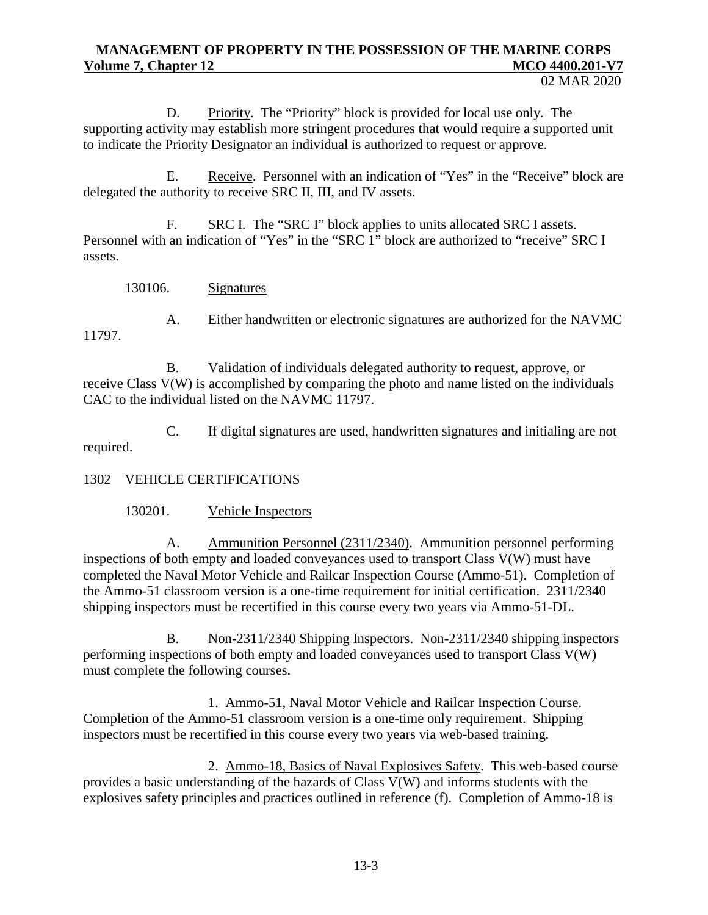D. Priority. The "Priority" block is provided for local use only. The supporting activity may establish more stringent procedures that would require a supported unit to indicate the Priority Designator an individual is authorized to request or approve.

E. Receive. Personnel with an indication of "Yes" in the "Receive" block are delegated the authority to receive SRC II, III, and IV assets.

F. SRC I. The "SRC I" block applies to units allocated SRC I assets. Personnel with an indication of "Yes" in the "SRC 1" block are authorized to "receive" SRC I assets.

130106. Signatures

A. Either handwritten or electronic signatures are authorized for the NAVMC 11797.

B. Validation of individuals delegated authority to request, approve, or receive Class V(W) is accomplished by comparing the photo and name listed on the individuals CAC to the individual listed on the NAVMC 11797.

C. If digital signatures are used, handwritten signatures and initialing are not required.

1302 VEHICLE CERTIFICATIONS

130201. Vehicle Inspectors

A. Ammunition Personnel (2311/2340). Ammunition personnel performing inspections of both empty and loaded conveyances used to transport Class V(W) must have completed the Naval Motor Vehicle and Railcar Inspection Course (Ammo-51). Completion of the Ammo-51 classroom version is a one-time requirement for initial certification. 2311/2340 shipping inspectors must be recertified in this course every two years via Ammo-51-DL.

B. Non-2311/2340 Shipping Inspectors. Non-2311/2340 shipping inspectors performing inspections of both empty and loaded conveyances used to transport Class V(W) must complete the following courses.

1. Ammo-51, Naval Motor Vehicle and Railcar Inspection Course. Completion of the Ammo-51 classroom version is a one-time only requirement. Shipping inspectors must be recertified in this course every two years via web-based training.

2. Ammo-18, Basics of Naval Explosives Safety. This web-based course provides a basic understanding of the hazards of Class V(W) and informs students with the explosives safety principles and practices outlined in reference (f). Completion of Ammo-18 is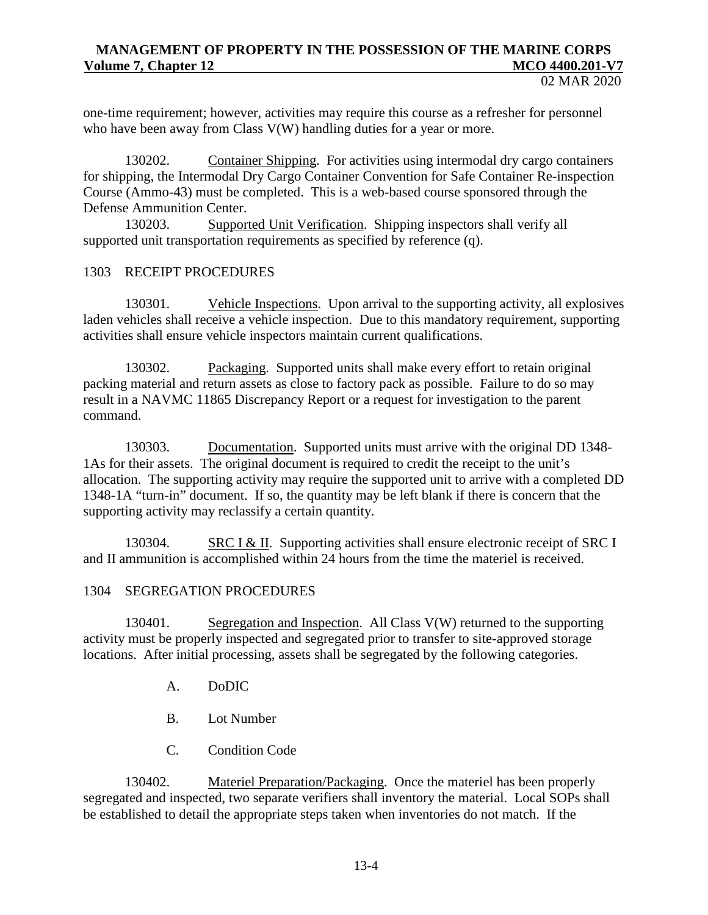one-time requirement; however, activities may require this course as a refresher for personnel who have been away from Class V(W) handling duties for a year or more.

130202. Container Shipping. For activities using intermodal dry cargo containers for shipping, the Intermodal Dry Cargo Container Convention for Safe Container Re-inspection Course (Ammo-43) must be completed. This is a web-based course sponsored through the Defense Ammunition Center.

130203. Supported Unit Verification. Shipping inspectors shall verify all supported unit transportation requirements as specified by reference (q).

#### 1303 RECEIPT PROCEDURES

130301. Vehicle Inspections. Upon arrival to the supporting activity, all explosives laden vehicles shall receive a vehicle inspection. Due to this mandatory requirement, supporting activities shall ensure vehicle inspectors maintain current qualifications.

130302. Packaging. Supported units shall make every effort to retain original packing material and return assets as close to factory pack as possible. Failure to do so may result in a NAVMC 11865 Discrepancy Report or a request for investigation to the parent command.

130303. Documentation. Supported units must arrive with the original DD 1348- 1As for their assets. The original document is required to credit the receipt to the unit's allocation. The supporting activity may require the supported unit to arrive with a completed DD 1348-1A "turn-in" document. If so, the quantity may be left blank if there is concern that the supporting activity may reclassify a certain quantity.

130304. SRC I & II. Supporting activities shall ensure electronic receipt of SRC I and II ammunition is accomplished within 24 hours from the time the materiel is received.

#### 1304 SEGREGATION PROCEDURES

130401. Segregation and Inspection. All Class V(W) returned to the supporting activity must be properly inspected and segregated prior to transfer to site-approved storage locations. After initial processing, assets shall be segregated by the following categories.

- A. DoDIC
- B. Lot Number
- C. Condition Code

130402. Materiel Preparation/Packaging. Once the materiel has been properly segregated and inspected, two separate verifiers shall inventory the material. Local SOPs shall be established to detail the appropriate steps taken when inventories do not match. If the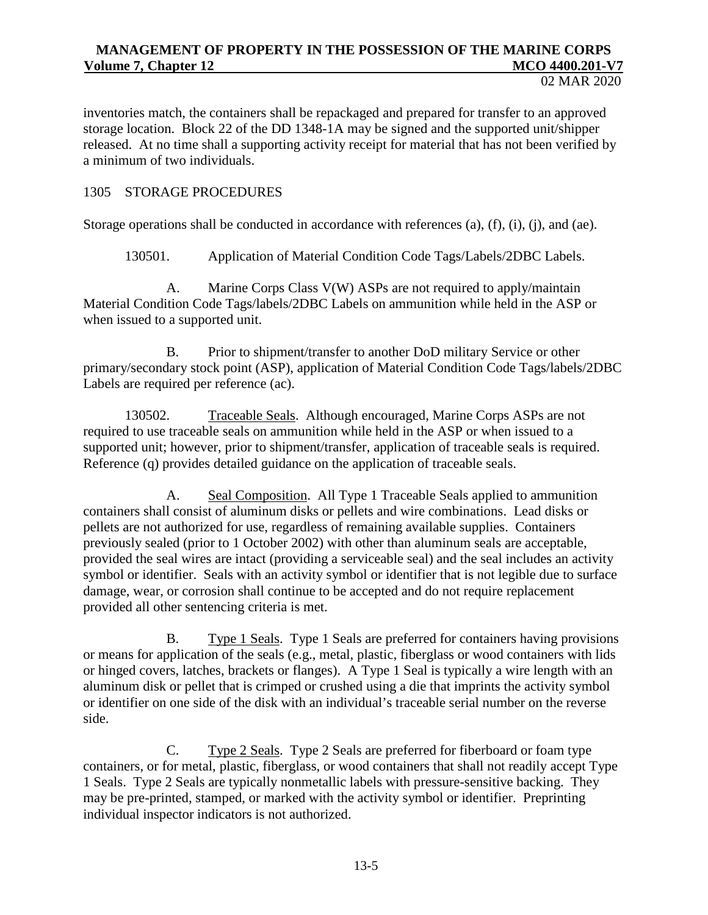inventories match, the containers shall be repackaged and prepared for transfer to an approved storage location. Block 22 of the DD 1348-1A may be signed and the supported unit/shipper released. At no time shall a supporting activity receipt for material that has not been verified by a minimum of two individuals.

### 1305 STORAGE PROCEDURES

Storage operations shall be conducted in accordance with references (a), (f), (i), (i), and (ae).

130501. Application of Material Condition Code Tags/Labels/2DBC Labels.

A. Marine Corps Class V(W) ASPs are not required to apply/maintain Material Condition Code Tags/labels/2DBC Labels on ammunition while held in the ASP or when issued to a supported unit.

B. Prior to shipment/transfer to another DoD military Service or other primary/secondary stock point (ASP), application of Material Condition Code Tags/labels/2DBC Labels are required per reference (ac).

130502. Traceable Seals. Although encouraged, Marine Corps ASPs are not required to use traceable seals on ammunition while held in the ASP or when issued to a supported unit; however, prior to shipment/transfer, application of traceable seals is required. Reference (q) provides detailed guidance on the application of traceable seals.

A. Seal Composition. All Type 1 Traceable Seals applied to ammunition containers shall consist of aluminum disks or pellets and wire combinations. Lead disks or pellets are not authorized for use, regardless of remaining available supplies. Containers previously sealed (prior to 1 October 2002) with other than aluminum seals are acceptable, provided the seal wires are intact (providing a serviceable seal) and the seal includes an activity symbol or identifier. Seals with an activity symbol or identifier that is not legible due to surface damage, wear, or corrosion shall continue to be accepted and do not require replacement provided all other sentencing criteria is met.

B. Type 1 Seals. Type 1 Seals are preferred for containers having provisions or means for application of the seals (e.g., metal, plastic, fiberglass or wood containers with lids or hinged covers, latches, brackets or flanges). A Type 1 Seal is typically a wire length with an aluminum disk or pellet that is crimped or crushed using a die that imprints the activity symbol or identifier on one side of the disk with an individual's traceable serial number on the reverse side.

C. Type 2 Seals. Type 2 Seals are preferred for fiberboard or foam type containers, or for metal, plastic, fiberglass, or wood containers that shall not readily accept Type 1 Seals. Type 2 Seals are typically nonmetallic labels with pressure-sensitive backing. They may be pre-printed, stamped, or marked with the activity symbol or identifier. Preprinting individual inspector indicators is not authorized.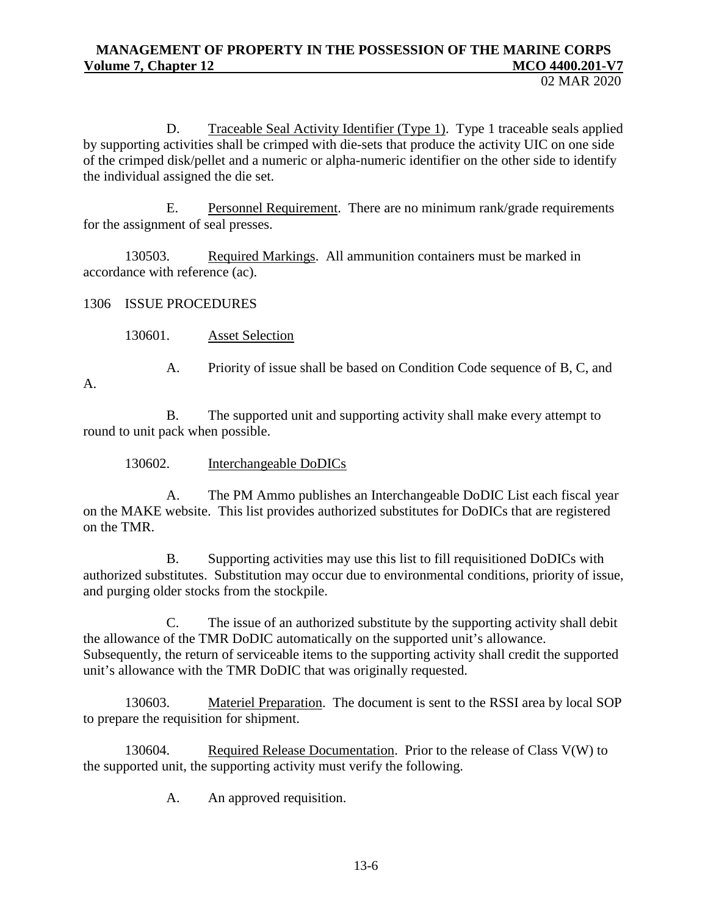02 MAR 2020

D. Traceable Seal Activity Identifier (Type 1). Type 1 traceable seals applied by supporting activities shall be crimped with die-sets that produce the activity UIC on one side of the crimped disk/pellet and a numeric or alpha-numeric identifier on the other side to identify the individual assigned the die set.

E. Personnel Requirement. There are no minimum rank/grade requirements for the assignment of seal presses.

130503. Required Markings. All ammunition containers must be marked in accordance with reference (ac).

1306 ISSUE PROCEDURES

130601. Asset Selection

A. Priority of issue shall be based on Condition Code sequence of B, C, and

A.

B. The supported unit and supporting activity shall make every attempt to round to unit pack when possible.

130602. Interchangeable DoDICs

A. The PM Ammo publishes an Interchangeable DoDIC List each fiscal year on the MAKE website. This list provides authorized substitutes for DoDICs that are registered on the TMR.

B. Supporting activities may use this list to fill requisitioned DoDICs with authorized substitutes. Substitution may occur due to environmental conditions, priority of issue, and purging older stocks from the stockpile.

C. The issue of an authorized substitute by the supporting activity shall debit the allowance of the TMR DoDIC automatically on the supported unit's allowance. Subsequently, the return of serviceable items to the supporting activity shall credit the supported unit's allowance with the TMR DoDIC that was originally requested.

130603. Materiel Preparation. The document is sent to the RSSI area by local SOP to prepare the requisition for shipment.

130604. Required Release Documentation. Prior to the release of Class V(W) to the supported unit, the supporting activity must verify the following.

A. An approved requisition.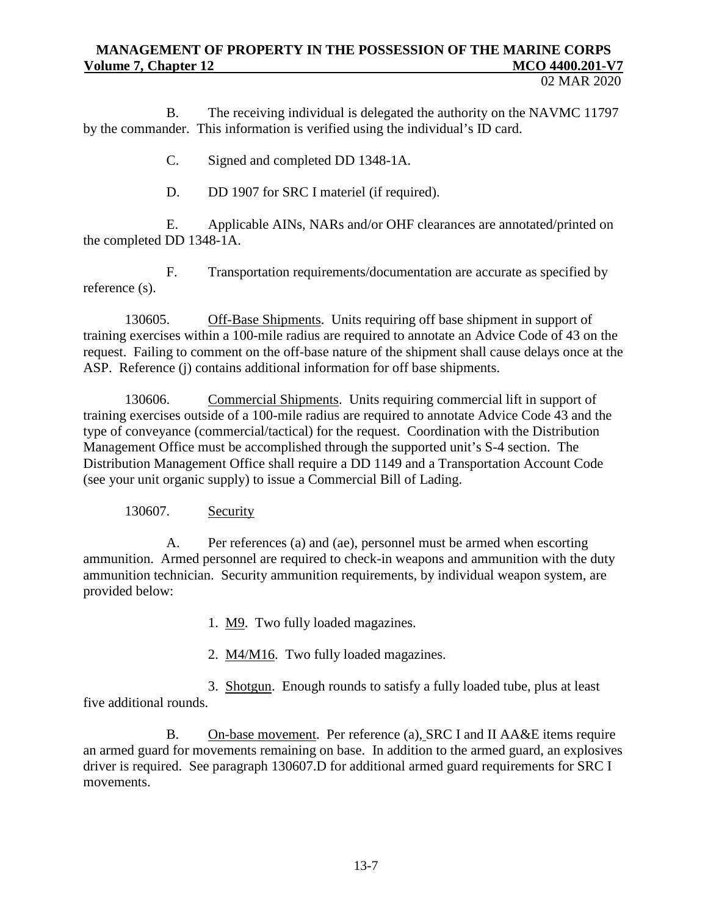02 MAR 2020

B. The receiving individual is delegated the authority on the NAVMC 11797 by the commander. This information is verified using the individual's ID card.

C. Signed and completed DD 1348-1A.

D. DD 1907 for SRC I materiel (if required).

E. Applicable AINs, NARs and/or OHF clearances are annotated/printed on the completed DD 1348-1A.

F. Transportation requirements/documentation are accurate as specified by reference (s).

130605. Off-Base Shipments. Units requiring off base shipment in support of training exercises within a 100-mile radius are required to annotate an Advice Code of 43 on the request. Failing to comment on the off-base nature of the shipment shall cause delays once at the ASP. Reference (j) contains additional information for off base shipments.

130606. Commercial Shipments. Units requiring commercial lift in support of training exercises outside of a 100-mile radius are required to annotate Advice Code 43 and the type of conveyance (commercial/tactical) for the request. Coordination with the Distribution Management Office must be accomplished through the supported unit's S-4 section. The Distribution Management Office shall require a DD 1149 and a Transportation Account Code (see your unit organic supply) to issue a Commercial Bill of Lading.

130607. Security

A. Per references (a) and (ae), personnel must be armed when escorting ammunition. Armed personnel are required to check-in weapons and ammunition with the duty ammunition technician. Security ammunition requirements, by individual weapon system, are provided below:

1. M9. Two fully loaded magazines.

2. M4/M16. Two fully loaded magazines.

3. Shotgun. Enough rounds to satisfy a fully loaded tube, plus at least five additional rounds.

B. On-base movement. Per reference (a), SRC I and II AA&E items require an armed guard for movements remaining on base. In addition to the armed guard, an explosives driver is required. See paragraph 130607.D for additional armed guard requirements for SRC I movements.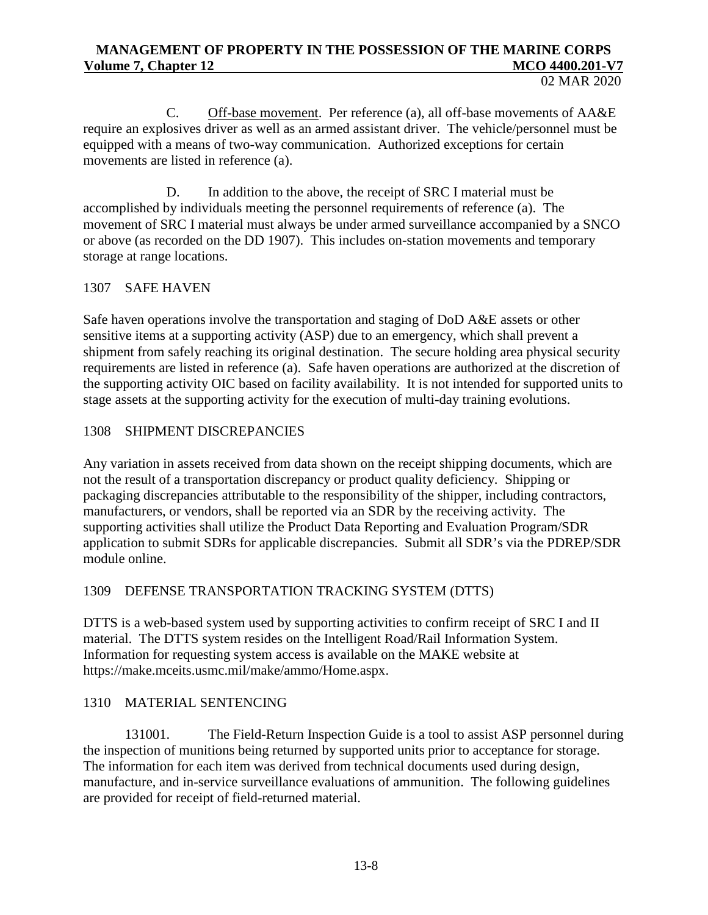C. Off-base movement. Per reference (a), all off-base movements of AA&E require an explosives driver as well as an armed assistant driver. The vehicle/personnel must be equipped with a means of two-way communication. Authorized exceptions for certain movements are listed in reference (a).

D. In addition to the above, the receipt of SRC I material must be accomplished by individuals meeting the personnel requirements of reference (a). The movement of SRC I material must always be under armed surveillance accompanied by a SNCO or above (as recorded on the DD 1907). This includes on-station movements and temporary storage at range locations.

## 1307 SAFE HAVEN

Safe haven operations involve the transportation and staging of DoD A&E assets or other sensitive items at a supporting activity (ASP) due to an emergency, which shall prevent a shipment from safely reaching its original destination. The secure holding area physical security requirements are listed in reference (a). Safe haven operations are authorized at the discretion of the supporting activity OIC based on facility availability. It is not intended for supported units to stage assets at the supporting activity for the execution of multi-day training evolutions.

### 1308 SHIPMENT DISCREPANCIES

Any variation in assets received from data shown on the receipt shipping documents, which are not the result of a transportation discrepancy or product quality deficiency. Shipping or packaging discrepancies attributable to the responsibility of the shipper, including contractors, manufacturers, or vendors, shall be reported via an SDR by the receiving activity. The supporting activities shall utilize the Product Data Reporting and Evaluation Program/SDR application to submit SDRs for applicable discrepancies. Submit all SDR's via the PDREP/SDR module online.

## 1309 DEFENSE TRANSPORTATION TRACKING SYSTEM (DTTS)

DTTS is a web-based system used by supporting activities to confirm receipt of SRC I and II material. The DTTS system resides on the Intelligent Road/Rail Information System. Information for requesting system access is available on the MAKE website at [https://make.mceits.usmc.mil/make/ammo/Home.aspx.](https://make.mceits.usmc.mil/make/ammo/Home.aspx)

## 1310 MATERIAL SENTENCING

131001. The Field-Return Inspection Guide is a tool to assist ASP personnel during the inspection of munitions being returned by supported units prior to acceptance for storage. The information for each item was derived from technical documents used during design, manufacture, and in-service surveillance evaluations of ammunition. The following guidelines are provided for receipt of field-returned material.